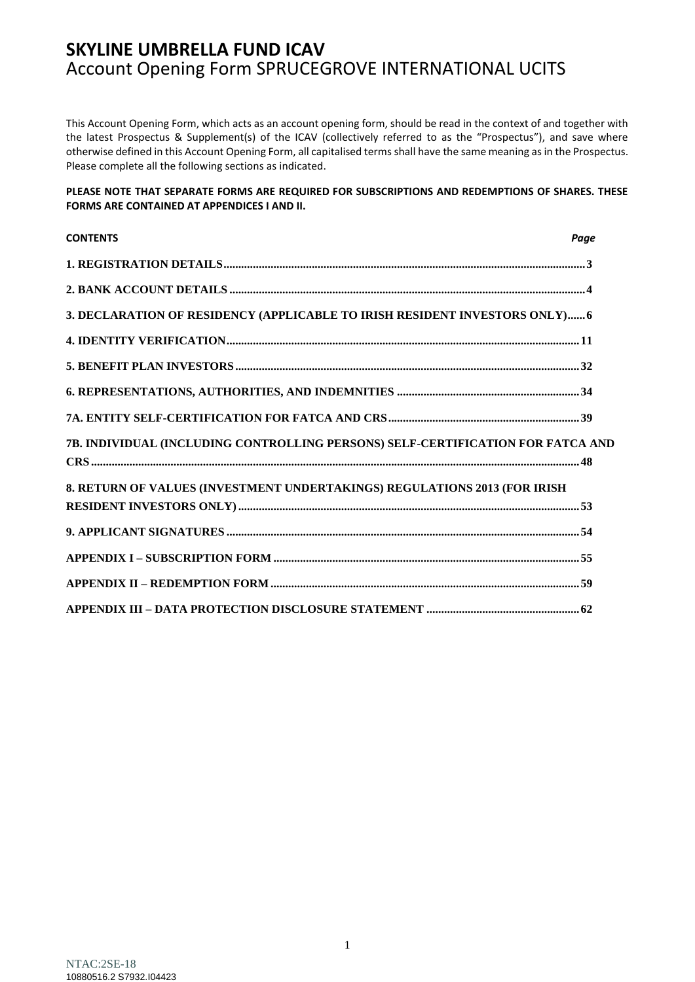This Account Opening Form, which acts as an account opening form, should be read in the context of and together with the latest Prospectus & Supplement(s) of the ICAV (collectively referred to as the "Prospectus"), and save where otherwise defined in this Account Opening Form, all capitalised terms shall have the same meaning as in the Prospectus. Please complete all the following sections as indicated.

#### **PLEASE NOTE THAT SEPARATE FORMS ARE REQUIRED FOR SUBSCRIPTIONS AND REDEMPTIONS OF SHARES. THESE FORMS ARE CONTAINED AT APPENDICES I AND II.**

| <b>CONTENTS</b>                                                                 | Paae |
|---------------------------------------------------------------------------------|------|
|                                                                                 |      |
|                                                                                 |      |
| 3. DECLARATION OF RESIDENCY (APPLICABLE TO IRISH RESIDENT INVESTORS ONLY) 6     |      |
|                                                                                 |      |
|                                                                                 |      |
|                                                                                 |      |
|                                                                                 |      |
| 7B. INDIVIDUAL (INCLUDING CONTROLLING PERSONS) SELF-CERTIFICATION FOR FATCA AND |      |
| 8. RETURN OF VALUES (INVESTMENT UNDERTAKINGS) REGULATIONS 2013 (FOR IRISH       |      |
|                                                                                 |      |
|                                                                                 |      |
|                                                                                 |      |
|                                                                                 |      |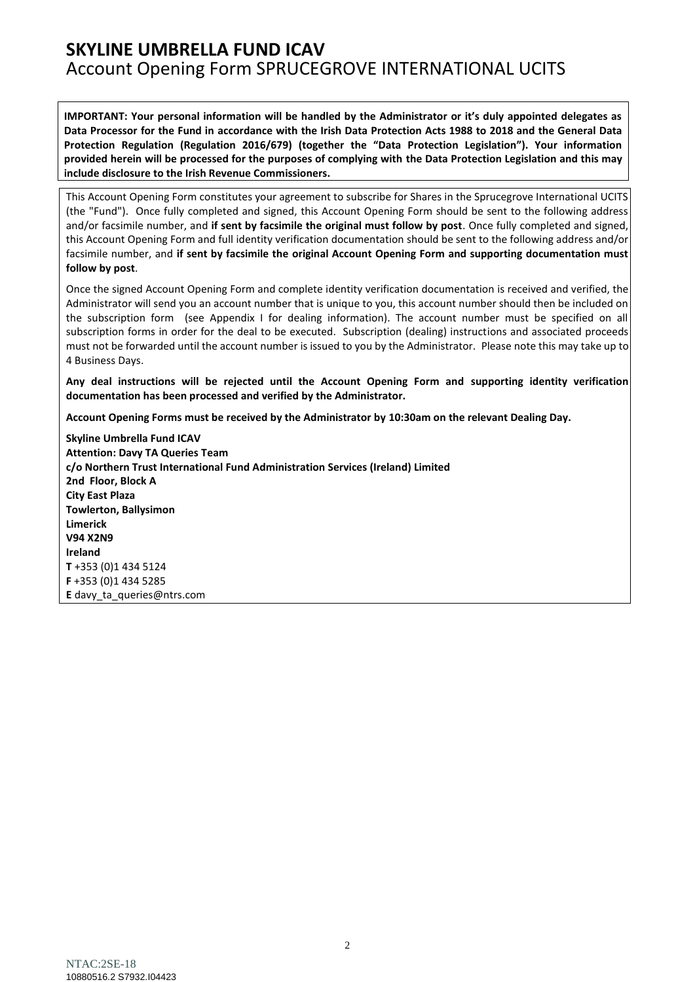**IMPORTANT: Your personal information will be handled by the Administrator or it's duly appointed delegates as Data Processor for the Fund in accordance with the Irish Data Protection Acts 1988 to 2018 and the General Data Protection Regulation (Regulation 2016/679) (together the "Data Protection Legislation"). Your information provided herein will be processed for the purposes of complying with the Data Protection Legislation and this may include disclosure to the Irish Revenue Commissioners.**

This Account Opening Form constitutes your agreement to subscribe for Shares in the Sprucegrove International UCITS (the "Fund"). Once fully completed and signed, this Account Opening Form should be sent to the following address and/or facsimile number, and **if sent by facsimile the original must follow by post**. Once fully completed and signed, this Account Opening Form and full identity verification documentation should be sent to the following address and/or facsimile number, and **if sent by facsimile the original Account Opening Form and supporting documentation must follow by post**.

Once the signed Account Opening Form and complete identity verification documentation is received and verified, the Administrator will send you an account number that is unique to you, this account number should then be included on the subscription form (see Appendix I for dealing information). The account number must be specified on all subscription forms in order for the deal to be executed. Subscription (dealing) instructions and associated proceeds must not be forwarded until the account number is issued to you by the Administrator. Please note this may take up to 4 Business Days.

**Any deal instructions will be rejected until the Account Opening Form and supporting identity verification documentation has been processed and verified by the Administrator.**

**Account Opening Forms must be received by the Administrator by 10:30am on the relevant Dealing Day.**

**Skyline Umbrella Fund ICAV Attention: Davy TA Queries Team c/o Northern Trust International Fund Administration Services (Ireland) Limited 2nd Floor, Block A City East Plaza Towlerton, Ballysimon Limerick V94 X2N9 Ireland T** +353 (0)1 434 5124 **F** +353 (0)1 434 5285 **E** [davy\\_ta\\_queries@ntrs.com](mailto:davy_ta_queries@ntrs.com)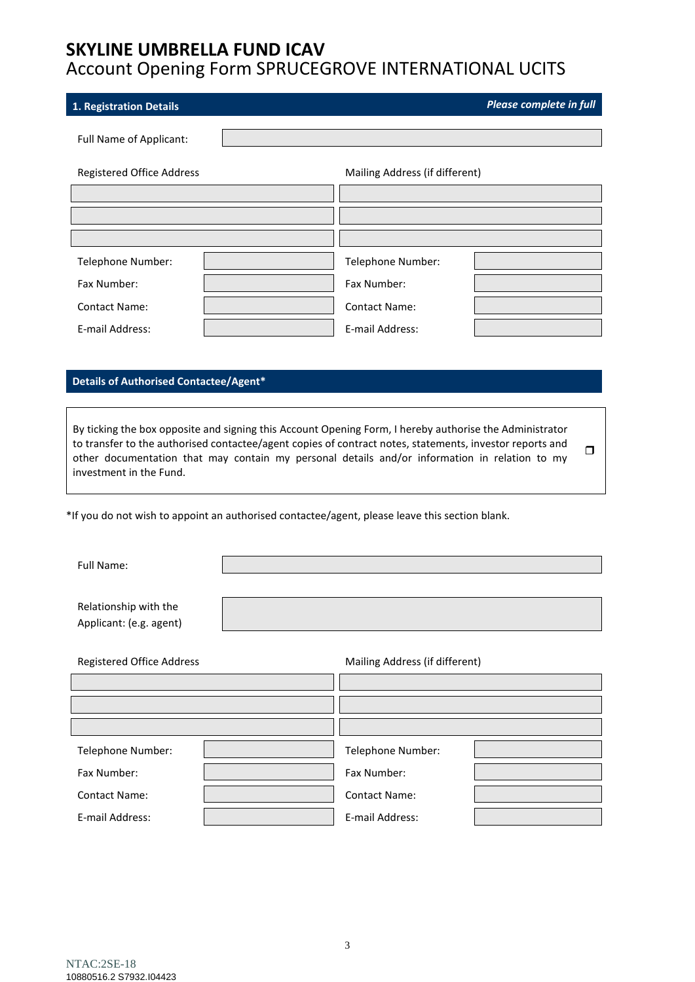# **SKYLINE UMBRELLA FUND ICAV**

# Account Opening Form SPRUCEGROVE INTERNATIONAL UCITS

<span id="page-2-0"></span>

| 1. Registration Details                                                                        |                                                                                                                                                                                                                                                                                                                      | Please complete in full |
|------------------------------------------------------------------------------------------------|----------------------------------------------------------------------------------------------------------------------------------------------------------------------------------------------------------------------------------------------------------------------------------------------------------------------|-------------------------|
| Full Name of Applicant:                                                                        |                                                                                                                                                                                                                                                                                                                      |                         |
| Registered Office Address                                                                      | Mailing Address (if different)                                                                                                                                                                                                                                                                                       |                         |
|                                                                                                |                                                                                                                                                                                                                                                                                                                      |                         |
|                                                                                                |                                                                                                                                                                                                                                                                                                                      |                         |
|                                                                                                |                                                                                                                                                                                                                                                                                                                      |                         |
| Telephone Number:                                                                              | Telephone Number:                                                                                                                                                                                                                                                                                                    |                         |
| Fax Number:                                                                                    | Fax Number:                                                                                                                                                                                                                                                                                                          |                         |
| <b>Contact Name:</b>                                                                           | <b>Contact Name:</b>                                                                                                                                                                                                                                                                                                 |                         |
| E-mail Address:                                                                                | E-mail Address:                                                                                                                                                                                                                                                                                                      |                         |
|                                                                                                |                                                                                                                                                                                                                                                                                                                      |                         |
| Details of Authorised Contactee/Agent*                                                         |                                                                                                                                                                                                                                                                                                                      |                         |
|                                                                                                |                                                                                                                                                                                                                                                                                                                      |                         |
| investment in the Fund.                                                                        | By ticking the box opposite and signing this Account Opening Form, I hereby authorise the Administrator<br>to transfer to the authorised contactee/agent copies of contract notes, statements, investor reports and<br>other documentation that may contain my personal details and/or information in relation to my | ◻                       |
| *If you do not wish to appoint an authorised contactee/agent, please leave this section blank. |                                                                                                                                                                                                                                                                                                                      |                         |
| Full Name:                                                                                     |                                                                                                                                                                                                                                                                                                                      |                         |
| Relationship with the<br>Applicant: (e.g. agent)                                               |                                                                                                                                                                                                                                                                                                                      |                         |
| <b>Registered Office Address</b>                                                               | Mailing Address (if different)                                                                                                                                                                                                                                                                                       |                         |
|                                                                                                |                                                                                                                                                                                                                                                                                                                      |                         |
|                                                                                                |                                                                                                                                                                                                                                                                                                                      |                         |
|                                                                                                |                                                                                                                                                                                                                                                                                                                      |                         |
| Telephone Number:                                                                              | Telephone Number:                                                                                                                                                                                                                                                                                                    |                         |
| Fax Number:                                                                                    | Fax Number:                                                                                                                                                                                                                                                                                                          |                         |
| <b>Contact Name:</b>                                                                           | <b>Contact Name:</b>                                                                                                                                                                                                                                                                                                 |                         |
| E-mail Address:                                                                                | E-mail Address:                                                                                                                                                                                                                                                                                                      |                         |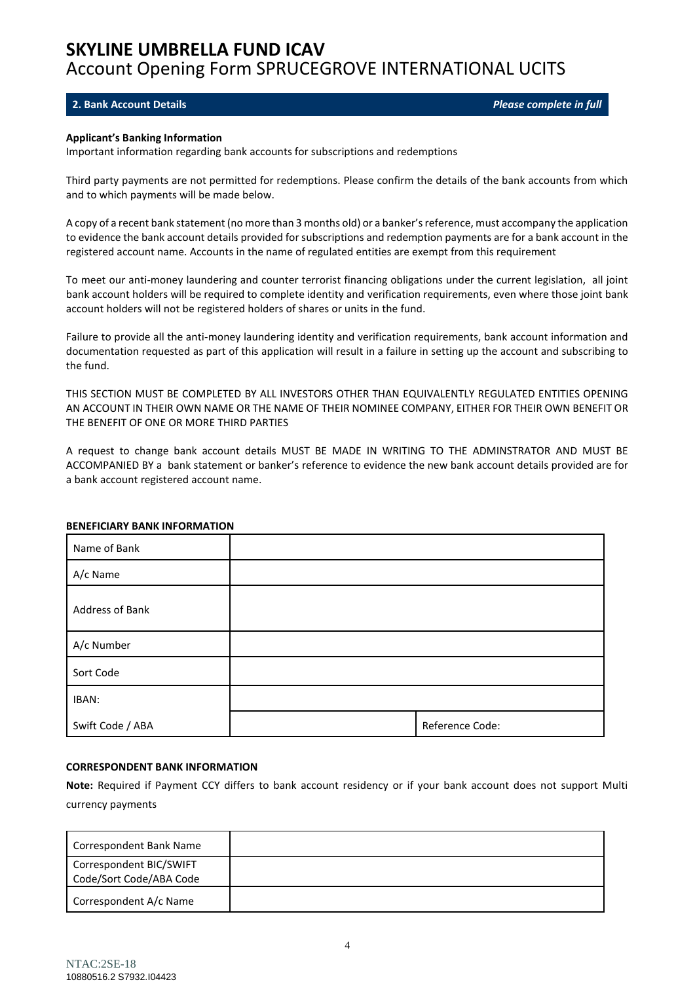#### <span id="page-3-0"></span>**2. Bank Account Details** *Please complete in full*

#### **Applicant's Banking Information**

Important information regarding bank accounts for subscriptions and redemptions

Third party payments are not permitted for redemptions. Please confirm the details of the bank accounts from which and to which payments will be made below.

A copy of a recent bank statement (no more than 3 months old) or a banker's reference, must accompany the application to evidence the bank account details provided for subscriptions and redemption payments are for a bank account in the registered account name. Accounts in the name of regulated entities are exempt from this requirement

To meet our anti-money laundering and counter terrorist financing obligations under the current legislation, all joint bank account holders will be required to complete identity and verification requirements, even where those joint bank account holders will not be registered holders of shares or units in the fund.

Failure to provide all the anti-money laundering identity and verification requirements, bank account information and documentation requested as part of this application will result in a failure in setting up the account and subscribing to the fund.

THIS SECTION MUST BE COMPLETED BY ALL INVESTORS OTHER THAN EQUIVALENTLY REGULATED ENTITIES OPENING AN ACCOUNT IN THEIR OWN NAME OR THE NAME OF THEIR NOMINEE COMPANY, EITHER FOR THEIR OWN BENEFIT OR THE BENEFIT OF ONE OR MORE THIRD PARTIES

A request to change bank account details MUST BE MADE IN WRITING TO THE ADMINSTRATOR AND MUST BE ACCOMPANIED BY a bank statement or banker's reference to evidence the new bank account details provided are for a bank account registered account name.

| Name of Bank     |                 |
|------------------|-----------------|
| A/c Name         |                 |
| Address of Bank  |                 |
| A/c Number       |                 |
| Sort Code        |                 |
| IBAN:            |                 |
| Swift Code / ABA | Reference Code: |

#### **BENEFICIARY BANK INFORMATION**

#### **CORRESPONDENT BANK INFORMATION**

**Note:** Required if Payment CCY differs to bank account residency or if your bank account does not support Multi currency payments

| Correspondent Bank Name                            |  |
|----------------------------------------------------|--|
| Correspondent BIC/SWIFT<br>Code/Sort Code/ABA Code |  |
| Correspondent A/c Name                             |  |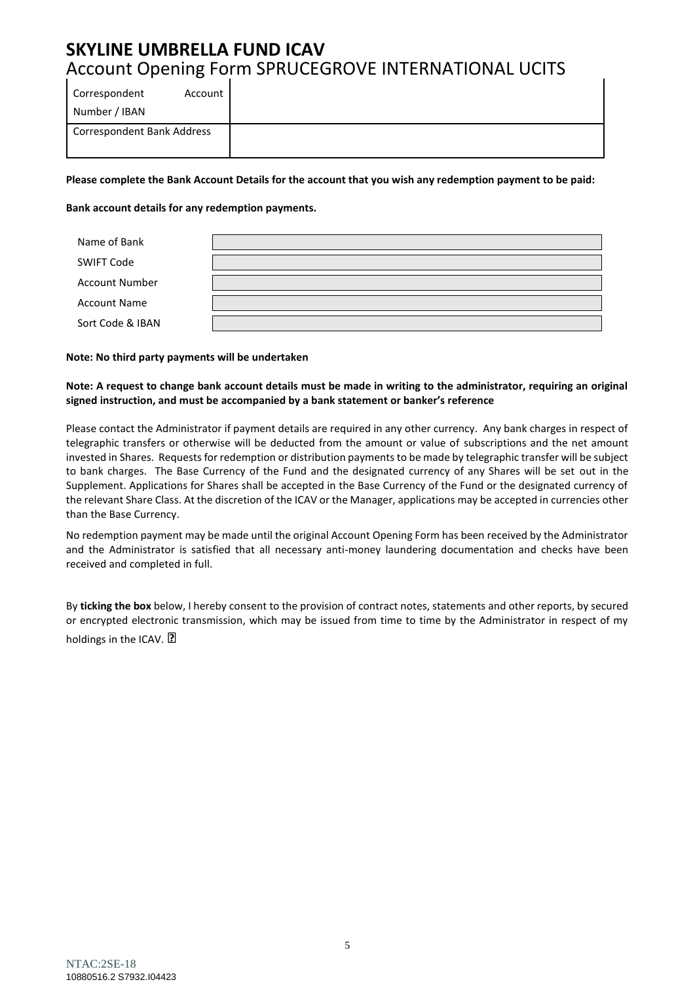**Please complete the Bank Account Details for the account that you wish any redemption payment to be paid:**

#### **Bank account details for any redemption payments.**

| Name of Bank          |  |
|-----------------------|--|
| SWIFT Code            |  |
| <b>Account Number</b> |  |
| <b>Account Name</b>   |  |
| Sort Code & IBAN      |  |

#### **Note: No third party payments will be undertaken**

#### **Note: A request to change bank account details must be made in writing to the administrator, requiring an original signed instruction, and must be accompanied by a bank statement or banker's reference**

Please contact the Administrator if payment details are required in any other currency. Any bank charges in respect of telegraphic transfers or otherwise will be deducted from the amount or value of subscriptions and the net amount invested in Shares. Requests for redemption or distribution payments to be made by telegraphic transfer will be subject to bank charges. The Base Currency of the Fund and the designated currency of any Shares will be set out in the Supplement. Applications for Shares shall be accepted in the Base Currency of the Fund or the designated currency of the relevant Share Class. At the discretion of the ICAV or the Manager, applications may be accepted in currencies other than the Base Currency.

No redemption payment may be made until the original Account Opening Form has been received by the Administrator and the Administrator is satisfied that all necessary anti-money laundering documentation and checks have been received and completed in full.

By **ticking the box** below, I hereby consent to the provision of contract notes, statements and other reports, by secured or encrypted electronic transmission, which may be issued from time to time by the Administrator in respect of my holdings in the ICAV. ?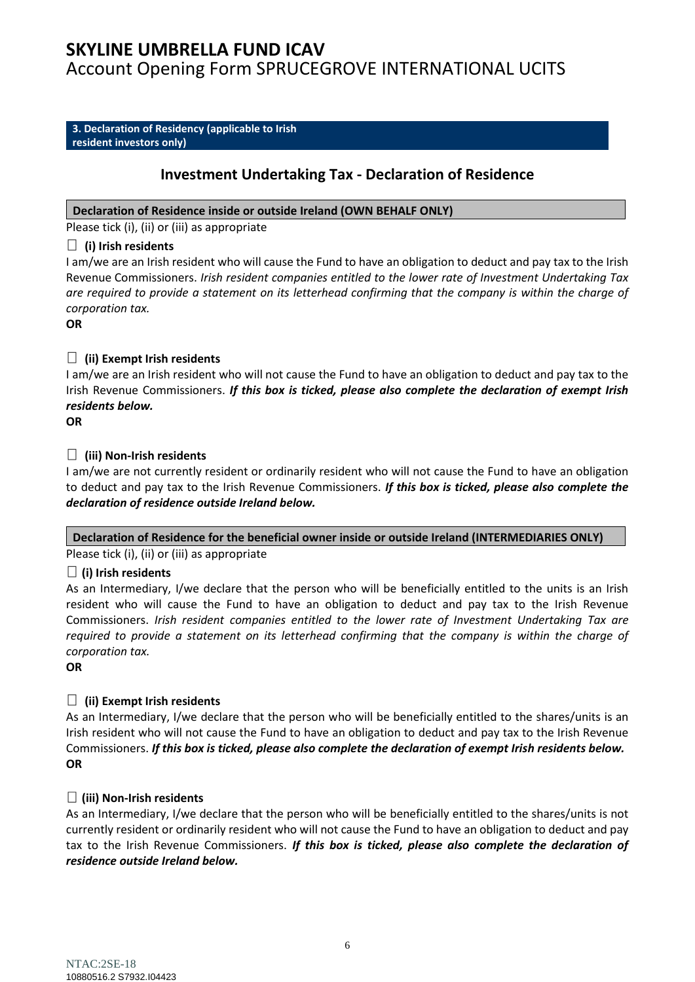# **SKYLINE UMBRELLA FUND ICAV**

Account Opening Form SPRUCEGROVE INTERNATIONAL UCITS

#### <span id="page-5-0"></span>**3. Declaration of Residency (applicable to Irish resident investors only)**

## **Investment Undertaking Tax - Declaration of Residence**

### **Declaration of Residence inside or outside Ireland (OWN BEHALF ONLY)**

Please tick (i), (ii) or (iii) as appropriate

## **(i) Irish residents**

I am/we are an Irish resident who will cause the Fund to have an obligation to deduct and pay tax to the Irish Revenue Commissioners. *Irish resident companies entitled to the lower rate of Investment Undertaking Tax are required to provide a statement on its letterhead confirming that the company is within the charge of corporation tax.*

**OR**

## **(ii) Exempt Irish residents**

I am/we are an Irish resident who will not cause the Fund to have an obligation to deduct and pay tax to the Irish Revenue Commissioners. *If this box is ticked, please also complete the declaration of exempt Irish residents below.*

**OR**

## **(iii) Non-Irish residents**

I am/we are not currently resident or ordinarily resident who will not cause the Fund to have an obligation to deduct and pay tax to the Irish Revenue Commissioners. *If this box is ticked, please also complete the declaration of residence outside Ireland below.*

### **Declaration of Residence for the beneficial owner inside or outside Ireland (INTERMEDIARIES ONLY)**

Please tick (i), (ii) or (iii) as appropriate

## **(i) Irish residents**

As an Intermediary, I/we declare that the person who will be beneficially entitled to the units is an Irish resident who will cause the Fund to have an obligation to deduct and pay tax to the Irish Revenue Commissioners. *Irish resident companies entitled to the lower rate of Investment Undertaking Tax are required to provide a statement on its letterhead confirming that the company is within the charge of corporation tax.*

**OR**

## **(ii) Exempt Irish residents**

As an Intermediary, I/we declare that the person who will be beneficially entitled to the shares/units is an Irish resident who will not cause the Fund to have an obligation to deduct and pay tax to the Irish Revenue Commissioners. *If this box is ticked, please also complete the declaration of exempt Irish residents below.* **OR**

## **(iii) Non-Irish residents**

As an Intermediary, I/we declare that the person who will be beneficially entitled to the shares/units is not currently resident or ordinarily resident who will not cause the Fund to have an obligation to deduct and pay tax to the Irish Revenue Commissioners. *If this box is ticked, please also complete the declaration of residence outside Ireland below.*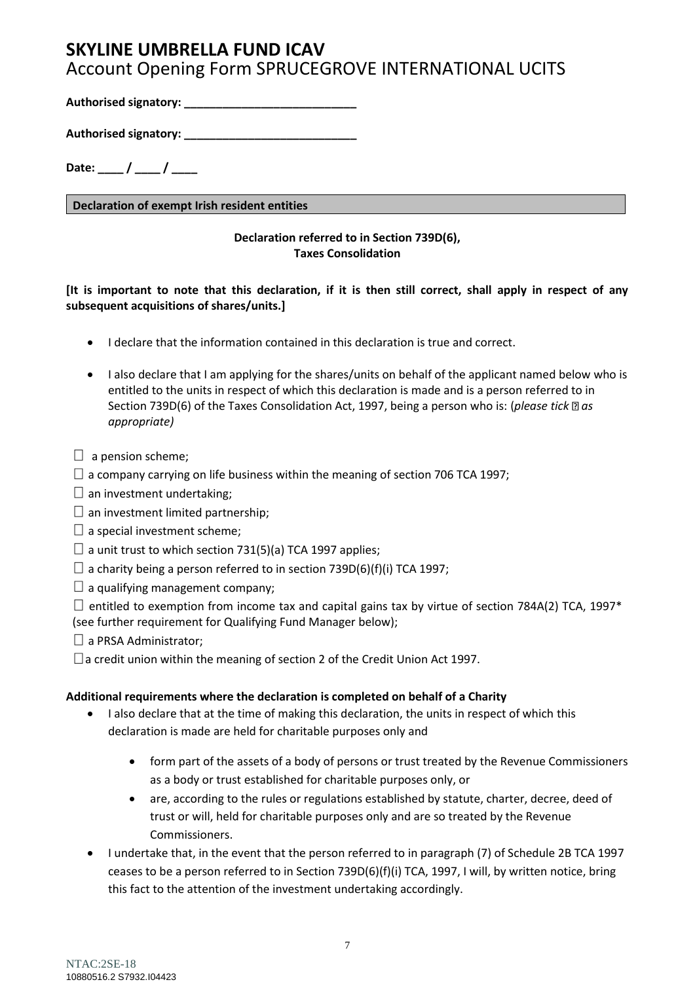**Authorised signatory: \_\_\_\_\_\_\_\_\_\_\_\_\_\_\_\_\_\_\_\_\_\_\_\_\_\_\_**

**Authorised signatory: \_\_\_\_\_\_\_\_\_\_\_\_\_\_\_\_\_\_\_\_\_\_\_\_\_\_\_**

Date: \_\_\_\_ / \_\_\_\_ / \_\_\_\_

**Declaration of exempt Irish resident entities**

## **Declaration referred to in Section 739D(6), Taxes Consolidation**

**[It is important to note that this declaration, if it is then still correct, shall apply in respect of any subsequent acquisitions of shares/units.]**

- I declare that the information contained in this declaration is true and correct.
- I also declare that I am applying for the shares/units on behalf of the applicant named below who is entitled to the units in respect of which this declaration is made and is a person referred to in Section 739D(6) of the Taxes Consolidation Act, 1997, being a person who is: (*please tick* as *appropriate)*
- $\Box$  a pension scheme;
- $\Box$  a company carrying on life business within the meaning of section 706 TCA 1997;
- $\Box$  an investment undertaking;
- $\Box$  an investment limited partnership;
- $\square$  a special investment scheme:
- $\Box$  a unit trust to which section 731(5)(a) TCA 1997 applies;
- $\Box$  a charity being a person referred to in section 739D(6)(f)(i) TCA 1997;
- $\Box$  a qualifying management company;

 $\Box$  entitled to exemption from income tax and capital gains tax by virtue of section 784A(2) TCA, 1997\* (see further requirement for Qualifying Fund Manager below);

- $\Box$  a PRSA Administrator;
- $\Box$  a credit union within the meaning of section 2 of the Credit Union Act 1997.

### **Additional requirements where the declaration is completed on behalf of a Charity**

- I also declare that at the time of making this declaration, the units in respect of which this declaration is made are held for charitable purposes only and
	- form part of the assets of a body of persons or trust treated by the Revenue Commissioners as a body or trust established for charitable purposes only, or
	- are, according to the rules or regulations established by statute, charter, decree, deed of trust or will, held for charitable purposes only and are so treated by the Revenue Commissioners.
- I undertake that, in the event that the person referred to in paragraph (7) of Schedule 2B TCA 1997 ceases to be a person referred to in Section 739D(6)(f)(i) TCA, 1997, I will, by written notice, bring this fact to the attention of the investment undertaking accordingly.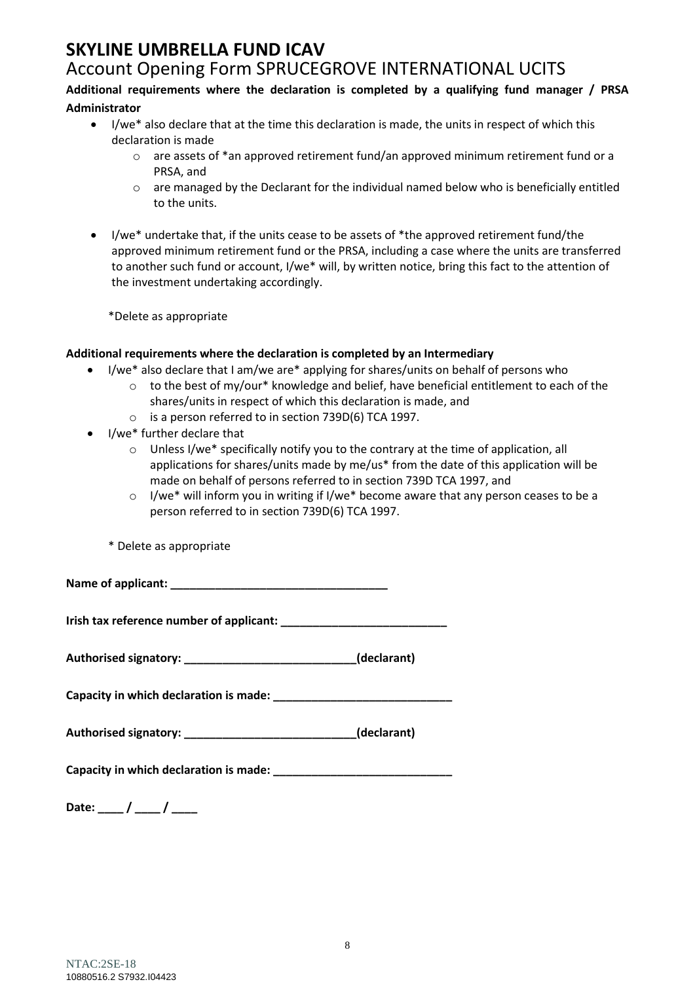# **SKYLINE UMBRELLA FUND ICAV**

## Account Opening Form SPRUCEGROVE INTERNATIONAL UCITS

## **Additional requirements where the declaration is completed by a qualifying fund manager / PRSA Administrator**

- I/we\* also declare that at the time this declaration is made, the units in respect of which this declaration is made
	- $\circ$  are assets of \*an approved retirement fund/an approved minimum retirement fund or a PRSA, and
	- o are managed by the Declarant for the individual named below who is beneficially entitled to the units.
- I/we\* undertake that, if the units cease to be assets of \*the approved retirement fund/the approved minimum retirement fund or the PRSA, including a case where the units are transferred to another such fund or account, I/we\* will, by written notice, bring this fact to the attention of the investment undertaking accordingly.

\*Delete as appropriate

## **Additional requirements where the declaration is completed by an Intermediary**

- I/we\* also declare that I am/we are\* applying for shares/units on behalf of persons who
	- $\circ$  to the best of my/our\* knowledge and belief, have beneficial entitlement to each of the shares/units in respect of which this declaration is made, and
	- o is a person referred to in section 739D(6) TCA 1997.
- I/we\* further declare that
	- o Unless I/we\* specifically notify you to the contrary at the time of application, all applications for shares/units made by me/us\* from the date of this application will be made on behalf of persons referred to in section 739D TCA 1997, and
	- o I/we\* will inform you in writing if I/we\* become aware that any person ceases to be a person referred to in section 739D(6) TCA 1997.
	- \* Delete as appropriate

**Name of applicant: \_\_\_\_\_\_\_\_\_\_\_\_\_\_\_\_\_\_\_\_\_\_\_\_\_\_\_\_\_\_\_\_\_\_**

**Irish tax reference number of applicant:** 

**Authorised signatory: \_\_\_\_\_\_\_\_\_\_\_\_\_\_\_\_\_\_\_\_\_\_\_\_\_\_\_(declarant)**

**Capacity in which declaration is made: \_\_\_\_\_\_\_\_\_\_\_\_\_\_\_\_\_\_\_\_\_\_\_\_\_\_\_\_**

| Authorised signatory: |  | (declarant) |
|-----------------------|--|-------------|
|-----------------------|--|-------------|

**Capacity in which declaration is made: \_\_\_\_\_\_\_\_\_\_\_\_\_\_\_\_\_\_\_\_\_\_\_\_\_\_\_\_**

Date: \_\_\_\_ / \_\_\_\_ / \_\_\_\_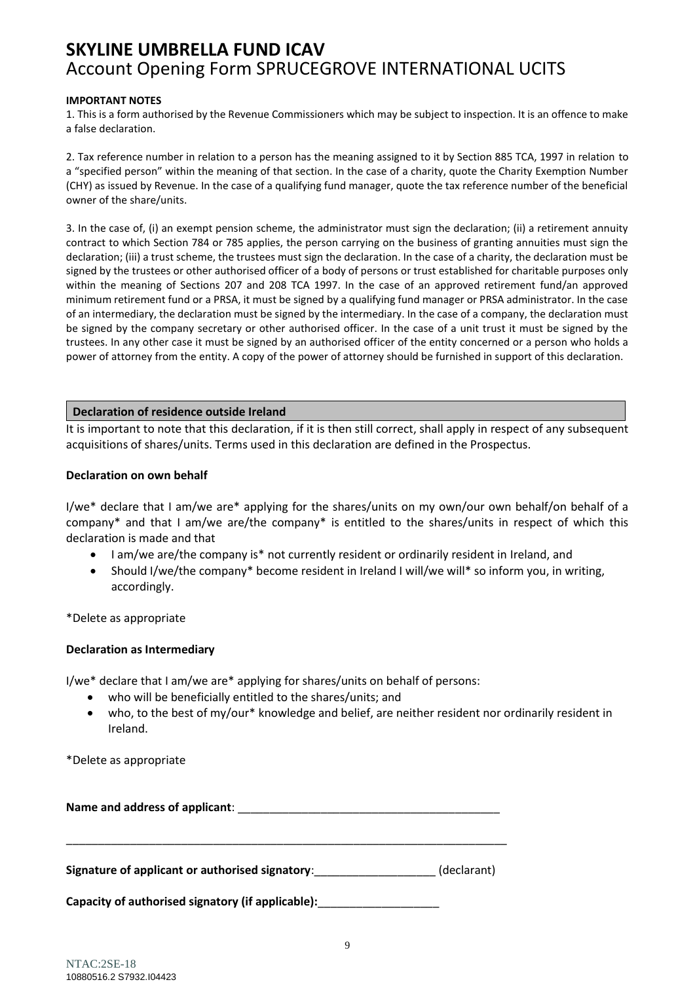#### **IMPORTANT NOTES**

1. This is a form authorised by the Revenue Commissioners which may be subject to inspection. It is an offence to make a false declaration.

2. Tax reference number in relation to a person has the meaning assigned to it by Section 885 TCA, 1997 in relation to a "specified person" within the meaning of that section. In the case of a charity, quote the Charity Exemption Number (CHY) as issued by Revenue. In the case of a qualifying fund manager, quote the tax reference number of the beneficial owner of the share/units.

3. In the case of, (i) an exempt pension scheme, the administrator must sign the declaration; (ii) a retirement annuity contract to which Section 784 or 785 applies, the person carrying on the business of granting annuities must sign the declaration; (iii) a trust scheme, the trustees must sign the declaration. In the case of a charity, the declaration must be signed by the trustees or other authorised officer of a body of persons or trust established for charitable purposes only within the meaning of Sections 207 and 208 TCA 1997. In the case of an approved retirement fund/an approved minimum retirement fund or a PRSA, it must be signed by a qualifying fund manager or PRSA administrator. In the case of an intermediary, the declaration must be signed by the intermediary. In the case of a company, the declaration must be signed by the company secretary or other authorised officer. In the case of a unit trust it must be signed by the trustees. In any other case it must be signed by an authorised officer of the entity concerned or a person who holds a power of attorney from the entity. A copy of the power of attorney should be furnished in support of this declaration.

### **Declaration of residence outside Ireland**

It is important to note that this declaration, if it is then still correct, shall apply in respect of any subsequent acquisitions of shares/units. Terms used in this declaration are defined in the Prospectus.

#### **Declaration on own behalf**

I/we\* declare that I am/we are\* applying for the shares/units on my own/our own behalf/on behalf of a company\* and that I am/we are/the company\* is entitled to the shares/units in respect of which this declaration is made and that

- I am/we are/the company is\* not currently resident or ordinarily resident in Ireland, and
- Should I/we/the company\* become resident in Ireland I will/we will\* so inform you, in writing, accordingly.

\*Delete as appropriate

#### **Declaration as Intermediary**

I/we\* declare that I am/we are\* applying for shares/units on behalf of persons:

- who will be beneficially entitled to the shares/units; and
- who, to the best of my/our\* knowledge and belief, are neither resident nor ordinarily resident in Ireland.

\*Delete as appropriate

| Name and address of applicant:                    |             |
|---------------------------------------------------|-------------|
| Signature of applicant or authorised signatory:   | (declarant) |
| Capacity of authorised signatory (if applicable): |             |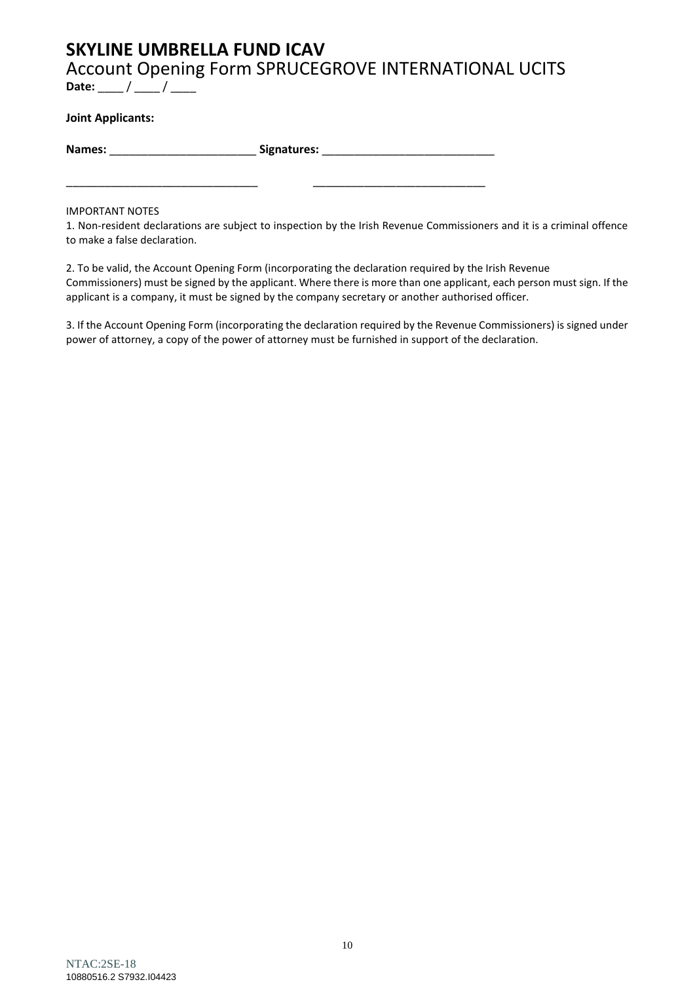# **SKYLINE UMBRELLA FUND ICAV**

Account Opening Form SPRUCEGROVE INTERNATIONAL UCITS Date: \_\_\_ / \_\_\_ / \_\_\_

### **Joint Applicants:**

**Names:** \_\_\_\_\_\_\_\_\_\_\_\_\_\_\_\_\_\_\_\_\_\_\_ **Signatures:** \_\_\_\_\_\_\_\_\_\_\_\_\_\_\_\_\_\_\_\_\_\_\_\_\_\_\_

\_\_\_\_\_\_\_\_\_\_\_\_\_\_\_\_\_\_\_\_\_\_\_\_\_\_\_\_\_\_ \_\_\_\_\_\_\_\_\_\_\_\_\_\_\_\_\_\_\_\_\_\_\_\_\_\_\_

IMPORTANT NOTES

1. Non-resident declarations are subject to inspection by the Irish Revenue Commissioners and it is a criminal offence to make a false declaration.

2. To be valid, the Account Opening Form (incorporating the declaration required by the Irish Revenue Commissioners) must be signed by the applicant. Where there is more than one applicant, each person must sign. If the applicant is a company, it must be signed by the company secretary or another authorised officer.

3. If the Account Opening Form (incorporating the declaration required by the Revenue Commissioners) is signed under power of attorney, a copy of the power of attorney must be furnished in support of the declaration.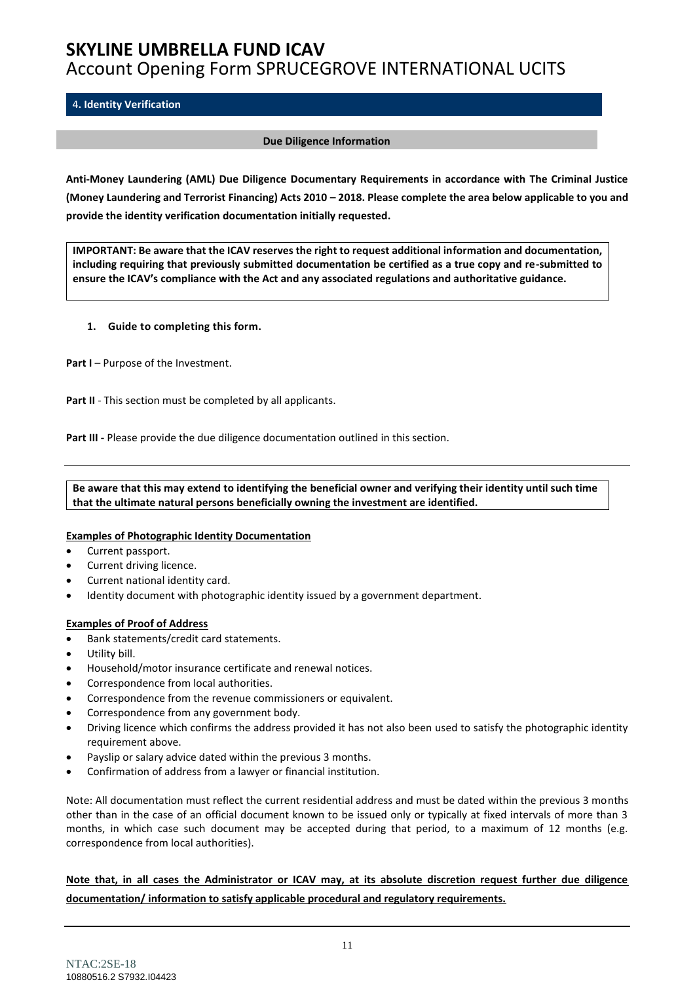#### <span id="page-10-0"></span>4**. Identity Verification**

#### **Due Diligence Information**

**Anti-Money Laundering (AML) Due Diligence Documentary Requirements in accordance with The Criminal Justice (Money Laundering and Terrorist Financing) Acts 2010 – 2018. Please complete the area below applicable to you and provide the identity verification documentation initially requested.** 

**IMPORTANT: Be aware that the ICAV reserves the right to request additional information and documentation, including requiring that previously submitted documentation be certified as a true copy and re-submitted to ensure the ICAV's compliance with the Act and any associated regulations and authoritative guidance.**

#### **1. Guide to completing this form.**

**Part I** – Purpose of the Investment.

Part II - This section must be completed by all applicants.

**Part III -** Please provide the due diligence documentation outlined in this section.

**Be aware that this may extend to identifying the beneficial owner and verifying their identity until such time that the ultimate natural persons beneficially owning the investment are identified.**

#### **Examples of Photographic Identity Documentation**

- Current passport.
- Current driving licence.
- Current national identity card.
- Identity document with photographic identity issued by a government department.

#### **Examples of Proof of Address**

- Bank statements/credit card statements.
- Utility bill.
- Household/motor insurance certificate and renewal notices.
- Correspondence from local authorities.
- Correspondence from the revenue commissioners or equivalent.
- Correspondence from any government body.
- Driving licence which confirms the address provided it has not also been used to satisfy the photographic identity requirement above.
- Payslip or salary advice dated within the previous 3 months.
- Confirmation of address from a lawyer or financial institution.

Note: All documentation must reflect the current residential address and must be dated within the previous 3 months other than in the case of an official document known to be issued only or typically at fixed intervals of more than 3 months, in which case such document may be accepted during that period, to a maximum of 12 months (e.g. correspondence from local authorities).

**Note that, in all cases the Administrator or ICAV may, at its absolute discretion request further due diligence documentation/ information to satisfy applicable procedural and regulatory requirements.**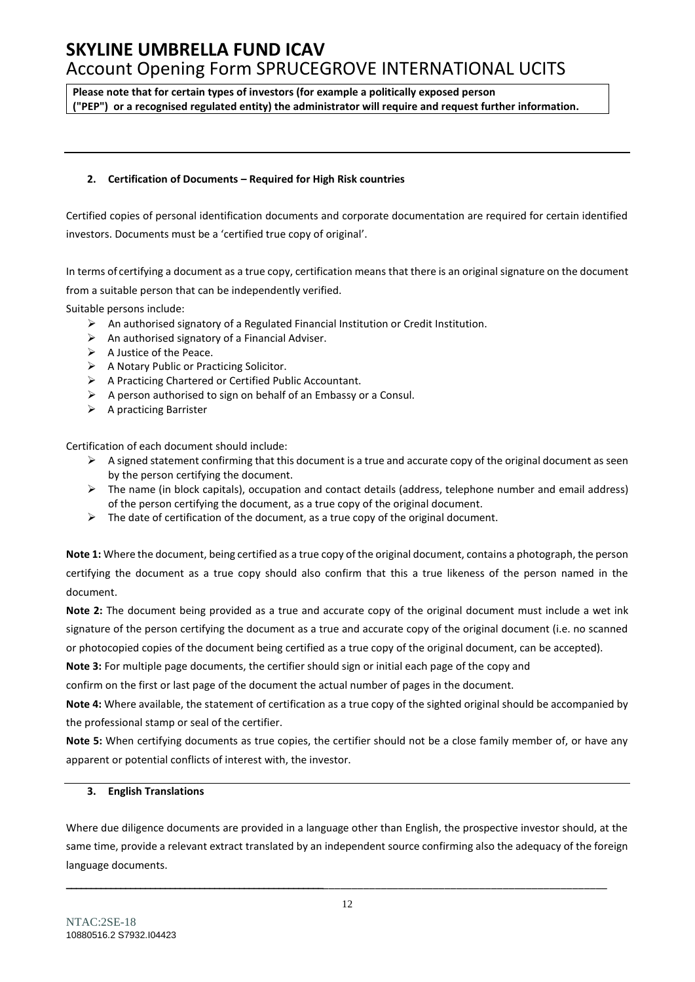**Please note that for certain types of investors (for example a politically exposed person ("PEP") or a recognised regulated entity) the administrator will require and request further information.**

#### **2. Certification of Documents – Required for High Risk countries**

Certified copies of personal identification documents and corporate documentation are required for certain identified investors. Documents must be a 'certified true copy of original'.

In terms of certifying a document as a true copy, certification means that there is an original signature on the document from a suitable person that can be independently verified.

Suitable persons include:

- ➢ An authorised signatory of a Regulated Financial Institution or Credit Institution.
- $\triangleright$  An authorised signatory of a Financial Adviser.
- ➢ A Justice of the Peace.
- ➢ A Notary Public or Practicing Solicitor.
- ➢ A Practicing Chartered or Certified Public Accountant.
- $\triangleright$  A person authorised to sign on behalf of an Embassy or a Consul.
- ➢ A practicing Barrister

Certification of each document should include:

- $\triangleright$  A signed statement confirming that this document is a true and accurate copy of the original document as seen by the person certifying the document.
- ➢ The name (in block capitals), occupation and contact details (address, telephone number and email address) of the person certifying the document, as a true copy of the original document.
- $\triangleright$  The date of certification of the document, as a true copy of the original document.

**Note 1:** Where the document, being certified as a true copy of the original document, contains a photograph, the person certifying the document as a true copy should also confirm that this a true likeness of the person named in the document.

**Note 2:** The document being provided as a true and accurate copy of the original document must include a wet ink signature of the person certifying the document as a true and accurate copy of the original document (i.e. no scanned or photocopied copies of the document being certified as a true copy of the original document, can be accepted).

**Note 3:** For multiple page documents, the certifier should sign or initial each page of the copy and

confirm on the first or last page of the document the actual number of pages in the document.

**Note 4:** Where available, the statement of certification as a true copy of the sighted original should be accompanied by the professional stamp or seal of the certifier.

**Note 5:** When certifying documents as true copies, the certifier should not be a close family member of, or have any apparent or potential conflicts of interest with, the investor.

#### **3. English Translations**

Where due diligence documents are provided in a language other than English, the prospective investor should, at the same time, provide a relevant extract translated by an independent source confirming also the adequacy of the foreign language documents.

**\_\_\_\_\_\_\_\_\_\_\_\_\_\_\_\_\_\_\_\_\_\_\_\_\_\_\_\_\_\_\_\_\_\_\_\_\_\_\_\_\_\_\_\_\_\_\_\_\_\_\_\_**\_\_\_\_\_\_\_\_\_\_\_\_\_\_\_\_\_\_\_\_\_\_\_\_\_\_\_\_\_\_\_\_\_\_\_\_\_\_\_\_\_\_\_\_\_\_\_\_\_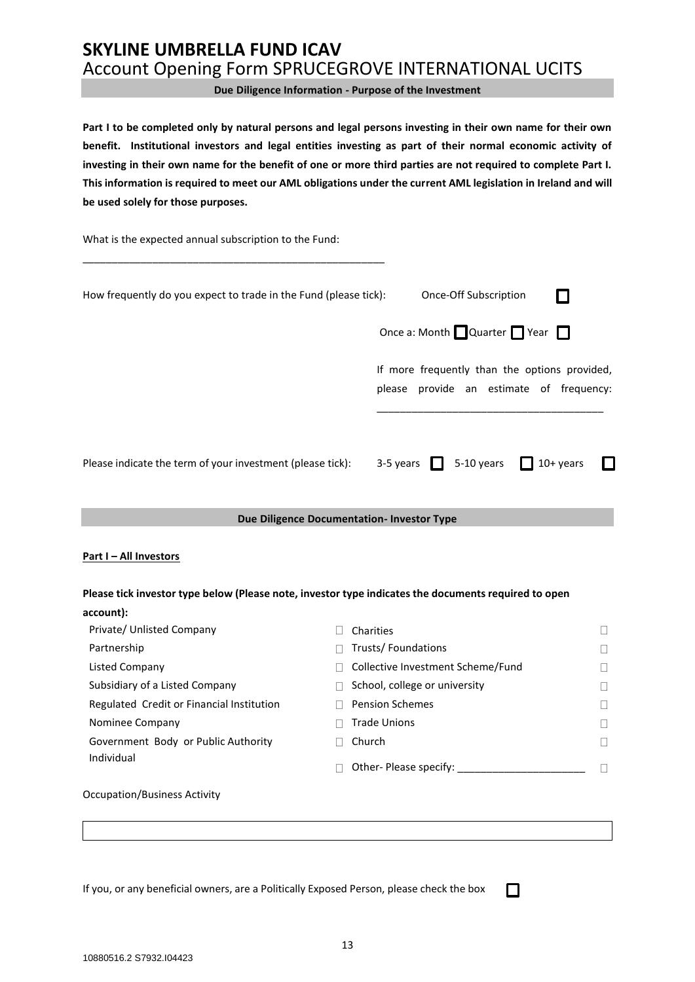**Due Diligence Information - Purpose of the Investment**

**Part I to be completed only by natural persons and legal persons investing in their own name for their own benefit. Institutional investors and legal entities investing as part of their normal economic activity of investing in their own name for the benefit of one or more third parties are not required to complete Part I. This information is required to meet our AML obligations under the current AML legislation in Ireland and will be used solely for those purposes.**

What is the expected annual subscription to the Fund:

\_\_\_\_\_\_\_\_\_\_\_\_\_\_\_\_\_\_\_\_\_\_\_\_\_\_\_\_\_\_\_\_\_\_\_\_\_\_\_\_\_\_\_\_\_\_\_\_\_\_\_\_

| How frequently do you expect to trade in the Fund (please tick):                                     | Once-Off Subscription                                                                                              |
|------------------------------------------------------------------------------------------------------|--------------------------------------------------------------------------------------------------------------------|
|                                                                                                      | Once a: Month $\Box$ Quarter $\Box$ Year $\Box$                                                                    |
|                                                                                                      | If more frequently than the options provided,<br>please provide an estimate of frequency:                          |
| Please indicate the term of your investment (please tick):                                           | 3-5 years $\begin{array}{ c c } \hline \end{array}$ 5-10 years $\begin{array}{ c c } \hline \end{array}$ 10+ years |
|                                                                                                      | Due Diligence Documentation- Investor Type                                                                         |
| <b>Part I-All Investors</b>                                                                          |                                                                                                                    |
| Please tick investor type below (Please note, investor type indicates the documents required to open |                                                                                                                    |
| account):                                                                                            |                                                                                                                    |
| Private/ Unlisted Company                                                                            | Charities                                                                                                          |
| Partnership                                                                                          | Trusts/Foundations                                                                                                 |

| Listed Company |  |
|----------------|--|

| Partnership                               | Trusts/Foundations                |        |
|-------------------------------------------|-----------------------------------|--------|
| Listed Company                            | Collective Investment Scheme/Fund |        |
| Subsidiary of a Listed Company            | School, college or university     |        |
| Regulated Credit or Financial Institution | <b>Pension Schemes</b>            |        |
| Nominee Company                           | <b>Trade Unions</b>               | $\Box$ |
| Government Body or Public Authority       | Church                            |        |
| Individual                                | Other- Please specify:            |        |
|                                           |                                   |        |

П

Occupation/Business Activity

If you, or any beneficial owners, are a Politically Exposed Person, please check the box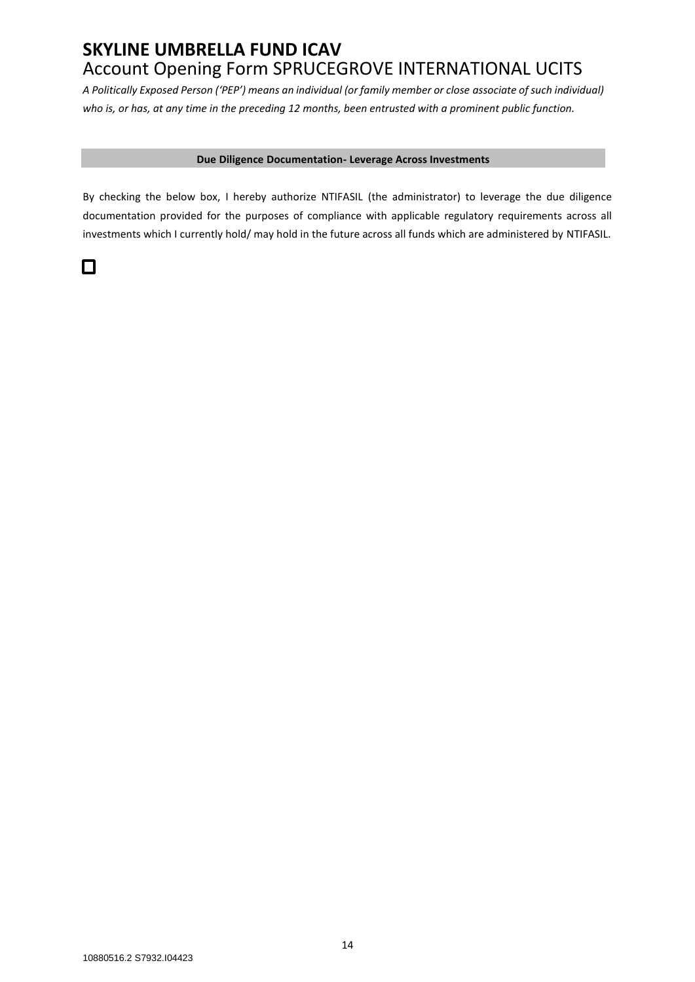*A Politically Exposed Person ('PEP') means an individual (or family member or close associate of such individual) who is, or has, at any time in the preceding 12 months, been entrusted with a prominent public function.*

#### **Due Diligence Documentation- Leverage Across Investments**

By checking the below box, I hereby authorize NTIFASIL (the administrator) to leverage the due diligence documentation provided for the purposes of compliance with applicable regulatory requirements across all investments which I currently hold/ may hold in the future across all funds which are administered by NTIFASIL.

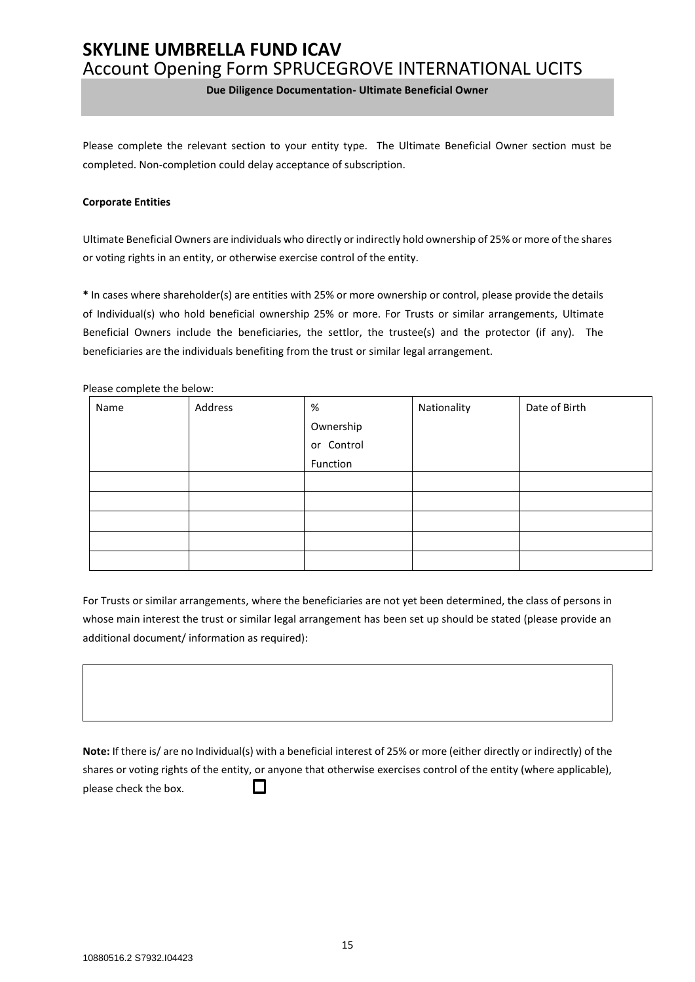**Due Diligence Documentation- Ultimate Beneficial Owner**

Please complete the relevant section to your entity type. The Ultimate Beneficial Owner section must be completed. Non-completion could delay acceptance of subscription.

#### **Corporate Entities**

Ultimate Beneficial Owners are individuals who directly or indirectly hold ownership of 25% or more of the shares or voting rights in an entity, or otherwise exercise control of the entity.

**\*** In cases where shareholder(s) are entities with 25% or more ownership or control, please provide the details of Individual(s) who hold beneficial ownership 25% or more. For Trusts or similar arrangements, Ultimate Beneficial Owners include the beneficiaries, the settlor, the trustee(s) and the protector (if any). The beneficiaries are the individuals benefiting from the trust or similar legal arrangement.

Please complete the below:

| Name | Address | $\%$       | Nationality | Date of Birth |
|------|---------|------------|-------------|---------------|
|      |         | Ownership  |             |               |
|      |         | or Control |             |               |
|      |         | Function   |             |               |
|      |         |            |             |               |
|      |         |            |             |               |
|      |         |            |             |               |
|      |         |            |             |               |
|      |         |            |             |               |

For Trusts or similar arrangements, where the beneficiaries are not yet been determined, the class of persons in whose main interest the trust or similar legal arrangement has been set up should be stated (please provide an additional document/ information as required):

**Note:** If there is/ are no Individual(s) with a beneficial interest of 25% or more (either directly or indirectly) of the shares or voting rights of the entity, or anyone that otherwise exercises control of the entity (where applicable),  $\Box$ please check the box.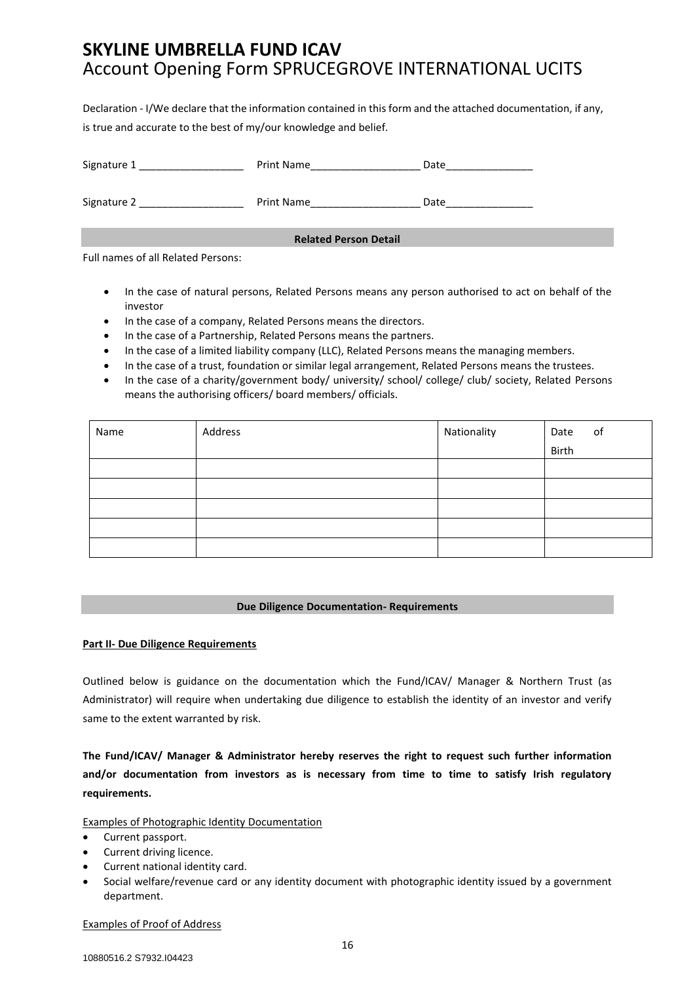Declaration - I/We declare that the information contained in this form and the attached documentation, if any, is true and accurate to the best of my/our knowledge and belief.

| Signature 1 | Print Name                   | Date |
|-------------|------------------------------|------|
| Signature 2 | Print Name                   | Date |
|             | <b>Related Person Detail</b> |      |

Full names of all Related Persons:

- In the case of natural persons, Related Persons means any person authorised to act on behalf of the investor
- In the case of a company, Related Persons means the directors.
- In the case of a Partnership, Related Persons means the partners.
- In the case of a limited liability company (LLC), Related Persons means the managing members.
- In the case of a trust, foundation or similar legal arrangement, Related Persons means the trustees.
- In the case of a charity/government body/ university/ school/ college/ club/ society, Related Persons means the authorising officers/ board members/ officials.

| Name | Address | Nationality | of<br>Date |
|------|---------|-------------|------------|
|      |         |             | Birth      |
|      |         |             |            |
|      |         |             |            |
|      |         |             |            |
|      |         |             |            |
|      |         |             |            |

#### **Due Diligence Documentation- Requirements**

#### **Part II- Due Diligence Requirements**

Outlined below is guidance on the documentation which the Fund/ICAV/ Manager & Northern Trust (as Administrator) will require when undertaking due diligence to establish the identity of an investor and verify same to the extent warranted by risk.

**The Fund/ICAV/ Manager & Administrator hereby reserves the right to request such further information and/or documentation from investors as is necessary from time to time to satisfy Irish regulatory requirements.**

#### Examples of Photographic Identity Documentation

- Current passport.
- Current driving licence.
- Current national identity card.
- Social welfare/revenue card or any identity document with photographic identity issued by a government department.

#### Examples of Proof of Address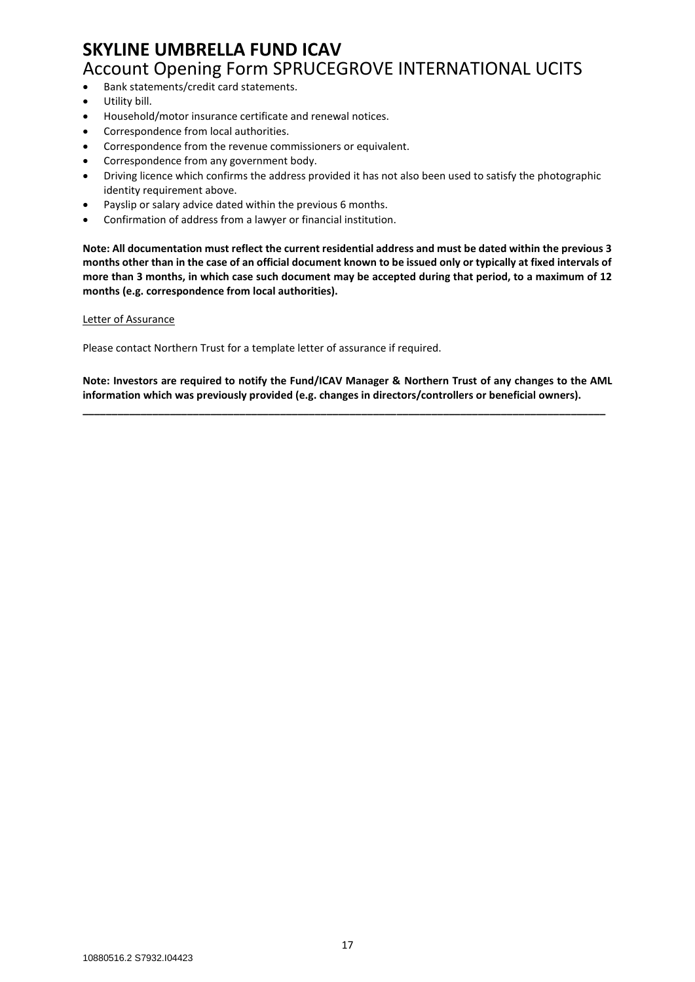- Bank statements/credit card statements.
- Utility bill.
- Household/motor insurance certificate and renewal notices.
- Correspondence from local authorities.
- Correspondence from the revenue commissioners or equivalent.
- Correspondence from any government body.
- Driving licence which confirms the address provided it has not also been used to satisfy the photographic identity requirement above.
- Payslip or salary advice dated within the previous 6 months.
- Confirmation of address from a lawyer or financial institution.

**Note: All documentation must reflect the current residential address and must be dated within the previous 3 months other than in the case of an official document known to be issued only or typically at fixed intervals of more than 3 months, in which case such document may be accepted during that period, to a maximum of 12 months (e.g. correspondence from local authorities).** 

Letter of Assurance

Please contact Northern Trust for a template letter of assurance if required.

**Note: Investors are required to notify the Fund/ICAV Manager & Northern Trust of any changes to the AML information which was previously provided (e.g. changes in directors/controllers or beneficial owners).**

**\_\_\_\_\_\_\_\_\_\_\_\_\_\_\_\_\_\_\_\_\_\_\_\_\_\_\_\_\_\_\_\_\_\_\_\_\_\_\_\_\_\_\_\_\_\_\_\_\_\_\_\_\_\_\_\_\_\_\_\_\_\_\_\_\_\_\_\_\_\_\_\_\_\_\_\_\_\_\_\_\_\_\_\_\_\_\_\_\_\_**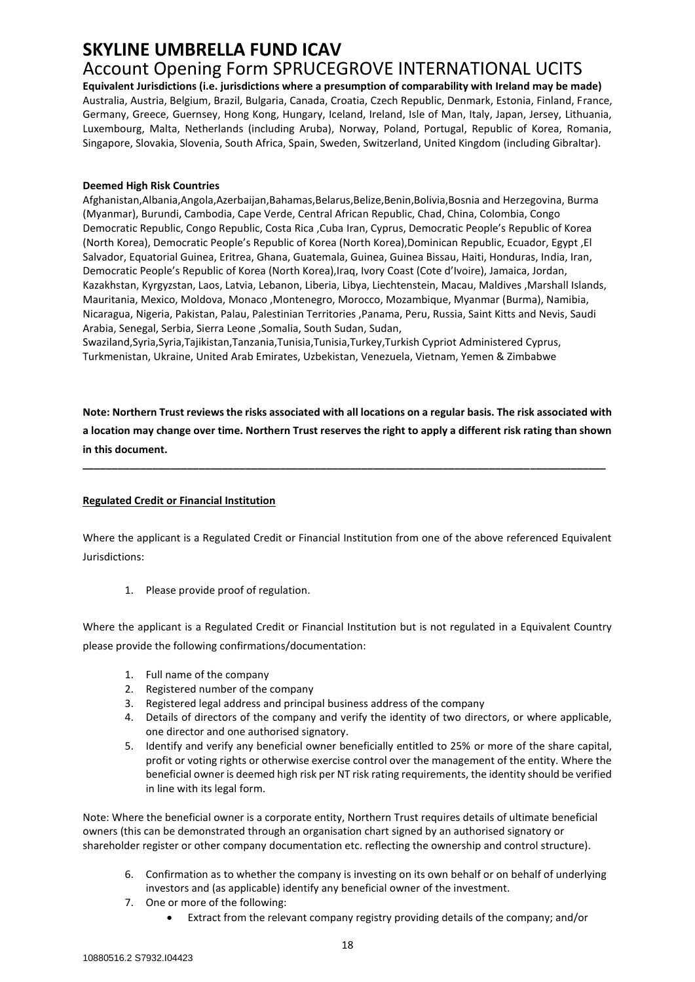# **SKYLINE UMBRELLA FUND ICAV**

## Account Opening Form SPRUCEGROVE INTERNATIONAL UCITS

**Equivalent Jurisdictions (i.e. jurisdictions where a presumption of comparability with Ireland may be made)**  Australia, Austria, Belgium, Brazil, Bulgaria, Canada, Croatia, Czech Republic, Denmark, Estonia, Finland, France, Germany, Greece, Guernsey, Hong Kong, Hungary, Iceland, Ireland, Isle of Man, Italy, Japan, Jersey, Lithuania, Luxembourg, Malta, Netherlands (including Aruba), Norway, Poland, Portugal, Republic of Korea, Romania, Singapore, Slovakia, Slovenia, South Africa, Spain, Sweden, Switzerland, United Kingdom (including Gibraltar).

#### **Deemed High Risk Countries**

Afghanistan,Albania,Angola,Azerbaijan,Bahamas,Belarus,Belize,Benin,Bolivia,Bosnia and Herzegovina, Burma (Myanmar), Burundi, Cambodia, Cape Verde, Central African Republic, Chad, China, Colombia, Congo Democratic Republic, Congo Republic, Costa Rica ,Cuba Iran, Cyprus, Democratic People's Republic of Korea (North Korea), Democratic People's Republic of Korea (North Korea),Dominican Republic, Ecuador, Egypt ,El Salvador, Equatorial Guinea, Eritrea, Ghana, Guatemala, Guinea, Guinea Bissau, Haiti, Honduras, India, Iran, Democratic People's Republic of Korea (North Korea),Iraq, Ivory Coast (Cote d'Ivoire), Jamaica, Jordan, Kazakhstan, Kyrgyzstan, Laos, Latvia, Lebanon, Liberia, Libya, Liechtenstein, Macau, Maldives ,Marshall Islands, Mauritania, Mexico, Moldova, Monaco ,Montenegro, Morocco, Mozambique, Myanmar (Burma), Namibia, Nicaragua, Nigeria, Pakistan, Palau, Palestinian Territories ,Panama, Peru, Russia, Saint Kitts and Nevis, Saudi Arabia, Senegal, Serbia, Sierra Leone ,Somalia, South Sudan, Sudan,

Swaziland,Syria,Syria,Tajikistan,Tanzania,Tunisia,Tunisia,Turkey,Turkish Cypriot Administered Cyprus, Turkmenistan, Ukraine, United Arab Emirates, Uzbekistan, Venezuela, Vietnam, Yemen & Zimbabwe

**Note: Northern Trust reviews the risks associated with all locations on a regular basis. The risk associated with a location may change over time. Northern Trust reserves the right to apply a different risk rating than shown in this document.** 

**\_\_\_\_\_\_\_\_\_\_\_\_\_\_\_\_\_\_\_\_\_\_\_\_\_\_\_\_\_\_\_\_\_\_\_\_\_\_\_\_\_\_\_\_\_\_\_\_\_\_\_\_\_\_\_\_\_\_\_\_\_\_\_\_\_\_\_\_\_\_\_\_\_\_\_\_\_\_\_\_\_\_\_\_\_\_\_\_\_\_**

#### **Regulated Credit or Financial Institution**

Where the applicant is a Regulated Credit or Financial Institution from one of the above referenced Equivalent Jurisdictions:

1. Please provide proof of regulation.

Where the applicant is a Regulated Credit or Financial Institution but is not regulated in a Equivalent Country please provide the following confirmations/documentation:

- 1. Full name of the company
- 2. Registered number of the company
- 3. Registered legal address and principal business address of the company
- 4. Details of directors of the company and verify the identity of two directors, or where applicable, one director and one authorised signatory.
- 5. Identify and verify any beneficial owner beneficially entitled to 25% or more of the share capital, profit or voting rights or otherwise exercise control over the management of the entity. Where the beneficial owner is deemed high risk per NT risk rating requirements, the identity should be verified in line with its legal form.

Note: Where the beneficial owner is a corporate entity, Northern Trust requires details of ultimate beneficial owners (this can be demonstrated through an organisation chart signed by an authorised signatory or shareholder register or other company documentation etc. reflecting the ownership and control structure).

- 6. Confirmation as to whether the company is investing on its own behalf or on behalf of underlying investors and (as applicable) identify any beneficial owner of the investment.
- 7. One or more of the following:
	- Extract from the relevant company registry providing details of the company; and/or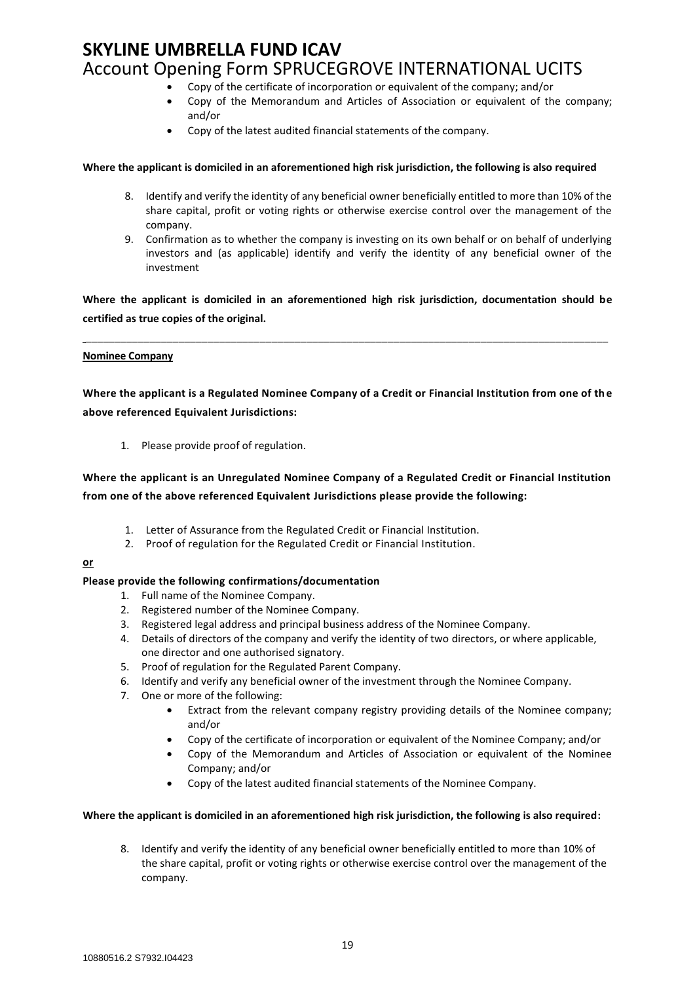- Copy of the certificate of incorporation or equivalent of the company; and/or
- Copy of the Memorandum and Articles of Association or equivalent of the company; and/or
- Copy of the latest audited financial statements of the company.

#### **Where the applicant is domiciled in an aforementioned high risk jurisdiction, the following is also required**

- 8. Identify and verify the identity of any beneficial owner beneficially entitled to more than 10% of the share capital, profit or voting rights or otherwise exercise control over the management of the company.
- 9. Confirmation as to whether the company is investing on its own behalf or on behalf of underlying investors and (as applicable) identify and verify the identity of any beneficial owner of the investment

**Where the applicant is domiciled in an aforementioned high risk jurisdiction, documentation should be certified as true copies of the original.**

\_\_\_\_\_\_\_\_\_\_\_\_\_\_\_\_\_\_\_\_\_\_\_\_\_\_\_\_\_\_\_\_\_\_\_\_\_\_\_\_\_\_\_\_\_\_\_\_\_\_\_\_\_\_\_\_\_\_\_\_\_\_\_\_\_\_\_\_\_\_\_\_\_\_\_\_\_\_\_\_\_\_\_\_\_\_\_\_\_\_

#### **Nominee Company**

**Where the applicant is a Regulated Nominee Company of a Credit or Financial Institution from one of th e above referenced Equivalent Jurisdictions:**

1. Please provide proof of regulation.

## **Where the applicant is an Unregulated Nominee Company of a Regulated Credit or Financial Institution from one of the above referenced Equivalent Jurisdictions please provide the following:**

- 1. Letter of Assurance from the Regulated Credit or Financial Institution.
- 2. Proof of regulation for the Regulated Credit or Financial Institution.

#### **or**

#### **Please provide the following confirmations/documentation**

- 1. Full name of the Nominee Company.
- 2. Registered number of the Nominee Company.
- 3. Registered legal address and principal business address of the Nominee Company.
- 4. Details of directors of the company and verify the identity of two directors, or where applicable, one director and one authorised signatory.
- 5. Proof of regulation for the Regulated Parent Company.
- 6. Identify and verify any beneficial owner of the investment through the Nominee Company.
- 7. One or more of the following:
	- Extract from the relevant company registry providing details of the Nominee company; and/or
	- Copy of the certificate of incorporation or equivalent of the Nominee Company; and/or
	- Copy of the Memorandum and Articles of Association or equivalent of the Nominee Company; and/or
	- Copy of the latest audited financial statements of the Nominee Company.

#### **Where the applicant is domiciled in an aforementioned high risk jurisdiction, the following is also required:**

8. Identify and verify the identity of any beneficial owner beneficially entitled to more than 10% of the share capital, profit or voting rights or otherwise exercise control over the management of the company.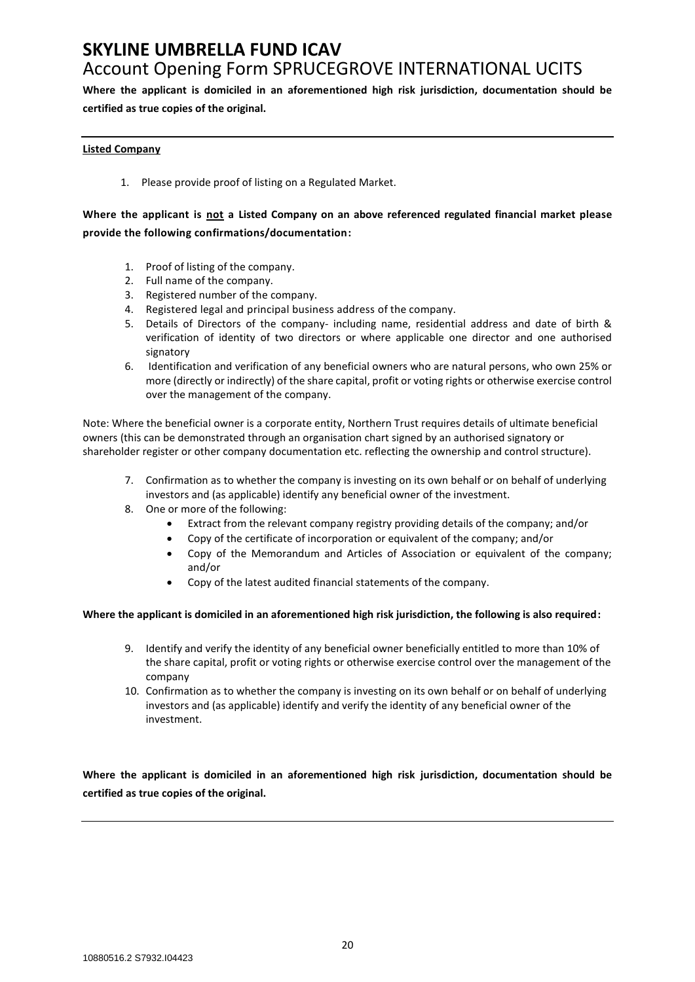**Where the applicant is domiciled in an aforementioned high risk jurisdiction, documentation should be certified as true copies of the original.**

#### **Listed Company**

1. Please provide proof of listing on a Regulated Market.

## **Where the applicant is not a Listed Company on an above referenced regulated financial market please provide the following confirmations/documentation:**

- 1. Proof of listing of the company.
- 2. Full name of the company.
- 3. Registered number of the company.
- 4. Registered legal and principal business address of the company.
- 5. Details of Directors of the company- including name, residential address and date of birth & verification of identity of two directors or where applicable one director and one authorised signatory
- 6. Identification and verification of any beneficial owners who are natural persons, who own 25% or more (directly or indirectly) of the share capital, profit or voting rights or otherwise exercise control over the management of the company.

Note: Where the beneficial owner is a corporate entity, Northern Trust requires details of ultimate beneficial owners (this can be demonstrated through an organisation chart signed by an authorised signatory or shareholder register or other company documentation etc. reflecting the ownership and control structure).

- 7. Confirmation as to whether the company is investing on its own behalf or on behalf of underlying investors and (as applicable) identify any beneficial owner of the investment.
- 8. One or more of the following:
	- Extract from the relevant company registry providing details of the company; and/or
	- Copy of the certificate of incorporation or equivalent of the company; and/or
	- Copy of the Memorandum and Articles of Association or equivalent of the company; and/or
	- Copy of the latest audited financial statements of the company.

#### **Where the applicant is domiciled in an aforementioned high risk jurisdiction, the following is also required:**

- 9. Identify and verify the identity of any beneficial owner beneficially entitled to more than 10% of the share capital, profit or voting rights or otherwise exercise control over the management of the company
- 10. Confirmation as to whether the company is investing on its own behalf or on behalf of underlying investors and (as applicable) identify and verify the identity of any beneficial owner of the investment.

**Where the applicant is domiciled in an aforementioned high risk jurisdiction, documentation should be certified as true copies of the original.**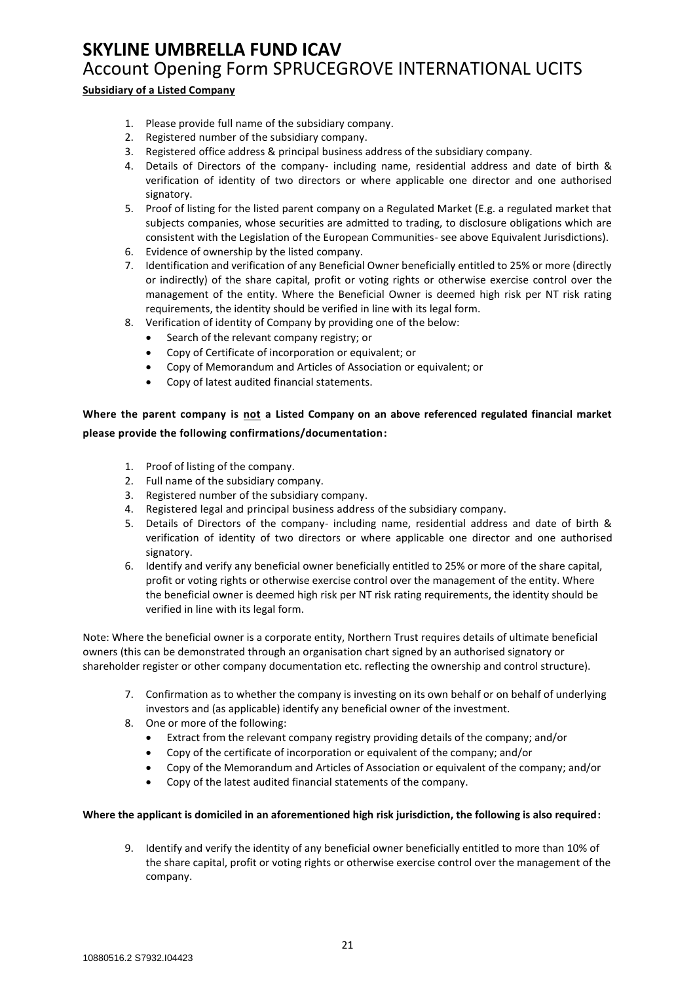### **Subsidiary of a Listed Company**

- 1. Please provide full name of the subsidiary company.
- 2. Registered number of the subsidiary company.
- 3. Registered office address & principal business address of the subsidiary company.
- 4. Details of Directors of the company- including name, residential address and date of birth & verification of identity of two directors or where applicable one director and one authorised signatory.
- 5. Proof of listing for the listed parent company on a Regulated Market (E.g. a regulated market that subjects companies, whose securities are admitted to trading, to disclosure obligations which are consistent with the Legislation of the European Communities- see above Equivalent Jurisdictions).
- 6. Evidence of ownership by the listed company.
- 7. Identification and verification of any Beneficial Owner beneficially entitled to 25% or more (directly or indirectly) of the share capital, profit or voting rights or otherwise exercise control over the management of the entity. Where the Beneficial Owner is deemed high risk per NT risk rating requirements, the identity should be verified in line with its legal form.
- 8. Verification of identity of Company by providing one of the below:
	- Search of the relevant company registry; or
	- Copy of Certificate of incorporation or equivalent; or
	- Copy of Memorandum and Articles of Association or equivalent; or
	- Copy of latest audited financial statements.

## **Where the parent company is not a Listed Company on an above referenced regulated financial market please provide the following confirmations/documentation:**

- 1. Proof of listing of the company.
- 2. Full name of the subsidiary company.
- 3. Registered number of the subsidiary company.
- 4. Registered legal and principal business address of the subsidiary company.
- 5. Details of Directors of the company- including name, residential address and date of birth & verification of identity of two directors or where applicable one director and one authorised signatory.
- 6. Identify and verify any beneficial owner beneficially entitled to 25% or more of the share capital, profit or voting rights or otherwise exercise control over the management of the entity. Where the beneficial owner is deemed high risk per NT risk rating requirements, the identity should be verified in line with its legal form.

Note: Where the beneficial owner is a corporate entity, Northern Trust requires details of ultimate beneficial owners (this can be demonstrated through an organisation chart signed by an authorised signatory or shareholder register or other company documentation etc. reflecting the ownership and control structure).

- 7. Confirmation as to whether the company is investing on its own behalf or on behalf of underlying investors and (as applicable) identify any beneficial owner of the investment.
- 8. One or more of the following:
	- Extract from the relevant company registry providing details of the company; and/or
	- Copy of the certificate of incorporation or equivalent of the company; and/or
	- Copy of the Memorandum and Articles of Association or equivalent of the company; and/or
	- Copy of the latest audited financial statements of the company.

#### **Where the applicant is domiciled in an aforementioned high risk jurisdiction, the following is also required:**

9. Identify and verify the identity of any beneficial owner beneficially entitled to more than 10% of the share capital, profit or voting rights or otherwise exercise control over the management of the company.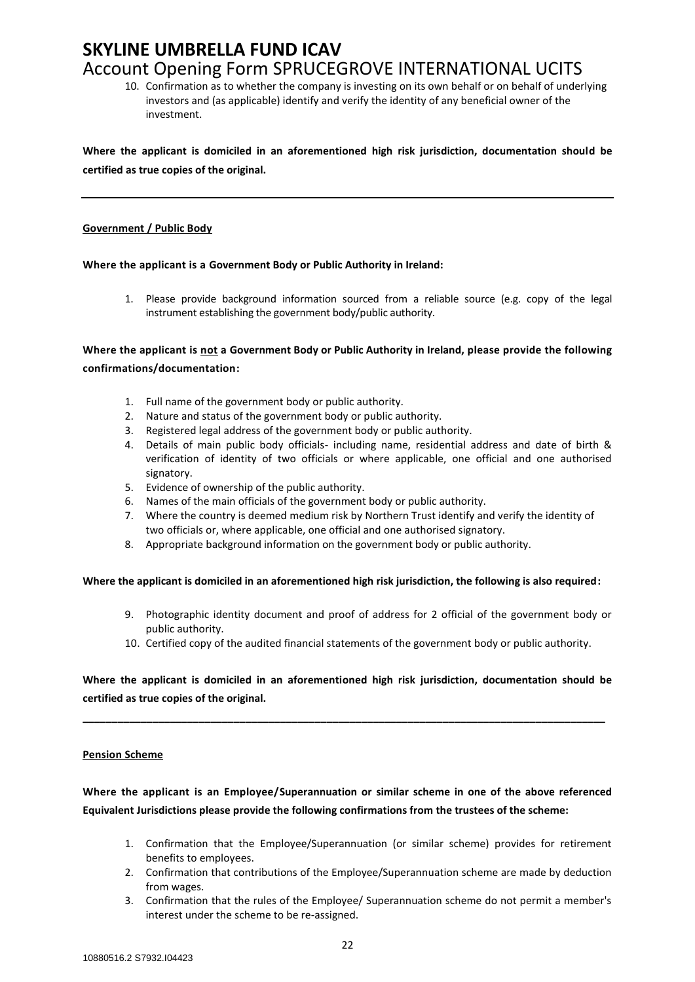10. Confirmation as to whether the company is investing on its own behalf or on behalf of underlying investors and (as applicable) identify and verify the identity of any beneficial owner of the investment.

**Where the applicant is domiciled in an aforementioned high risk jurisdiction, documentation should be certified as true copies of the original.**

#### **Government / Public Body**

#### **Where the applicant is a Government Body or Public Authority in Ireland:**

1. Please provide background information sourced from a reliable source (e.g. copy of the legal instrument establishing the government body/public authority.

**Where the applicant is not a Government Body or Public Authority in Ireland, please provide the following confirmations/documentation:**

- 1. Full name of the government body or public authority.
- 2. Nature and status of the government body or public authority.
- 3. Registered legal address of the government body or public authority.
- 4. Details of main public body officials- including name, residential address and date of birth & verification of identity of two officials or where applicable, one official and one authorised signatory.
- 5. Evidence of ownership of the public authority.
- 6. Names of the main officials of the government body or public authority.
- 7. Where the country is deemed medium risk by Northern Trust identify and verify the identity of two officials or, where applicable, one official and one authorised signatory.
- 8. Appropriate background information on the government body or public authority.

#### **Where the applicant is domiciled in an aforementioned high risk jurisdiction, the following is also required:**

- 9. Photographic identity document and proof of address for 2 official of the government body or public authority.
- 10. Certified copy of the audited financial statements of the government body or public authority.

**Where the applicant is domiciled in an aforementioned high risk jurisdiction, documentation should be certified as true copies of the original.**

**\_\_\_\_\_\_\_\_\_\_\_\_\_\_\_\_\_\_\_\_\_\_\_\_\_\_\_\_\_\_\_\_\_\_\_\_\_\_\_\_\_\_\_\_\_\_\_\_\_\_\_\_\_\_\_\_\_\_\_\_\_\_\_\_\_\_\_\_\_\_\_\_\_\_\_\_\_\_\_\_\_\_\_\_\_\_\_\_\_\_**

#### **Pension Scheme**

## **Where the applicant is an Employee/Superannuation or similar scheme in one of the above referenced Equivalent Jurisdictions please provide the following confirmations from the trustees of the scheme:**

- 1. Confirmation that the Employee/Superannuation (or similar scheme) provides for retirement benefits to employees.
- 2. Confirmation that contributions of the Employee/Superannuation scheme are made by deduction from wages.
- 3. Confirmation that the rules of the Employee/ Superannuation scheme do not permit a member's interest under the scheme to be re-assigned.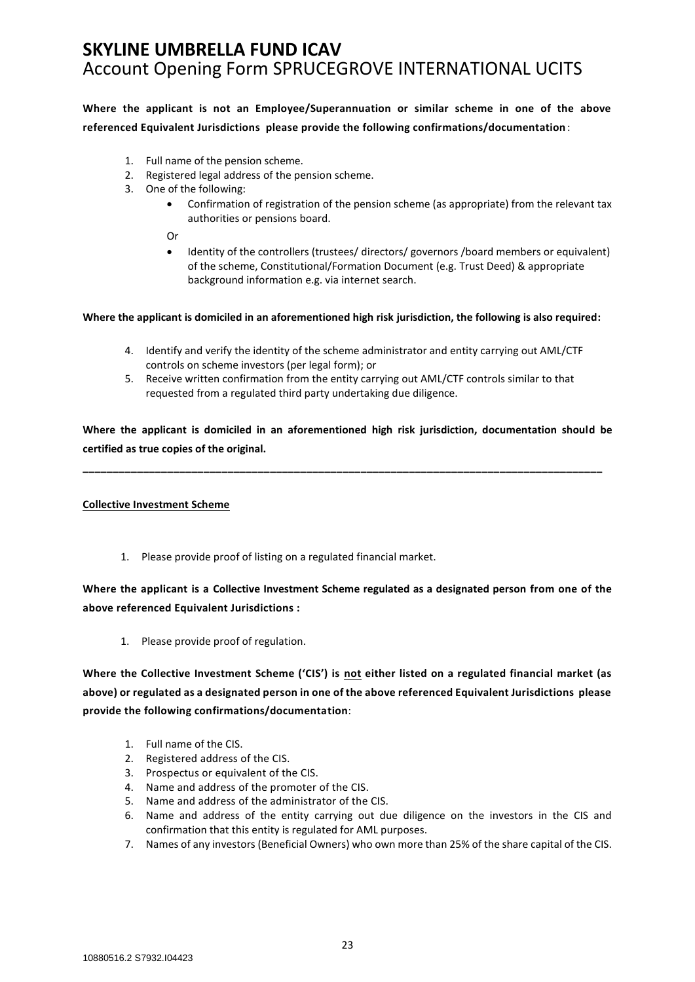**Where the applicant is not an Employee/Superannuation or similar scheme in one of the above referenced Equivalent Jurisdictions please provide the following confirmations/documentation** :

- 1. Full name of the pension scheme.
- 2. Registered legal address of the pension scheme.
- 3. One of the following:
	- Confirmation of registration of the pension scheme (as appropriate) from the relevant tax authorities or pensions board.

Or

• Identity of the controllers (trustees/ directors/ governors /board members or equivalent) of the scheme, Constitutional/Formation Document (e.g. Trust Deed) & appropriate background information e.g. via internet search.

#### **Where the applicant is domiciled in an aforementioned high risk jurisdiction, the following is also required:**

- 4. Identify and verify the identity of the scheme administrator and entity carrying out AML/CTF controls on scheme investors (per legal form); or
- 5. Receive written confirmation from the entity carrying out AML/CTF controls similar to that requested from a regulated third party undertaking due diligence.

**Where the applicant is domiciled in an aforementioned high risk jurisdiction, documentation should be certified as true copies of the original.**

**\_\_\_\_\_\_\_\_\_\_\_\_\_\_\_\_\_\_\_\_\_\_\_\_\_\_\_\_\_\_\_\_\_\_\_\_\_\_\_\_\_\_\_\_\_\_\_\_\_\_\_\_\_\_\_\_\_\_\_\_\_\_\_\_\_\_\_\_\_\_\_\_\_\_\_\_\_\_\_\_\_\_\_\_\_\_**

**Collective Investment Scheme**

1. Please provide proof of listing on a regulated financial market.

## **Where the applicant is a Collective Investment Scheme regulated as a designated person from one of the above referenced Equivalent Jurisdictions :**

1. Please provide proof of regulation.

**Where the Collective Investment Scheme ('CIS') is not either listed on a regulated financial market (as above) or regulated as a designated person in one of the above referenced Equivalent Jurisdictions please provide the following confirmations/documentation**:

- 1. Full name of the CIS.
- 2. Registered address of the CIS.
- 3. Prospectus or equivalent of the CIS.
- 4. Name and address of the promoter of the CIS.
- 5. Name and address of the administrator of the CIS.
- 6. Name and address of the entity carrying out due diligence on the investors in the CIS and confirmation that this entity is regulated for AML purposes.
- 7. Names of any investors (Beneficial Owners) who own more than 25% of the share capital of the CIS.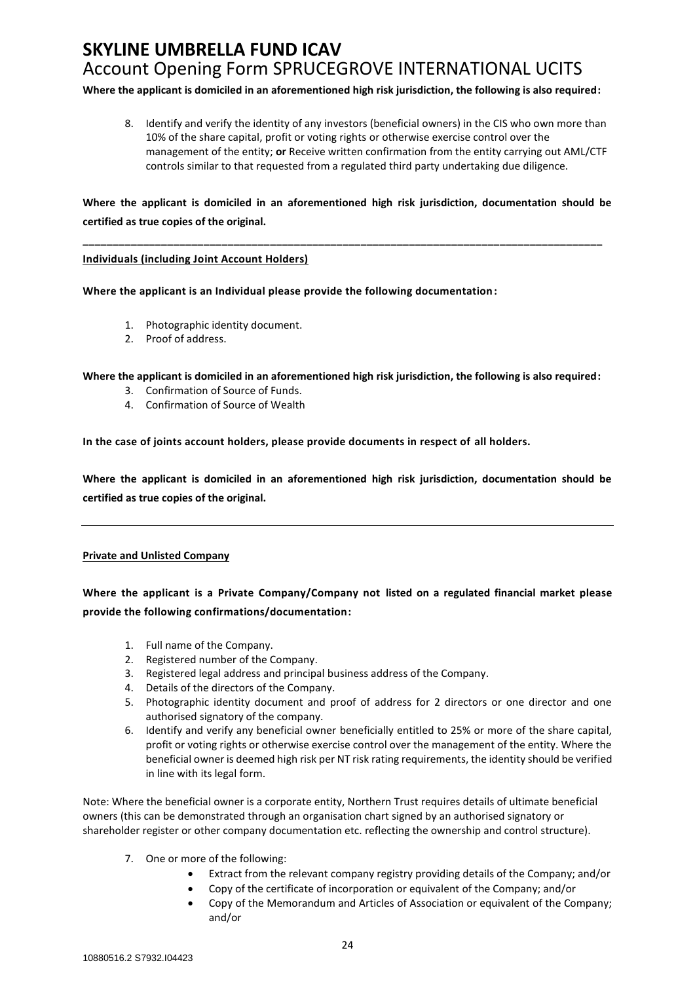**Where the applicant is domiciled in an aforementioned high risk jurisdiction, the following is also required:**

8. Identify and verify the identity of any investors (beneficial owners) in the CIS who own more than 10% of the share capital, profit or voting rights or otherwise exercise control over the management of the entity; **or** Receive written confirmation from the entity carrying out AML/CTF controls similar to that requested from a regulated third party undertaking due diligence.

**Where the applicant is domiciled in an aforementioned high risk jurisdiction, documentation should be certified as true copies of the original.**

**\_\_\_\_\_\_\_\_\_\_\_\_\_\_\_\_\_\_\_\_\_\_\_\_\_\_\_\_\_\_\_\_\_\_\_\_\_\_\_\_\_\_\_\_\_\_\_\_\_\_\_\_\_\_\_\_\_\_\_\_\_\_\_\_\_\_\_\_\_\_\_\_\_\_\_\_\_\_\_\_\_\_\_\_\_\_**

#### **Individuals (including Joint Account Holders)**

**Where the applicant is an Individual please provide the following documentation:**

- 1. Photographic identity document.
- 2. Proof of address.

**Where the applicant is domiciled in an aforementioned high risk jurisdiction, the following is also required:**

- 3. Confirmation of Source of Funds.
- 4. Confirmation of Source of Wealth

**In the case of joints account holders, please provide documents in respect of all holders.**

**Where the applicant is domiciled in an aforementioned high risk jurisdiction, documentation should be certified as true copies of the original.**

#### **Private and Unlisted Company**

**Where the applicant is a Private Company/Company not listed on a regulated financial market please provide the following confirmations/documentation:**

- 1. Full name of the Company.
- 2. Registered number of the Company.
- 3. Registered legal address and principal business address of the Company.
- 4. Details of the directors of the Company.
- 5. Photographic identity document and proof of address for 2 directors or one director and one authorised signatory of the company.
- 6. Identify and verify any beneficial owner beneficially entitled to 25% or more of the share capital, profit or voting rights or otherwise exercise control over the management of the entity. Where the beneficial owner is deemed high risk per NT risk rating requirements, the identity should be verified in line with its legal form.

Note: Where the beneficial owner is a corporate entity, Northern Trust requires details of ultimate beneficial owners (this can be demonstrated through an organisation chart signed by an authorised signatory or shareholder register or other company documentation etc. reflecting the ownership and control structure).

- 7. One or more of the following:
	- Extract from the relevant company registry providing details of the Company; and/or
	- Copy of the certificate of incorporation or equivalent of the Company; and/or
	- Copy of the Memorandum and Articles of Association or equivalent of the Company; and/or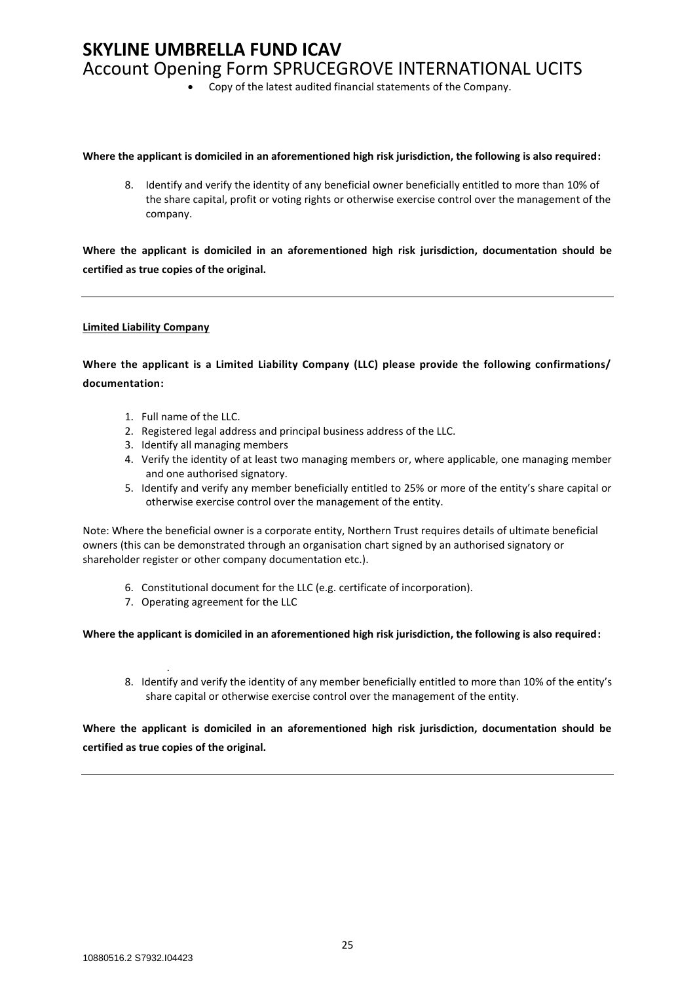• Copy of the latest audited financial statements of the Company.

#### **Where the applicant is domiciled in an aforementioned high risk jurisdiction, the following is also required:**

8. Identify and verify the identity of any beneficial owner beneficially entitled to more than 10% of the share capital, profit or voting rights or otherwise exercise control over the management of the company.

**Where the applicant is domiciled in an aforementioned high risk jurisdiction, documentation should be certified as true copies of the original.**

#### **Limited Liability Company**

## **Where the applicant is a Limited Liability Company (LLC) please provide the following confirmations/ documentation:**

- 1. Full name of the LLC.
- 2. Registered legal address and principal business address of the LLC.
- 3. Identify all managing members
- 4. Verify the identity of at least two managing members or, where applicable, one managing member and one authorised signatory.
- 5. Identify and verify any member beneficially entitled to 25% or more of the entity's share capital or otherwise exercise control over the management of the entity.

Note: Where the beneficial owner is a corporate entity, Northern Trust requires details of ultimate beneficial owners (this can be demonstrated through an organisation chart signed by an authorised signatory or shareholder register or other company documentation etc.).

- 6. Constitutional document for the LLC (e.g. certificate of incorporation).
- 7. Operating agreement for the LLC

#### **Where the applicant is domiciled in an aforementioned high risk jurisdiction, the following is also required:**

. 8. Identify and verify the identity of any member beneficially entitled to more than 10% of the entity's share capital or otherwise exercise control over the management of the entity.

**Where the applicant is domiciled in an aforementioned high risk jurisdiction, documentation should be certified as true copies of the original.**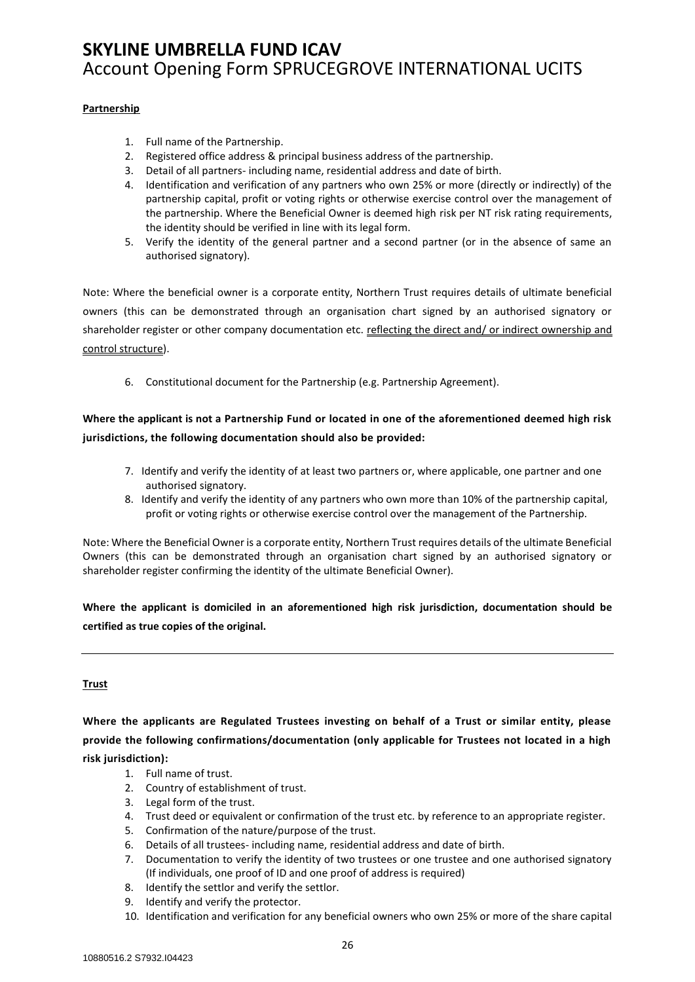#### **Partnership**

- 1. Full name of the Partnership.
- 2. Registered office address & principal business address of the partnership.
- 3. Detail of all partners- including name, residential address and date of birth.
- 4. Identification and verification of any partners who own 25% or more (directly or indirectly) of the partnership capital, profit or voting rights or otherwise exercise control over the management of the partnership. Where the Beneficial Owner is deemed high risk per NT risk rating requirements, the identity should be verified in line with its legal form.
- 5. Verify the identity of the general partner and a second partner (or in the absence of same an authorised signatory).

Note: Where the beneficial owner is a corporate entity, Northern Trust requires details of ultimate beneficial owners (this can be demonstrated through an organisation chart signed by an authorised signatory or shareholder register or other company documentation etc. reflecting the direct and/ or indirect ownership and control structure).

6. Constitutional document for the Partnership (e.g. Partnership Agreement).

**Where the applicant is not a Partnership Fund or located in one of the aforementioned deemed high risk jurisdictions, the following documentation should also be provided:**

- 7. Identify and verify the identity of at least two partners or, where applicable, one partner and one authorised signatory.
- 8. Identify and verify the identity of any partners who own more than 10% of the partnership capital, profit or voting rights or otherwise exercise control over the management of the Partnership.

Note: Where the Beneficial Owner is a corporate entity, Northern Trust requires details of the ultimate Beneficial Owners (this can be demonstrated through an organisation chart signed by an authorised signatory or shareholder register confirming the identity of the ultimate Beneficial Owner).

**Where the applicant is domiciled in an aforementioned high risk jurisdiction, documentation should be certified as true copies of the original.**

#### **Trust**

**Where the applicants are Regulated Trustees investing on behalf of a Trust or similar entity, please provide the following confirmations/documentation (only applicable for Trustees not located in a high risk jurisdiction):**

- 1. Full name of trust.
- 2. Country of establishment of trust.
- 3. Legal form of the trust.
- 4. Trust deed or equivalent or confirmation of the trust etc. by reference to an appropriate register.
- 5. Confirmation of the nature/purpose of the trust.
- 6. Details of all trustees- including name, residential address and date of birth.
- 7. Documentation to verify the identity of two trustees or one trustee and one authorised signatory (If individuals, one proof of ID and one proof of address is required)
- 8. Identify the settlor and verify the settlor.
- 9. Identify and verify the protector.
- 10. Identification and verification for any beneficial owners who own 25% or more of the share capital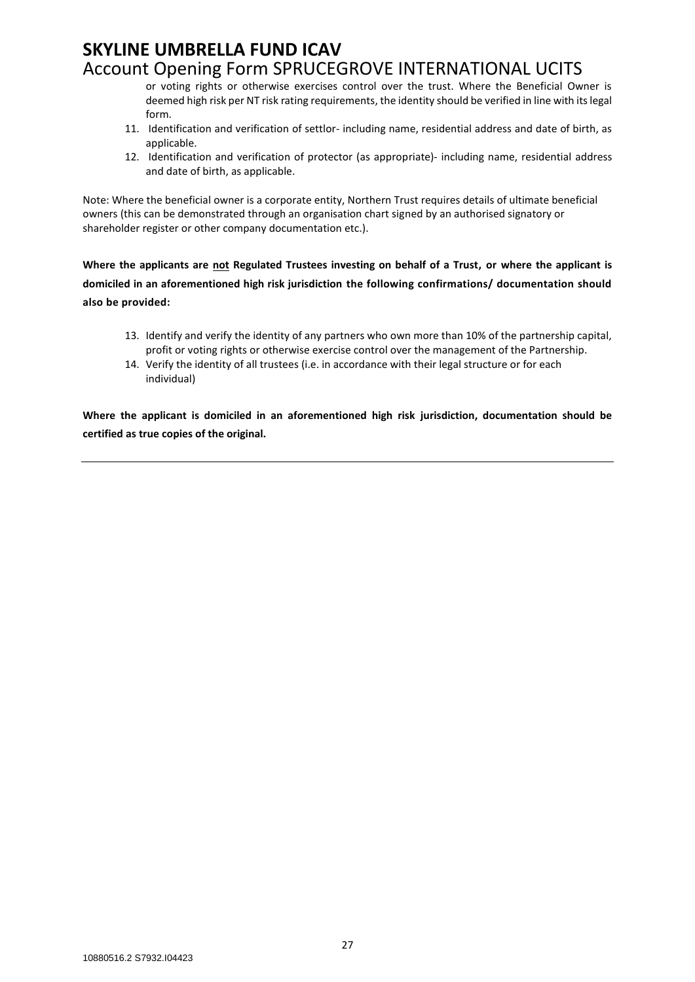or voting rights or otherwise exercises control over the trust. Where the Beneficial Owner is deemed high risk per NT risk rating requirements, the identity should be verified in line with its legal form.

- 11. Identification and verification of settlor- including name, residential address and date of birth, as applicable.
- 12. Identification and verification of protector (as appropriate)- including name, residential address and date of birth, as applicable.

Note: Where the beneficial owner is a corporate entity, Northern Trust requires details of ultimate beneficial owners (this can be demonstrated through an organisation chart signed by an authorised signatory or shareholder register or other company documentation etc.).

**Where the applicants are not Regulated Trustees investing on behalf of a Trust, or where the applicant is domiciled in an aforementioned high risk jurisdiction the following confirmations/ documentation should also be provided:**

- 13. Identify and verify the identity of any partners who own more than 10% of the partnership capital, profit or voting rights or otherwise exercise control over the management of the Partnership.
- 14. Verify the identity of all trustees (i.e. in accordance with their legal structure or for each individual)

**Where the applicant is domiciled in an aforementioned high risk jurisdiction, documentation should be certified as true copies of the original.**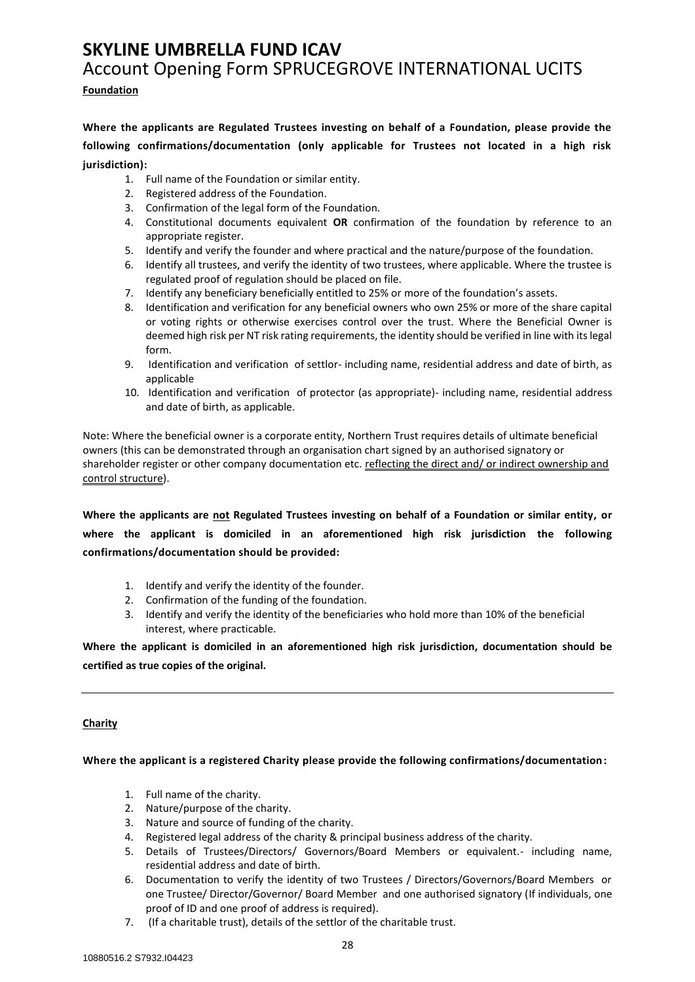### **Foundation**

**Where the applicants are Regulated Trustees investing on behalf of a Foundation, please provide the following confirmations/documentation (only applicable for Trustees not located in a high risk jurisdiction):**

- 1. Full name of the Foundation or similar entity.
- 2. Registered address of the Foundation.
- 3. Confirmation of the legal form of the Foundation.
- 4. Constitutional documents equivalent **OR** confirmation of the foundation by reference to an appropriate register.
- 5. Identify and verify the founder and where practical and the nature/purpose of the foundation.
- 6. Identify all trustees, and verify the identity of two trustees, where applicable. Where the trustee is regulated proof of regulation should be placed on file.
- 7. Identify any beneficiary beneficially entitled to 25% or more of the foundation's assets.
- 8. Identification and verification for any beneficial owners who own 25% or more of the share capital or voting rights or otherwise exercises control over the trust. Where the Beneficial Owner is deemed high risk per NT risk rating requirements, the identity should be verified in line with its legal form.
- 9. Identification and verification of settlor- including name, residential address and date of birth, as applicable
- 10. Identification and verification of protector (as appropriate)- including name, residential address and date of birth, as applicable.

Note: Where the beneficial owner is a corporate entity, Northern Trust requires details of ultimate beneficial owners (this can be demonstrated through an organisation chart signed by an authorised signatory or shareholder register or other company documentation etc. reflecting the direct and/ or indirect ownership and control structure).

**Where the applicants are not Regulated Trustees investing on behalf of a Foundation or similar entity, or where the applicant is domiciled in an aforementioned high risk jurisdiction the following confirmations/documentation should be provided:**

- 1. Identify and verify the identity of the founder.
- 2. Confirmation of the funding of the foundation.
- 3. Identify and verify the identity of the beneficiaries who hold more than 10% of the beneficial interest, where practicable.

**Where the applicant is domiciled in an aforementioned high risk jurisdiction, documentation should be certified as true copies of the original.**

#### **Charity**

**Where the applicant is a registered Charity please provide the following confirmations/documentation:**

- 1. Full name of the charity.
- 2. Nature/purpose of the charity.
- 3. Nature and source of funding of the charity.
- 4. Registered legal address of the charity & principal business address of the charity.
- 5. Details of Trustees/Directors/ Governors/Board Members or equivalent.- including name, residential address and date of birth.
- 6. Documentation to verify the identity of two Trustees / Directors/Governors/Board Members or one Trustee/ Director/Governor/ Board Member and one authorised signatory (If individuals, one proof of ID and one proof of address is required).
- 7. (If a charitable trust), details of the settlor of the charitable trust.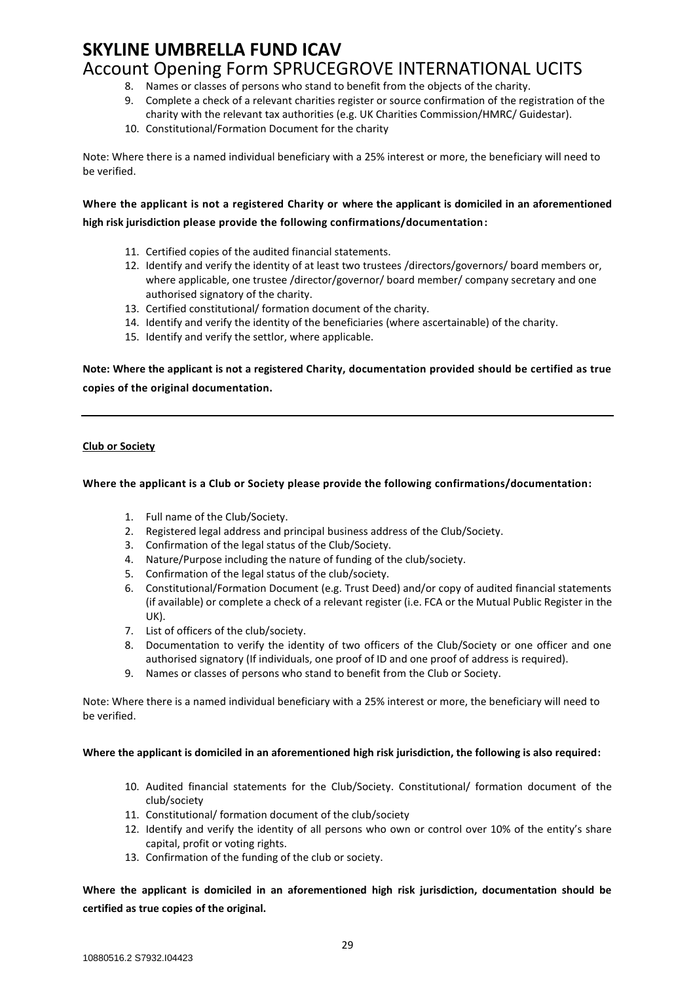- 8. Names or classes of persons who stand to benefit from the objects of the charity.
- 9. Complete a check of a relevant charities register or source confirmation of the registration of the charity with the relevant tax authorities (e.g. UK Charities Commission/HMRC/ Guidestar).
- 10. Constitutional/Formation Document for the charity

Note: Where there is a named individual beneficiary with a 25% interest or more, the beneficiary will need to be verified.

**Where the applicant is not a registered Charity or where the applicant is domiciled in an aforementioned high risk jurisdiction please provide the following confirmations/documentation:**

- 11. Certified copies of the audited financial statements.
- 12. Identify and verify the identity of at least two trustees /directors/governors/ board members or, where applicable, one trustee /director/governor/ board member/ company secretary and one authorised signatory of the charity.
- 13. Certified constitutional/ formation document of the charity.
- 14. Identify and verify the identity of the beneficiaries (where ascertainable) of the charity.
- 15. Identify and verify the settlor, where applicable.

**Note: Where the applicant is not a registered Charity, documentation provided should be certified as true copies of the original documentation.**

#### **Club or Society**

#### **Where the applicant is a Club or Society please provide the following confirmations/documentation:**

- 1. Full name of the Club/Society.
- 2. Registered legal address and principal business address of the Club/Society.
- 3. Confirmation of the legal status of the Club/Society.
- 4. Nature/Purpose including the nature of funding of the club/society.
- 5. Confirmation of the legal status of the club/society.
- 6. Constitutional/Formation Document (e.g. Trust Deed) and/or copy of audited financial statements (if available) or complete a check of a relevant register (i.e. FCA or the Mutual Public Register in the UK).
- 7. List of officers of the club/society.
- 8. Documentation to verify the identity of two officers of the Club/Society or one officer and one authorised signatory (If individuals, one proof of ID and one proof of address is required).
- 9. Names or classes of persons who stand to benefit from the Club or Society.

Note: Where there is a named individual beneficiary with a 25% interest or more, the beneficiary will need to be verified.

#### **Where the applicant is domiciled in an aforementioned high risk jurisdiction, the following is also required:**

- 10. Audited financial statements for the Club/Society. Constitutional/ formation document of the club/society
- 11. Constitutional/ formation document of the club/society
- 12. Identify and verify the identity of all persons who own or control over 10% of the entity's share capital, profit or voting rights.
- 13. Confirmation of the funding of the club or society.

**Where the applicant is domiciled in an aforementioned high risk jurisdiction, documentation should be certified as true copies of the original.**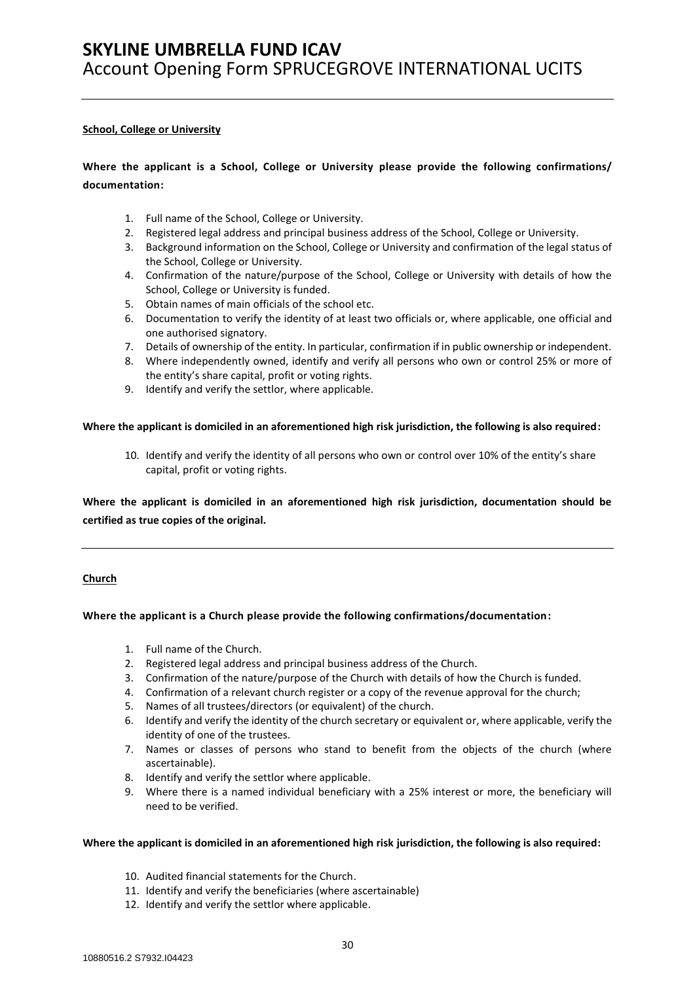#### **School, College or University**

## **Where the applicant is a School, College or University please provide the following confirmations/ documentation:**

- 1. Full name of the School, College or University.
- 2. Registered legal address and principal business address of the School, College or University.
- 3. Background information on the School, College or University and confirmation of the legal status of the School, College or University.
- 4. Confirmation of the nature/purpose of the School, College or University with details of how the School, College or University is funded.
- 5. Obtain names of main officials of the school etc.
- 6. Documentation to verify the identity of at least two officials or, where applicable, one official and one authorised signatory.
- 7. Details of ownership of the entity. In particular, confirmation if in public ownership or independent.
- 8. Where independently owned, identify and verify all persons who own or control 25% or more of the entity's share capital, profit or voting rights.
- 9. Identify and verify the settlor, where applicable.

#### **Where the applicant is domiciled in an aforementioned high risk jurisdiction, the following is also required:**

10. Identify and verify the identity of all persons who own or control over 10% of the entity's share capital, profit or voting rights.

**Where the applicant is domiciled in an aforementioned high risk jurisdiction, documentation should be certified as true copies of the original.**

#### **Church**

#### **Where the applicant is a Church please provide the following confirmations/documentation:**

- 1. Full name of the Church.
- 2. Registered legal address and principal business address of the Church.
- 3. Confirmation of the nature/purpose of the Church with details of how the Church is funded.
- 4. Confirmation of a relevant church register or a copy of the revenue approval for the church;
- 5. Names of all trustees/directors (or equivalent) of the church.
- 6. Identify and verify the identity of the church secretary or equivalent or, where applicable, verify the identity of one of the trustees.
- 7. Names or classes of persons who stand to benefit from the objects of the church (where ascertainable).
- 8. Identify and verify the settlor where applicable.
- 9. Where there is a named individual beneficiary with a 25% interest or more, the beneficiary will need to be verified.

#### **Where the applicant is domiciled in an aforementioned high risk jurisdiction, the following is also required:**

- 10. Audited financial statements for the Church.
- 11. Identify and verify the beneficiaries (where ascertainable)
- 12. Identify and verify the settlor where applicable.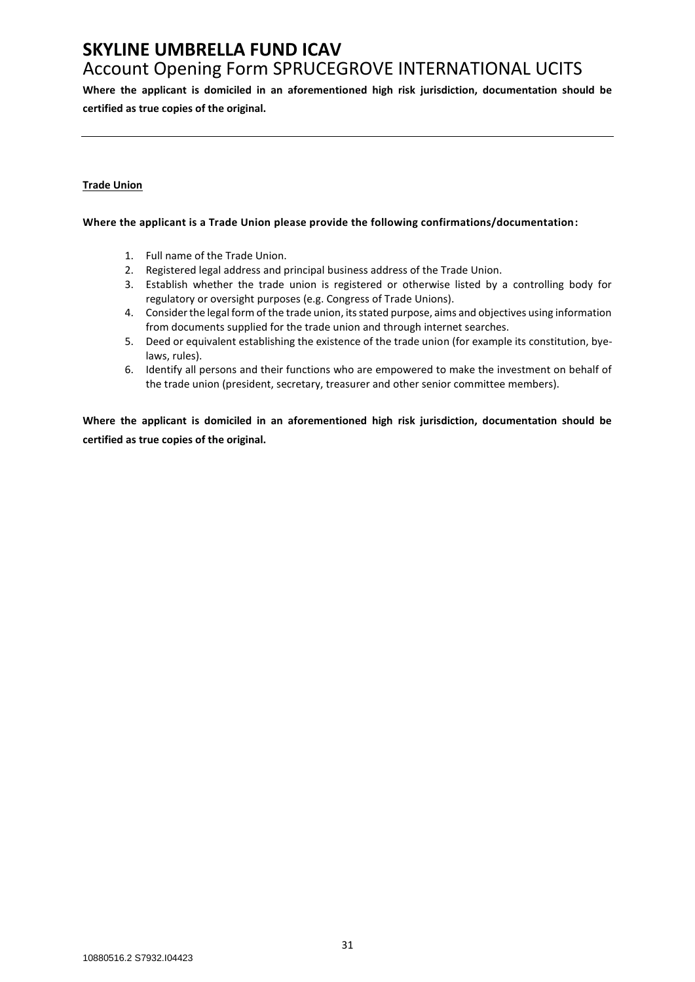# **SKYLINE UMBRELLA FUND ICAV**

## Account Opening Form SPRUCEGROVE INTERNATIONAL UCITS

**Where the applicant is domiciled in an aforementioned high risk jurisdiction, documentation should be certified as true copies of the original.**

#### **Trade Union**

#### **Where the applicant is a Trade Union please provide the following confirmations/documentation:**

- 1. Full name of the Trade Union.
- 2. Registered legal address and principal business address of the Trade Union.
- 3. Establish whether the trade union is registered or otherwise listed by a controlling body for regulatory or oversight purposes (e.g. Congress of Trade Unions).
- 4. Consider the legal form of the trade union, its stated purpose, aims and objectives using information from documents supplied for the trade union and through internet searches.
- 5. Deed or equivalent establishing the existence of the trade union (for example its constitution, byelaws, rules).
- 6. Identify all persons and their functions who are empowered to make the investment on behalf of the trade union (president, secretary, treasurer and other senior committee members).

**Where the applicant is domiciled in an aforementioned high risk jurisdiction, documentation should be certified as true copies of the original.**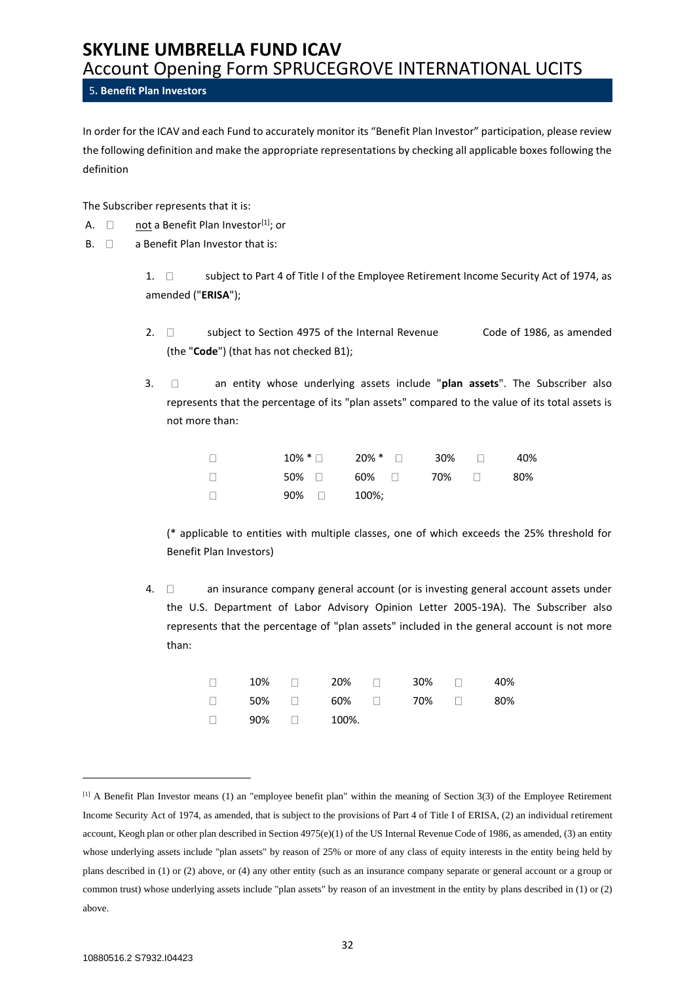#### <span id="page-31-0"></span>5**. Benefit Plan Investors**

In order for the ICAV and each Fund to accurately monitor its "Benefit Plan Investor" participation, please review the following definition and make the appropriate representations by checking all applicable boxes following the definition

The Subscriber represents that it is:

- A.  $\Box$  not a Benefit Plan Investor<sup>[1]</sup>; or
- $B. \Box$  a Benefit Plan Investor that is:

1.  $\Box$  subject to Part 4 of Title I of the Employee Retirement Income Security Act of 1974, as amended ("**ERISA**");

- 2.  $\Box$  subject to Section 4975 of the Internal Revenue Code of 1986, as amended (the "**Code**") (that has not checked B1);
- 3. an entity whose underlying assets include "**plan assets**". The Subscriber also represents that the percentage of its "plan assets" compared to the value of its total assets is not more than:

| $\Box$ |              | $10\%$ * $\Box$ $20\%$ * $\Box$ $30\%$ $\Box$ |  | 40%   |
|--------|--------------|-----------------------------------------------|--|-------|
| $\Box$ |              | 50% □   60% □   70%   □                       |  | - 80% |
| $\Box$ | $90\%$ 100%; |                                               |  |       |

(\* applicable to entities with multiple classes, one of which exceeds the 25% threshold for Benefit Plan Investors)

4.  $\Box$  an insurance company general account (or is investing general account assets under the U.S. Department of Labor Advisory Opinion Letter 2005-19A). The Subscriber also represents that the percentage of "plan assets" included in the general account is not more than:

|  | $\Box$ 10% $\Box$ 20% $\Box$ 30% $\Box$ 40% |  |  |
|--|---------------------------------------------|--|--|
|  | $\Box$ 50% $\Box$ 60% $\Box$ 70% $\Box$ 80% |  |  |
|  | $\Box$ 90% $\Box$ 100%.                     |  |  |

<sup>[1]</sup> A Benefit Plan Investor means (1) an "employee benefit plan" within the meaning of Section 3(3) of the Employee Retirement Income Security Act of 1974, as amended, that is subject to the provisions of Part 4 of Title I of ERISA, (2) an individual retirement account, Keogh plan or other plan described in Section 4975(e)(1) of the US Internal Revenue Code of 1986, as amended, (3) an entity whose underlying assets include "plan assets" by reason of 25% or more of any class of equity interests in the entity being held by plans described in (1) or (2) above, or (4) any other entity (such as an insurance company separate or general account or a group or common trust) whose underlying assets include "plan assets" by reason of an investment in the entity by plans described in (1) or (2) above.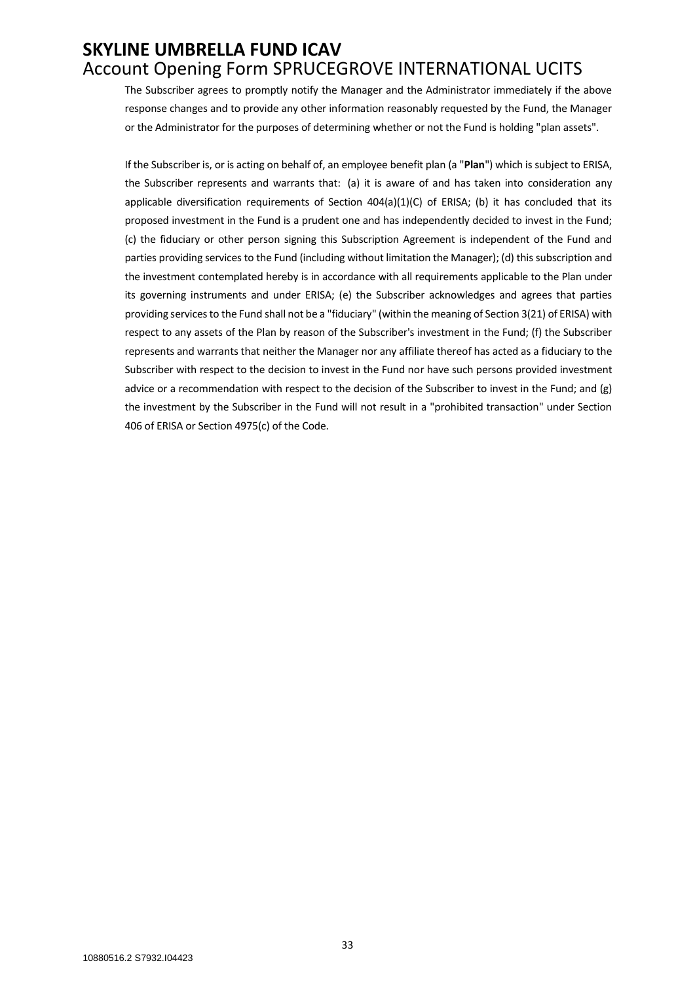The Subscriber agrees to promptly notify the Manager and the Administrator immediately if the above response changes and to provide any other information reasonably requested by the Fund, the Manager or the Administrator for the purposes of determining whether or not the Fund is holding "plan assets".

If the Subscriber is, or is acting on behalf of, an employee benefit plan (a "**Plan**") which is subject to ERISA, the Subscriber represents and warrants that: (a) it is aware of and has taken into consideration any applicable diversification requirements of Section  $404(a)(1)(C)$  of ERISA; (b) it has concluded that its proposed investment in the Fund is a prudent one and has independently decided to invest in the Fund; (c) the fiduciary or other person signing this Subscription Agreement is independent of the Fund and parties providing services to the Fund (including without limitation the Manager); (d) this subscription and the investment contemplated hereby is in accordance with all requirements applicable to the Plan under its governing instruments and under ERISA; (e) the Subscriber acknowledges and agrees that parties providing services to the Fund shall not be a "fiduciary" (within the meaning of Section 3(21) of ERISA) with respect to any assets of the Plan by reason of the Subscriber's investment in the Fund; (f) the Subscriber represents and warrants that neither the Manager nor any affiliate thereof has acted as a fiduciary to the Subscriber with respect to the decision to invest in the Fund nor have such persons provided investment advice or a recommendation with respect to the decision of the Subscriber to invest in the Fund; and (g) the investment by the Subscriber in the Fund will not result in a "prohibited transaction" under Section 406 of ERISA or Section 4975(c) of the Code.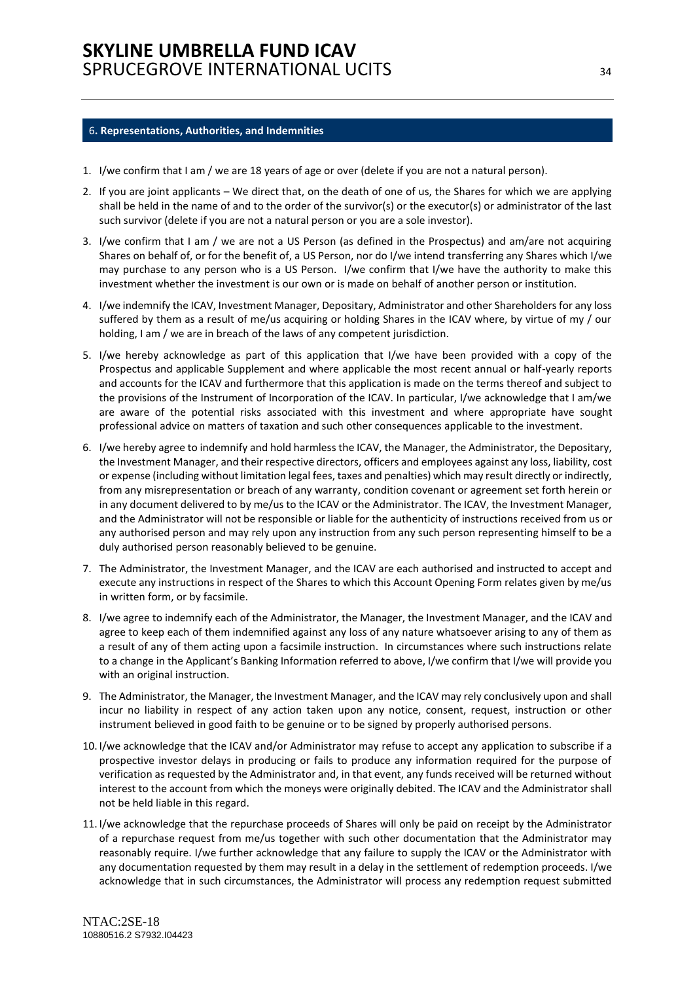#### <span id="page-33-0"></span>6**. Representations, Authorities, and Indemnities**

- 1. I/we confirm that I am / we are 18 years of age or over (delete if you are not a natural person).
- 2. If you are joint applicants We direct that, on the death of one of us, the Shares for which we are applying shall be held in the name of and to the order of the survivor(s) or the executor(s) or administrator of the last such survivor (delete if you are not a natural person or you are a sole investor).
- 3. I/we confirm that I am / we are not a US Person (as defined in the Prospectus) and am/are not acquiring Shares on behalf of, or for the benefit of, a US Person, nor do I/we intend transferring any Shares which I/we may purchase to any person who is a US Person. I/we confirm that I/we have the authority to make this investment whether the investment is our own or is made on behalf of another person or institution.
- 4. I/we indemnify the ICAV, Investment Manager, Depositary, Administrator and other Shareholders for any loss suffered by them as a result of me/us acquiring or holding Shares in the ICAV where, by virtue of my / our holding, I am / we are in breach of the laws of any competent jurisdiction.
- 5. I/we hereby acknowledge as part of this application that I/we have been provided with a copy of the Prospectus and applicable Supplement and where applicable the most recent annual or half-yearly reports and accounts for the ICAV and furthermore that this application is made on the terms thereof and subject to the provisions of the Instrument of Incorporation of the ICAV. In particular, I/we acknowledge that I am/we are aware of the potential risks associated with this investment and where appropriate have sought professional advice on matters of taxation and such other consequences applicable to the investment.
- 6. I/we hereby agree to indemnify and hold harmless the ICAV, the Manager, the Administrator, the Depositary, the Investment Manager, and their respective directors, officers and employees against any loss, liability, cost or expense (including without limitation legal fees, taxes and penalties) which may result directly or indirectly, from any misrepresentation or breach of any warranty, condition covenant or agreement set forth herein or in any document delivered to by me/us to the ICAV or the Administrator. The ICAV, the Investment Manager, and the Administrator will not be responsible or liable for the authenticity of instructions received from us or any authorised person and may rely upon any instruction from any such person representing himself to be a duly authorised person reasonably believed to be genuine.
- 7. The Administrator, the Investment Manager, and the ICAV are each authorised and instructed to accept and execute any instructions in respect of the Shares to which this Account Opening Form relates given by me/us in written form, or by facsimile.
- 8. I/we agree to indemnify each of the Administrator, the Manager, the Investment Manager, and the ICAV and agree to keep each of them indemnified against any loss of any nature whatsoever arising to any of them as a result of any of them acting upon a facsimile instruction. In circumstances where such instructions relate to a change in the Applicant's Banking Information referred to above, I/we confirm that I/we will provide you with an original instruction.
- 9. The Administrator, the Manager, the Investment Manager, and the ICAV may rely conclusively upon and shall incur no liability in respect of any action taken upon any notice, consent, request, instruction or other instrument believed in good faith to be genuine or to be signed by properly authorised persons.
- 10. I/we acknowledge that the ICAV and/or Administrator may refuse to accept any application to subscribe if a prospective investor delays in producing or fails to produce any information required for the purpose of verification as requested by the Administrator and, in that event, any funds received will be returned without interest to the account from which the moneys were originally debited. The ICAV and the Administrator shall not be held liable in this regard.
- 11. I/we acknowledge that the repurchase proceeds of Shares will only be paid on receipt by the Administrator of a repurchase request from me/us together with such other documentation that the Administrator may reasonably require. I/we further acknowledge that any failure to supply the ICAV or the Administrator with any documentation requested by them may result in a delay in the settlement of redemption proceeds. I/we acknowledge that in such circumstances, the Administrator will process any redemption request submitted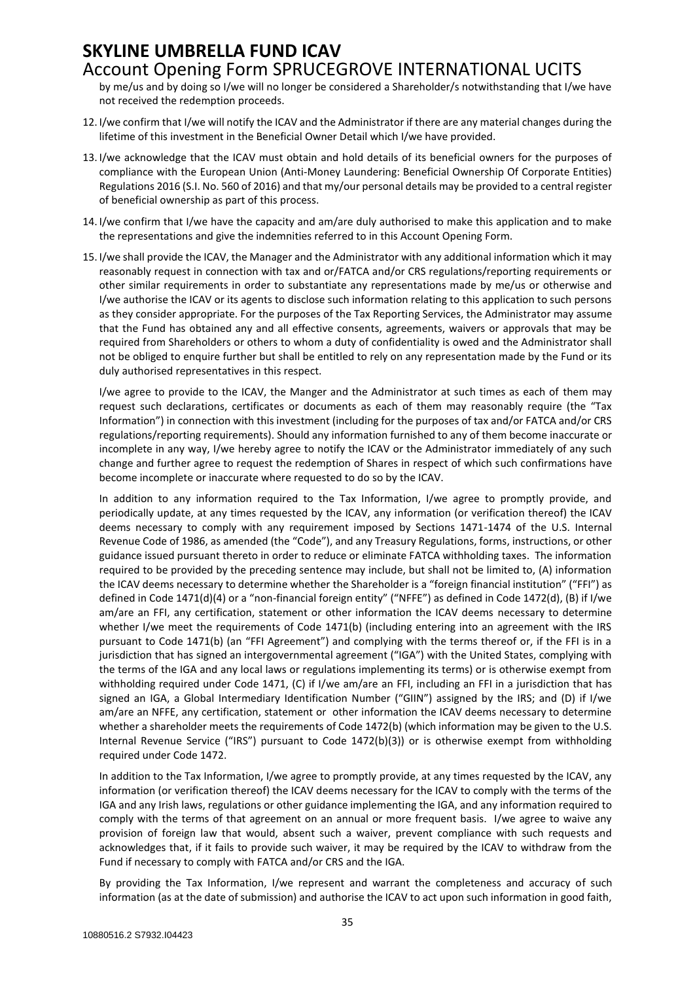# **SKYLINE UMBRELLA FUND ICAV**

## Account Opening Form SPRUCEGROVE INTERNATIONAL UCITS

by me/us and by doing so I/we will no longer be considered a Shareholder/s notwithstanding that I/we have not received the redemption proceeds.

- 12. I/we confirm that I/we will notify the ICAV and the Administrator if there are any material changes during the lifetime of this investment in the Beneficial Owner Detail which I/we have provided.
- 13. I/we acknowledge that the ICAV must obtain and hold details of its beneficial owners for the purposes of compliance with the European Union (Anti-Money Laundering: Beneficial Ownership Of Corporate Entities) Regulations 2016 (S.I. No. 560 of 2016) and that my/our personal details may be provided to a central register of beneficial ownership as part of this process.
- 14. I/we confirm that I/we have the capacity and am/are duly authorised to make this application and to make the representations and give the indemnities referred to in this Account Opening Form.
- 15. I/we shall provide the ICAV, the Manager and the Administrator with any additional information which it may reasonably request in connection with tax and or/FATCA and/or CRS regulations/reporting requirements or other similar requirements in order to substantiate any representations made by me/us or otherwise and I/we authorise the ICAV or its agents to disclose such information relating to this application to such persons as they consider appropriate. For the purposes of the Tax Reporting Services, the Administrator may assume that the Fund has obtained any and all effective consents, agreements, waivers or approvals that may be required from Shareholders or others to whom a duty of confidentiality is owed and the Administrator shall not be obliged to enquire further but shall be entitled to rely on any representation made by the Fund or its duly authorised representatives in this respect.

I/we agree to provide to the ICAV, the Manger and the Administrator at such times as each of them may request such declarations, certificates or documents as each of them may reasonably require (the "Tax Information") in connection with this investment (including for the purposes of tax and/or FATCA and/or CRS regulations/reporting requirements). Should any information furnished to any of them become inaccurate or incomplete in any way, I/we hereby agree to notify the ICAV or the Administrator immediately of any such change and further agree to request the redemption of Shares in respect of which such confirmations have become incomplete or inaccurate where requested to do so by the ICAV.

In addition to any information required to the Tax Information, I/we agree to promptly provide, and periodically update, at any times requested by the ICAV, any information (or verification thereof) the ICAV deems necessary to comply with any requirement imposed by Sections 1471-1474 of the U.S. Internal Revenue Code of 1986, as amended (the "Code"), and any Treasury Regulations, forms, instructions, or other guidance issued pursuant thereto in order to reduce or eliminate FATCA withholding taxes. The information required to be provided by the preceding sentence may include, but shall not be limited to, (A) information the ICAV deems necessary to determine whether the Shareholder is a "foreign financial institution" ("FFI") as defined in Code 1471(d)(4) or a "non-financial foreign entity" ("NFFE") as defined in Code 1472(d), (B) if I/we am/are an FFI, any certification, statement or other information the ICAV deems necessary to determine whether I/we meet the requirements of Code 1471(b) (including entering into an agreement with the IRS pursuant to Code 1471(b) (an "FFI Agreement") and complying with the terms thereof or, if the FFI is in a jurisdiction that has signed an intergovernmental agreement ("IGA") with the United States, complying with the terms of the IGA and any local laws or regulations implementing its terms) or is otherwise exempt from withholding required under Code 1471, (C) if I/we am/are an FFI, including an FFI in a jurisdiction that has signed an IGA, a Global Intermediary Identification Number ("GIIN") assigned by the IRS; and (D) if I/we am/are an NFFE, any certification, statement or other information the ICAV deems necessary to determine whether a shareholder meets the requirements of Code 1472(b) (which information may be given to the U.S. Internal Revenue Service ("IRS") pursuant to Code 1472(b)(3)) or is otherwise exempt from withholding required under Code 1472.

In addition to the Tax Information, I/we agree to promptly provide, at any times requested by the ICAV, any information (or verification thereof) the ICAV deems necessary for the ICAV to comply with the terms of the IGA and any Irish laws, regulations or other guidance implementing the IGA, and any information required to comply with the terms of that agreement on an annual or more frequent basis. I/we agree to waive any provision of foreign law that would, absent such a waiver, prevent compliance with such requests and acknowledges that, if it fails to provide such waiver, it may be required by the ICAV to withdraw from the Fund if necessary to comply with FATCA and/or CRS and the IGA.

By providing the Tax Information, I/we represent and warrant the completeness and accuracy of such information (as at the date of submission) and authorise the ICAV to act upon such information in good faith,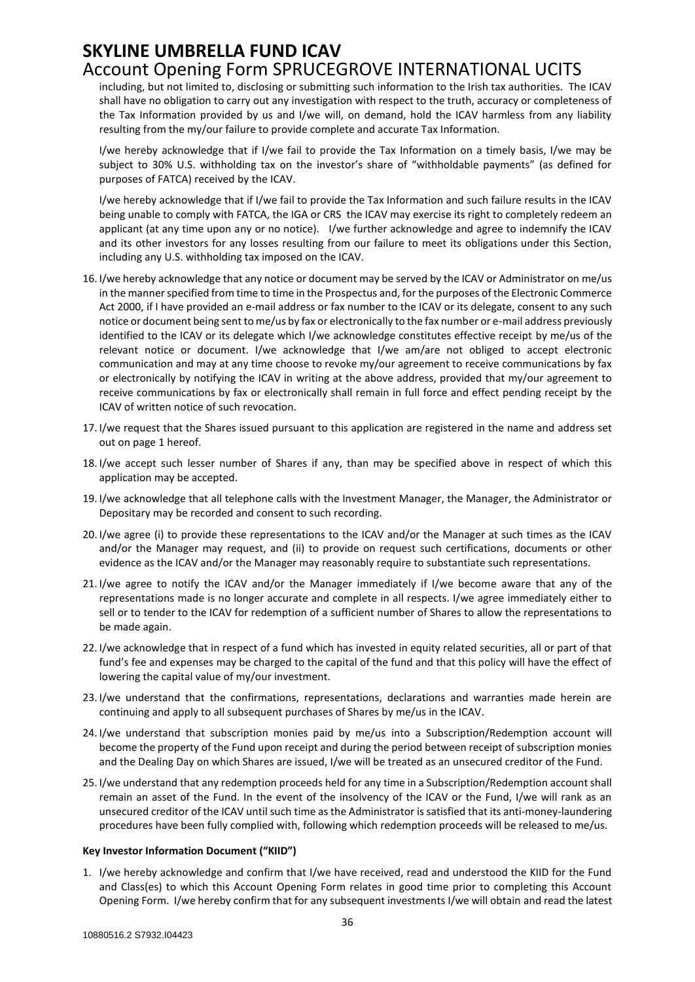including, but not limited to, disclosing or submitting such information to the Irish tax authorities. The ICAV shall have no obligation to carry out any investigation with respect to the truth, accuracy or completeness of the Tax Information provided by us and I/we will, on demand, hold the ICAV harmless from any liability resulting from the my/our failure to provide complete and accurate Tax Information.

I/we hereby acknowledge that if I/we fail to provide the Tax Information on a timely basis, I/we may be subject to 30% U.S. withholding tax on the investor's share of "withholdable payments" (as defined for purposes of FATCA) received by the ICAV.

I/we hereby acknowledge that if I/we fail to provide the Tax Information and such failure results in the ICAV being unable to comply with FATCA, the IGA or CRS the ICAV may exercise its right to completely redeem an applicant (at any time upon any or no notice). I/we further acknowledge and agree to indemnify the ICAV and its other investors for any losses resulting from our failure to meet its obligations under this Section, including any U.S. withholding tax imposed on the ICAV.

- 16. I/we hereby acknowledge that any notice or document may be served by the ICAV or Administrator on me/us in the manner specified from time to time in the Prospectus and, for the purposes of the Electronic Commerce Act 2000, if I have provided an e-mail address or fax number to the ICAV or its delegate, consent to any such notice or document being sent to me/us by fax or electronically to the fax number or e-mail address previously identified to the ICAV or its delegate which I/we acknowledge constitutes effective receipt by me/us of the relevant notice or document. I/we acknowledge that I/we am/are not obliged to accept electronic communication and may at any time choose to revoke my/our agreement to receive communications by fax or electronically by notifying the ICAV in writing at the above address, provided that my/our agreement to receive communications by fax or electronically shall remain in full force and effect pending receipt by the ICAV of written notice of such revocation.
- 17. I/we request that the Shares issued pursuant to this application are registered in the name and address set out on page 1 hereof.
- 18. I/we accept such lesser number of Shares if any, than may be specified above in respect of which this application may be accepted.
- 19. I/we acknowledge that all telephone calls with the Investment Manager, the Manager, the Administrator or Depositary may be recorded and consent to such recording.
- 20. I/we agree (i) to provide these representations to the ICAV and/or the Manager at such times as the ICAV and/or the Manager may request, and (ii) to provide on request such certifications, documents or other evidence as the ICAV and/or the Manager may reasonably require to substantiate such representations.
- 21. I/we agree to notify the ICAV and/or the Manager immediately if I/we become aware that any of the representations made is no longer accurate and complete in all respects. I/we agree immediately either to sell or to tender to the ICAV for redemption of a sufficient number of Shares to allow the representations to be made again.
- 22. I/we acknowledge that in respect of a fund which has invested in equity related securities, all or part of that fund's fee and expenses may be charged to the capital of the fund and that this policy will have the effect of lowering the capital value of my/our investment.
- 23. I/we understand that the confirmations, representations, declarations and warranties made herein are continuing and apply to all subsequent purchases of Shares by me/us in the ICAV.
- 24. I/we understand that subscription monies paid by me/us into a Subscription/Redemption account will become the property of the Fund upon receipt and during the period between receipt of subscription monies and the Dealing Day on which Shares are issued, I/we will be treated as an unsecured creditor of the Fund.
- 25. I/we understand that any redemption proceeds held for any time in a Subscription/Redemption account shall remain an asset of the Fund. In the event of the insolvency of the ICAV or the Fund, I/we will rank as an unsecured creditor of the ICAV until such time as the Administrator is satisfied that its anti-money-laundering procedures have been fully complied with, following which redemption proceeds will be released to me/us.

#### **Key Investor Information Document ("KIID")**

1. I/we hereby acknowledge and confirm that I/we have received, read and understood the KIID for the Fund and Class(es) to which this Account Opening Form relates in good time prior to completing this Account Opening Form. I/we hereby confirm that for any subsequent investments I/we will obtain and read the latest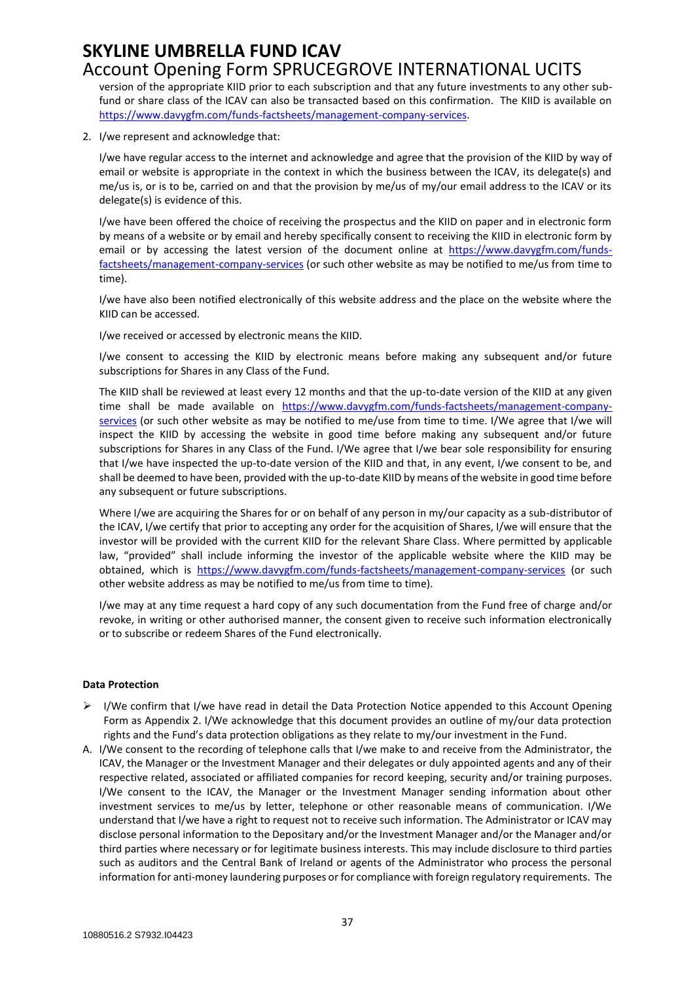# **SKYLINE UMBRELLA FUND ICAV**

# Account Opening Form SPRUCEGROVE INTERNATIONAL UCITS

version of the appropriate KIID prior to each subscription and that any future investments to any other subfund or share class of the ICAV can also be transacted based on this confirmation. The KIID is available on [https://www.davygfm.com/funds-factsheets/management-company-services.](https://www.davygfm.com/funds-factsheets/management-company-services)

2. I/we represent and acknowledge that:

I/we have regular access to the internet and acknowledge and agree that the provision of the KIID by way of email or website is appropriate in the context in which the business between the ICAV, its delegate(s) and me/us is, or is to be, carried on and that the provision by me/us of my/our email address to the ICAV or its delegate(s) is evidence of this.

I/we have been offered the choice of receiving the prospectus and the KIID on paper and in electronic form by means of a website or by email and hereby specifically consent to receiving the KIID in electronic form by email or by accessing the latest version of the document online at [https://www.davygfm.com/funds](https://www.davygfm.com/funds-factsheets/management-company-services)[factsheets/management-company-services](https://www.davygfm.com/funds-factsheets/management-company-services) (or such other website as may be notified to me/us from time to time).

I/we have also been notified electronically of this website address and the place on the website where the KIID can be accessed.

I/we received or accessed by electronic means the KIID.

I/we consent to accessing the KIID by electronic means before making any subsequent and/or future subscriptions for Shares in any Class of the Fund.

The KIID shall be reviewed at least every 12 months and that the up-to-date version of the KIID at any given time shall be made available on [https://www.davygfm.com/funds-factsheets/management-company](https://www.davygfm.com/funds-factsheets/management-company-services)[services](https://www.davygfm.com/funds-factsheets/management-company-services) (or such other website as may be notified to me/use from time to time. I/We agree that I/we will inspect the KIID by accessing the website in good time before making any subsequent and/or future subscriptions for Shares in any Class of the Fund. I/We agree that I/we bear sole responsibility for ensuring that I/we have inspected the up-to-date version of the KIID and that, in any event, I/we consent to be, and shall be deemed to have been, provided with the up-to-date KIID by means of the website in good time before any subsequent or future subscriptions.

Where I/we are acquiring the Shares for or on behalf of any person in my/our capacity as a sub-distributor of the ICAV, I/we certify that prior to accepting any order for the acquisition of Shares, I/we will ensure that the investor will be provided with the current KIID for the relevant Share Class. Where permitted by applicable law, "provided" shall include informing the investor of the applicable website where the KIID may be obtained, which is <https://www.davygfm.com/funds-factsheets/management-company-services> (or such other website address as may be notified to me/us from time to time).

I/we may at any time request a hard copy of any such documentation from the Fund free of charge and/or revoke, in writing or other authorised manner, the consent given to receive such information electronically or to subscribe or redeem Shares of the Fund electronically.

#### **Data Protection**

- I/We confirm that I/we have read in detail the Data Protection Notice appended to this Account Opening Form as Appendix 2. I/We acknowledge that this document provides an outline of my/our data protection rights and the Fund's data protection obligations as they relate to my/our investment in the Fund.
- A. I/We consent to the recording of telephone calls that I/we make to and receive from the Administrator, the ICAV, the Manager or the Investment Manager and their delegates or duly appointed agents and any of their respective related, associated or affiliated companies for record keeping, security and/or training purposes. I/We consent to the ICAV, the Manager or the Investment Manager sending information about other investment services to me/us by letter, telephone or other reasonable means of communication. I/We understand that I/we have a right to request not to receive such information. The Administrator or ICAV may disclose personal information to the Depositary and/or the Investment Manager and/or the Manager and/or third parties where necessary or for legitimate business interests. This may include disclosure to third parties such as auditors and the Central Bank of Ireland or agents of the Administrator who process the personal information for anti-money laundering purposes or for compliance with foreign regulatory requirements. The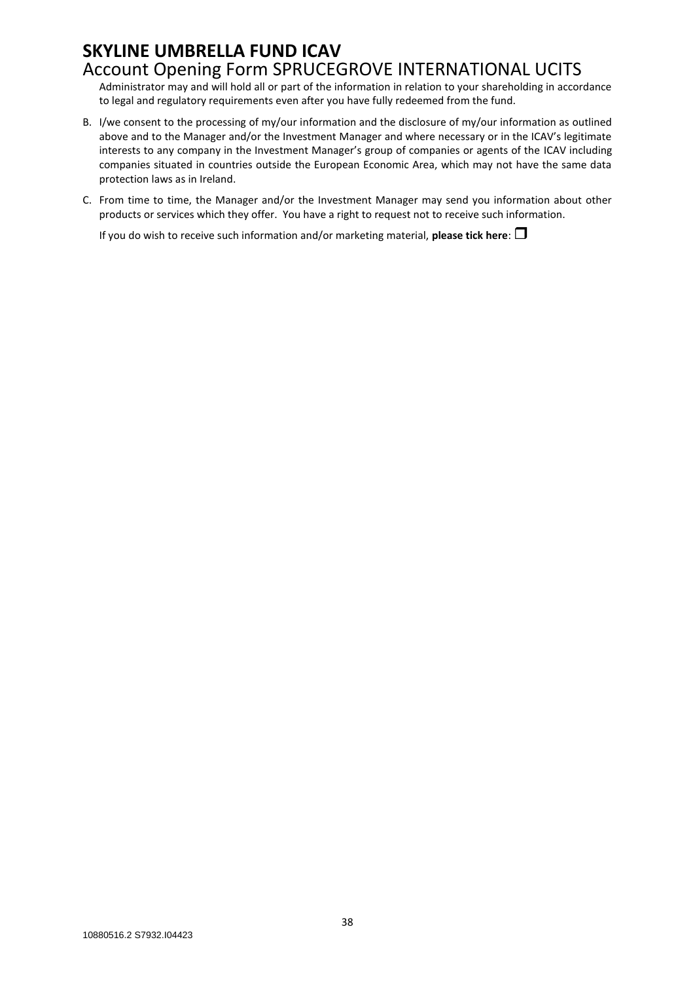Administrator may and will hold all or part of the information in relation to your shareholding in accordance to legal and regulatory requirements even after you have fully redeemed from the fund.

- B. I/we consent to the processing of my/our information and the disclosure of my/our information as outlined above and to the Manager and/or the Investment Manager and where necessary or in the ICAV's legitimate interests to any company in the Investment Manager's group of companies or agents of the ICAV including companies situated in countries outside the European Economic Area, which may not have the same data protection laws as in Ireland.
- C. From time to time, the Manager and/or the Investment Manager may send you information about other products or services which they offer. You have a right to request not to receive such information.

If you do wish to receive such information and/or marketing material, **please tick here**: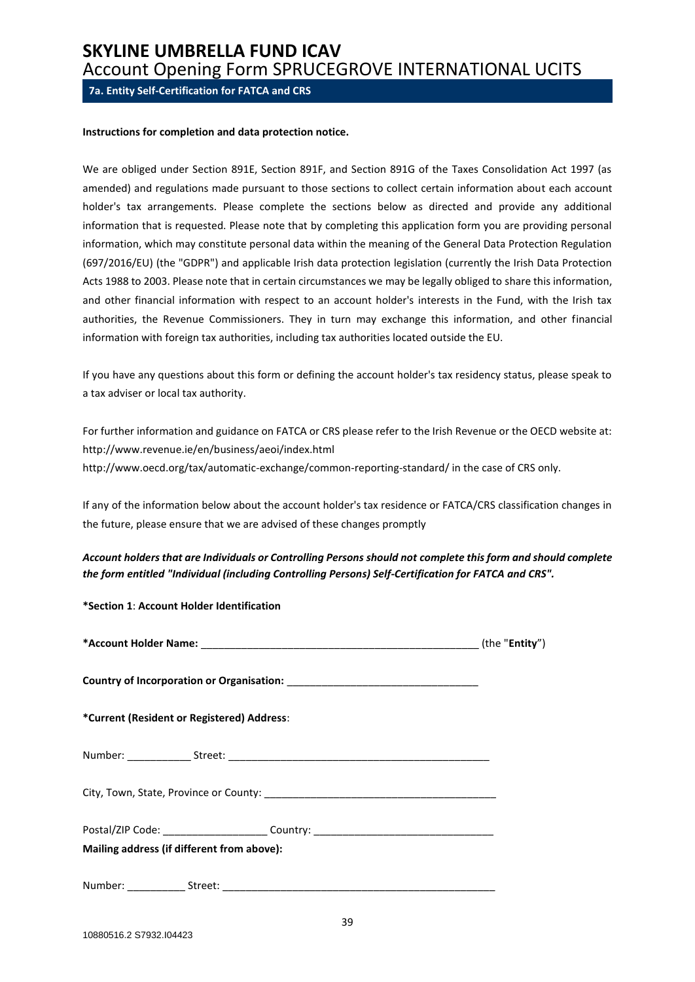<span id="page-38-0"></span>**7a. Entity Self-Certification for FATCA and CRS**

#### **Instructions for completion and data protection notice.**

We are obliged under Section 891E, Section 891F, and Section 891G of the Taxes Consolidation Act 1997 (as amended) and regulations made pursuant to those sections to collect certain information about each account holder's tax arrangements. Please complete the sections below as directed and provide any additional information that is requested. Please note that by completing this application form you are providing personal information, which may constitute personal data within the meaning of the General Data Protection Regulation (697/2016/EU) (the "GDPR") and applicable Irish data protection legislation (currently the Irish Data Protection Acts 1988 to 2003. Please note that in certain circumstances we may be legally obliged to share this information, and other financial information with respect to an account holder's interests in the Fund, with the Irish tax authorities, the Revenue Commissioners. They in turn may exchange this information, and other financial information with foreign tax authorities, including tax authorities located outside the EU.

If you have any questions about this form or defining the account holder's tax residency status, please speak to a tax adviser or local tax authority.

For further information and guidance on FATCA or CRS please refer to the Irish Revenue or the OECD website at: http://www.revenue.ie/en/business/aeoi/index.html http://www.oecd.org/tax/automatic-exchange/common-reporting-standard/ in the case of CRS only.

If any of the information below about the account holder's tax residence or FATCA/CRS classification changes in the future, please ensure that we are advised of these changes promptly

*Account holders that are Individuals or Controlling Persons should not complete this form and should complete the form entitled "Individual (including Controlling Persons) Self-Certification for FATCA and CRS".*

**\*Section 1**: **Account Holder Identification** 

|                                                                                  | (the " <b>Entity</b> ") |
|----------------------------------------------------------------------------------|-------------------------|
|                                                                                  |                         |
| *Current (Resident or Registered) Address:                                       |                         |
|                                                                                  |                         |
|                                                                                  |                         |
| Postal/ZIP Code: ________________________Country: ______________________________ |                         |
| Mailing address (if different from above):                                       |                         |
|                                                                                  |                         |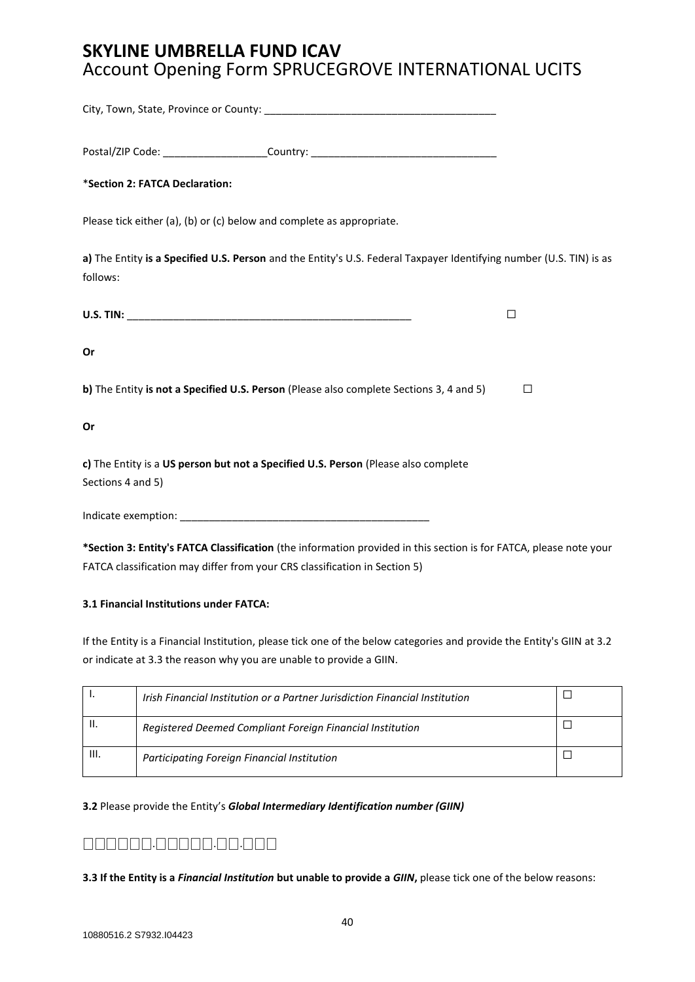| Postal/ZIP Code: _______________________Country: _______________________________                                                |         |
|---------------------------------------------------------------------------------------------------------------------------------|---------|
| *Section 2: FATCA Declaration:                                                                                                  |         |
| Please tick either (a), (b) or (c) below and complete as appropriate.                                                           |         |
| a) The Entity is a Specified U.S. Person and the Entity's U.S. Federal Taxpayer Identifying number (U.S. TIN) is as<br>follows: |         |
|                                                                                                                                 | □       |
| Or                                                                                                                              |         |
| b) The Entity is not a Specified U.S. Person (Please also complete Sections 3, 4 and 5)                                         | $\perp$ |
| Or                                                                                                                              |         |
| c) The Entity is a US person but not a Specified U.S. Person (Please also complete<br>Sections 4 and 5)                         |         |
|                                                                                                                                 |         |
| *Section 3: Entity's FATCA Classification (the information provided in this section is for FATCA, please note your              |         |

FATCA classification may differ from your CRS classification in Section 5)

#### **3.1 Financial Institutions under FATCA:**

If the Entity is a Financial Institution, please tick one of the below categories and provide the Entity's GIIN at 3.2 or indicate at 3.3 the reason why you are unable to provide a GIIN.

|    | Irish Financial Institution or a Partner Jurisdiction Financial Institution |  |
|----|-----------------------------------------------------------------------------|--|
| н. | Registered Deemed Compliant Foreign Financial Institution                   |  |
| Ш. | Participating Foreign Financial Institution                                 |  |

#### **3.2** Please provide the Entity's *Global Intermediary Identification number (GIIN)*

## ⎕⎕⎕⎕⎕⎕.⎕⎕⎕⎕⎕.⎕⎕.⎕⎕⎕

**3.3 If the Entity is a** *Financial Institution* **but unable to provide a** *GIIN***,** please tick one of the below reasons: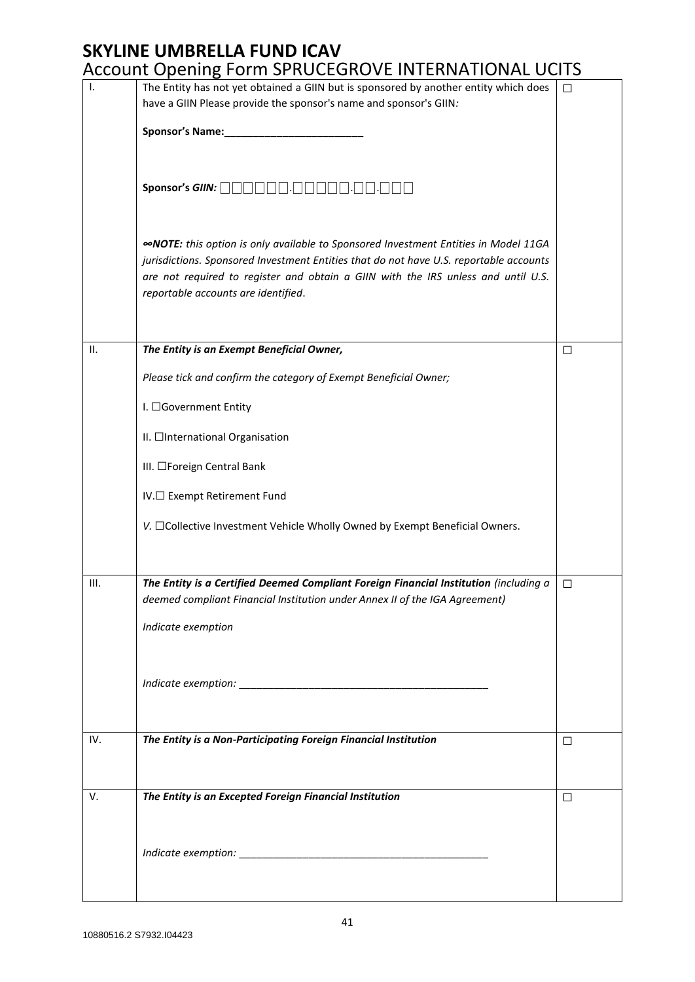|                | Account Opening I Unit SI NOCEUNOVE INTENNATIONAL OCTU                                                                                                                                                                                                                                                           |        |
|----------------|------------------------------------------------------------------------------------------------------------------------------------------------------------------------------------------------------------------------------------------------------------------------------------------------------------------|--------|
| $\mathbf{I}$ . | The Entity has not yet obtained a GIIN but is sponsored by another entity which does<br>have a GIIN Please provide the sponsor's name and sponsor's GIIN:                                                                                                                                                        | $\Box$ |
|                |                                                                                                                                                                                                                                                                                                                  |        |
|                | Sponsor's GIIN: $\Box \Box \Box \Box \Box \Box \Box$                                                                                                                                                                                                                                                             |        |
|                | <b>«NOTE:</b> this option is only available to Sponsored Investment Entities in Model 11GA<br>jurisdictions. Sponsored Investment Entities that do not have U.S. reportable accounts<br>are not required to register and obtain a GIIN with the IRS unless and until U.S.<br>reportable accounts are identified. |        |
| П.             | The Entity is an Exempt Beneficial Owner,                                                                                                                                                                                                                                                                        | $\Box$ |
|                | Please tick and confirm the category of Exempt Beneficial Owner;                                                                                                                                                                                                                                                 |        |
|                | I. □Government Entity                                                                                                                                                                                                                                                                                            |        |
|                | II. □International Organisation                                                                                                                                                                                                                                                                                  |        |
|                | III. □Foreign Central Bank                                                                                                                                                                                                                                                                                       |        |
|                | IV.□ Exempt Retirement Fund                                                                                                                                                                                                                                                                                      |        |
|                | V. □Collective Investment Vehicle Wholly Owned by Exempt Beneficial Owners.                                                                                                                                                                                                                                      |        |
|                |                                                                                                                                                                                                                                                                                                                  |        |
| III.           | The Entity is a Certified Deemed Compliant Foreign Financial Institution (including a<br>deemed compliant Financial Institution under Annex II of the IGA Agreement)                                                                                                                                             | □      |
|                | Indicate exemption                                                                                                                                                                                                                                                                                               |        |
|                |                                                                                                                                                                                                                                                                                                                  |        |
|                |                                                                                                                                                                                                                                                                                                                  |        |
|                |                                                                                                                                                                                                                                                                                                                  |        |
| IV.            | The Entity is a Non-Participating Foreign Financial Institution                                                                                                                                                                                                                                                  | $\Box$ |
|                |                                                                                                                                                                                                                                                                                                                  |        |
| V.             | The Entity is an Excepted Foreign Financial Institution                                                                                                                                                                                                                                                          | $\Box$ |
|                |                                                                                                                                                                                                                                                                                                                  |        |
|                |                                                                                                                                                                                                                                                                                                                  |        |
|                |                                                                                                                                                                                                                                                                                                                  |        |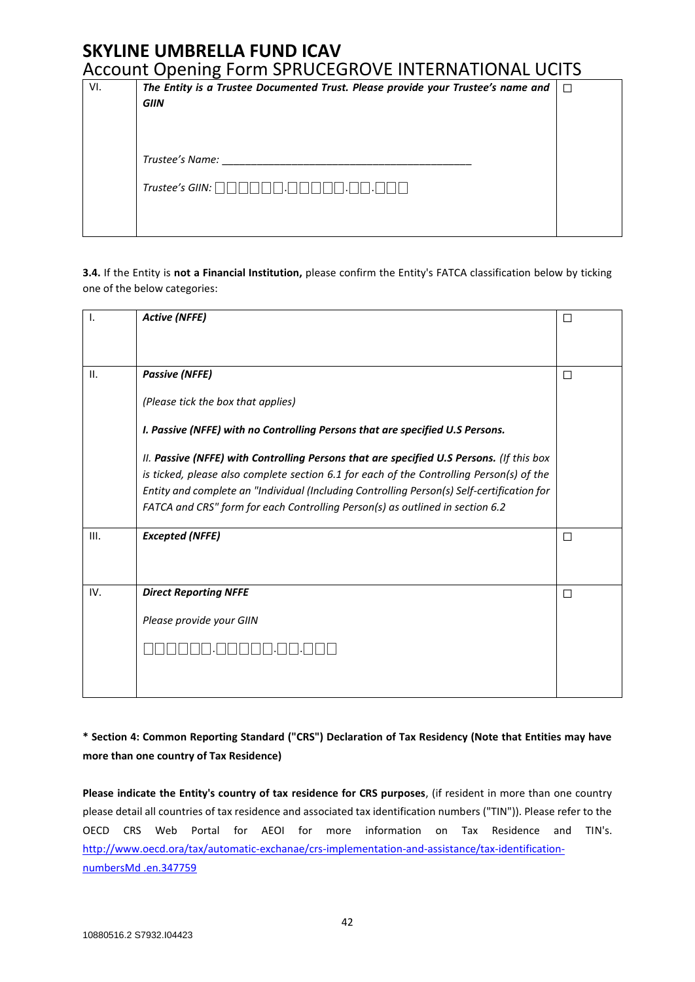| VI. | The Entity is a Trustee Documented Trust. Please provide your Trustee's name and<br>$\Box$ |  |  |
|-----|--------------------------------------------------------------------------------------------|--|--|
|     | <b>GIIN</b>                                                                                |  |  |
|     |                                                                                            |  |  |
|     |                                                                                            |  |  |
|     | Trustee's Name:                                                                            |  |  |
|     | Trustee's GIIN: $\Box$                                                                     |  |  |
|     |                                                                                            |  |  |
|     |                                                                                            |  |  |

**3.4.** If the Entity is **not a Financial Institution,** please confirm the Entity's FATCA classification below by ticking one of the below categories:

| $\mathbf{I}$ . | <b>Active (NFFE)</b>                                                                       | □      |
|----------------|--------------------------------------------------------------------------------------------|--------|
|                |                                                                                            |        |
| ΙΙ.            | <b>Passive (NFFE)</b>                                                                      | $\Box$ |
|                | (Please tick the box that applies)                                                         |        |
|                | I. Passive (NFFE) with no Controlling Persons that are specified U.S Persons.              |        |
|                | II. Passive (NFFE) with Controlling Persons that are specified U.S Persons. (If this box   |        |
|                | is ticked, please also complete section 6.1 for each of the Controlling Person(s) of the   |        |
|                | Entity and complete an "Individual (Including Controlling Person(s) Self-certification for |        |
|                | FATCA and CRS" form for each Controlling Person(s) as outlined in section 6.2              |        |
| III.           | <b>Excepted (NFFE)</b>                                                                     | $\Box$ |
|                |                                                                                            |        |
| IV.            | <b>Direct Reporting NFFE</b>                                                               | П      |
|                | Please provide your GIIN                                                                   |        |
|                |                                                                                            |        |
|                |                                                                                            |        |
|                |                                                                                            |        |

## **\* Section 4: Common Reporting Standard ("CRS") Declaration of Tax Residency (Note that Entities may have more than one country of Tax Residence)**

**Please indicate the Entity's country of tax residence for CRS purposes**, (if resident in more than one country please detail all countries of tax residence and associated tax identification numbers ("TIN")). Please refer to the OECD CRS Web Portal for AEOI for more information on Tax Residence and TIN's. [http://www.oecd.ora/tax/automatic-exchanae/crs-implementation-and-assistance/tax-identification](http://www.oecd.ora/tax/automatic-exchanae/crs-implementation-and-assistance/tax-identification-numbersMd%20.en.347759)[numbersMd .en.347759](http://www.oecd.ora/tax/automatic-exchanae/crs-implementation-and-assistance/tax-identification-numbersMd%20.en.347759)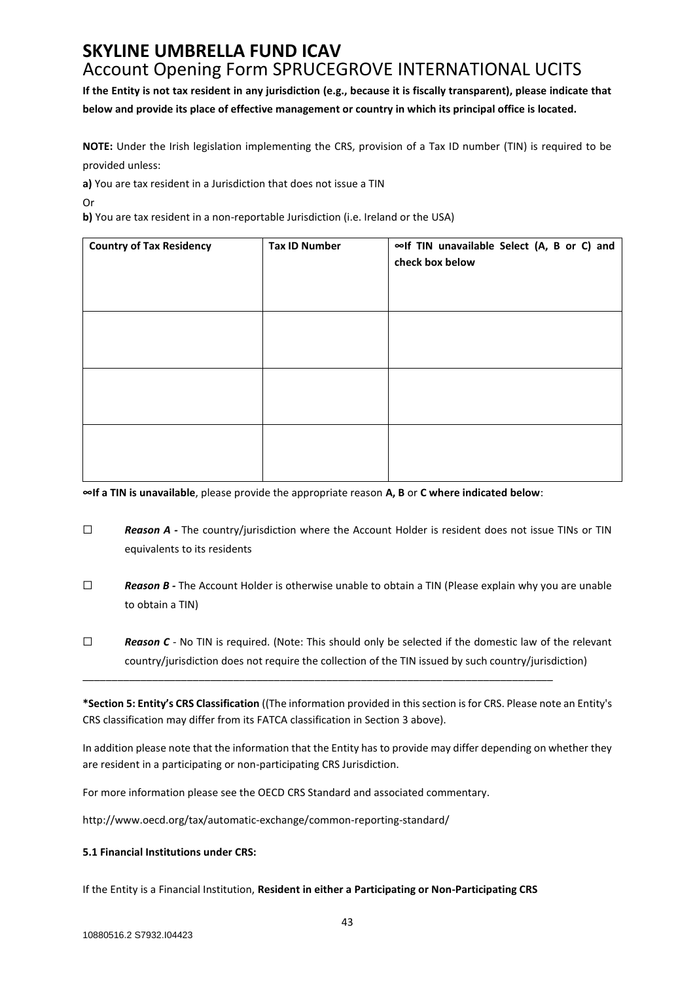**If the Entity is not tax resident in any jurisdiction (e.g., because it is fiscally transparent), please indicate that below and provide its place of effective management or country in which its principal office is located.**

**NOTE:** Under the Irish legislation implementing the CRS, provision of a Tax ID number (TIN) is required to be provided unless:

**a)** You are tax resident in a Jurisdiction that does not issue a TIN

Or

**b)** You are tax resident in a non-reportable Jurisdiction (i.e. Ireland or the USA)

| <b>Country of Tax Residency</b> | <b>Tax ID Number</b> | ∞If TIN unavailable Select (A, B or C) and<br>check box below |
|---------------------------------|----------------------|---------------------------------------------------------------|
|                                 |                      |                                                               |
|                                 |                      |                                                               |
|                                 |                      |                                                               |

**∞If a TIN is unavailable**, please provide the appropriate reason **A, B** or **C where indicated below**:

- ☐ *Reason A -* The country/jurisdiction where the Account Holder is resident does not issue TINs or TIN equivalents to its residents
- ☐ *Reason B -* The Account Holder is otherwise unable to obtain a TIN (Please explain why you are unable to obtain a TIN)
- □ **Reason C** No TIN is required. (Note: This should only be selected if the domestic law of the relevant country/jurisdiction does not require the collection of the TIN issued by such country/jurisdiction)

\_\_\_\_\_\_\_\_\_\_\_\_\_\_\_\_\_\_\_\_\_\_\_\_\_\_\_\_\_\_\_\_\_\_\_\_\_\_\_\_\_\_\_\_\_\_\_\_\_\_\_\_\_\_\_\_\_\_\_\_\_\_\_\_\_\_\_\_\_\_\_\_\_\_\_\_\_\_\_\_\_

**\*Section 5: Entity's CRS Classification** ((The information provided in this section is for CRS. Please note an Entity's CRS classification may differ from its FATCA classification in Section 3 above).

In addition please note that the information that the Entity has to provide may differ depending on whether they are resident in a participating or non-participating CRS Jurisdiction.

For more information please see the OECD CRS Standard and associated commentary.

http://www.oecd.org/tax/automatic-exchange/common-reporting-standard/

#### **5.1 Financial Institutions under CRS:**

If the Entity is a Financial Institution, **Resident in either a Participating or Non-Participating CRS**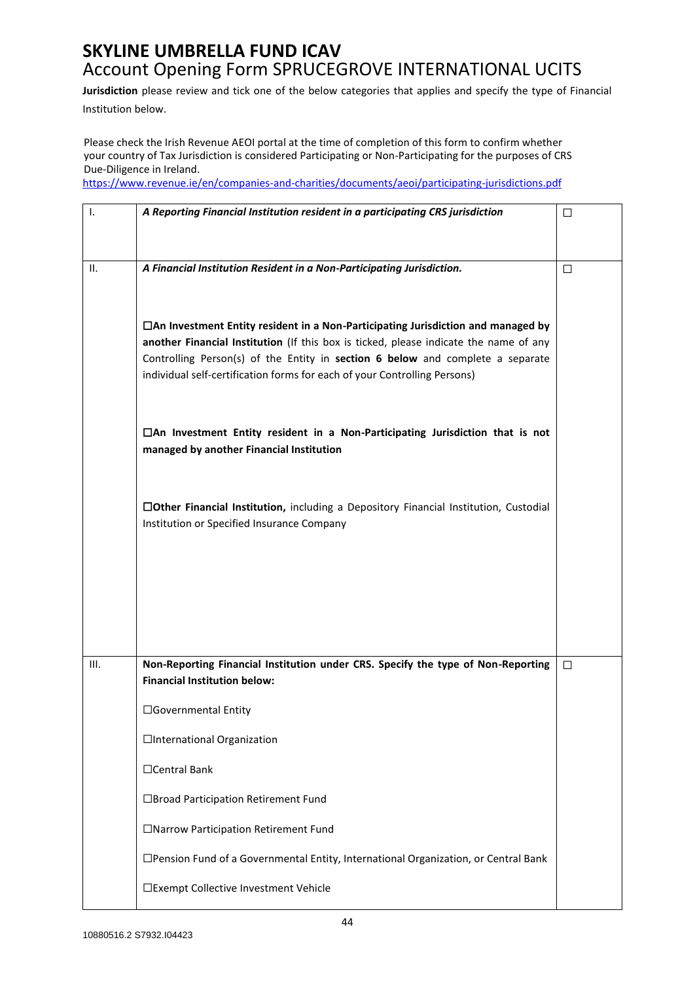**Jurisdiction** please review and tick one of the below categories that applies and specify the type of Financial Institution below.

Please check the Irish Revenue AEOI portal at the time of completion of this form to confirm whether your country of Tax Jurisdiction is considered Participating or Non-Participating for the purposes of CRS Due-Diligence in Ireland.

<https://www.revenue.ie/en/companies-and-charities/documents/aeoi/participating-jurisdictions.pdf>

| Ι.   | A Reporting Financial Institution resident in a participating CRS jurisdiction                                                                                                                                                                                                                                                                  | □      |
|------|-------------------------------------------------------------------------------------------------------------------------------------------------------------------------------------------------------------------------------------------------------------------------------------------------------------------------------------------------|--------|
| н.   | A Financial Institution Resident in a Non-Participating Jurisdiction.                                                                                                                                                                                                                                                                           | П      |
|      | $\Box$ An Investment Entity resident in a Non-Participating Jurisdiction and managed by<br>another Financial Institution (If this box is ticked, please indicate the name of any<br>Controlling Person(s) of the Entity in section 6 below and complete a separate<br>individual self-certification forms for each of your Controlling Persons) |        |
|      | $\Box$ An Investment Entity resident in a Non-Participating Jurisdiction that is not<br>managed by another Financial Institution                                                                                                                                                                                                                |        |
|      | □Other Financial Institution, including a Depository Financial Institution, Custodial<br>Institution or Specified Insurance Company                                                                                                                                                                                                             |        |
| III. | Non-Reporting Financial Institution under CRS. Specify the type of Non-Reporting<br><b>Financial Institution below:</b>                                                                                                                                                                                                                         | $\Box$ |
|      | □Governmental Entity                                                                                                                                                                                                                                                                                                                            |        |
|      | □International Organization                                                                                                                                                                                                                                                                                                                     |        |
|      | □Central Bank                                                                                                                                                                                                                                                                                                                                   |        |
|      | □Broad Participation Retirement Fund                                                                                                                                                                                                                                                                                                            |        |
|      | □Narrow Participation Retirement Fund                                                                                                                                                                                                                                                                                                           |        |
|      | □ Pension Fund of a Governmental Entity, International Organization, or Central Bank                                                                                                                                                                                                                                                            |        |
|      | □Exempt Collective Investment Vehicle                                                                                                                                                                                                                                                                                                           |        |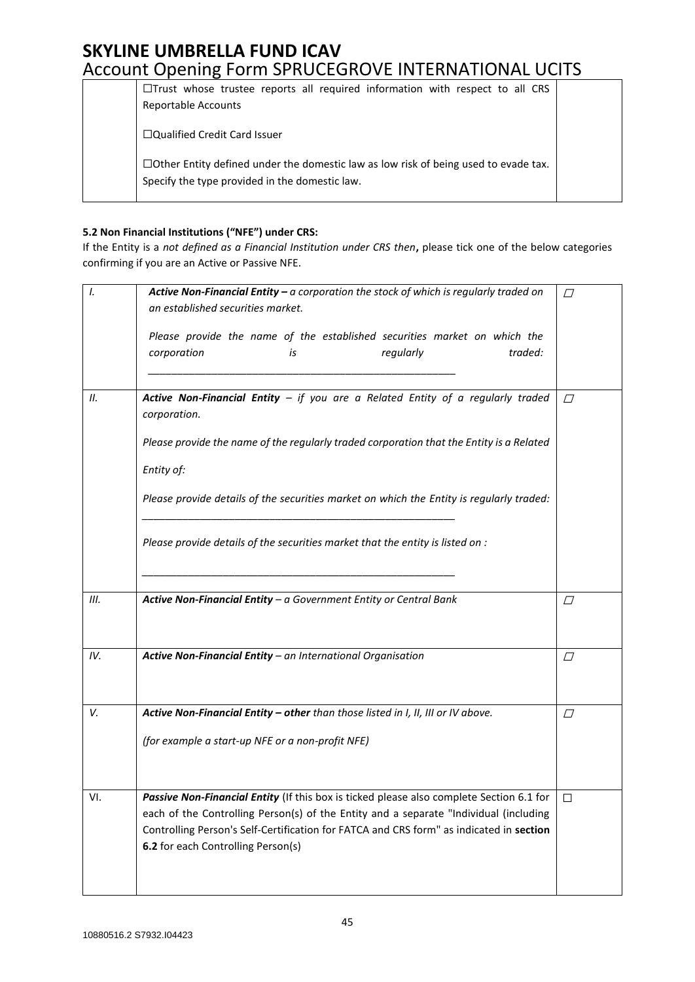| $\Box$ Trust whose trustee reports all required information with respect to all CRS<br><b>Reportable Accounts</b>                            |  |
|----------------------------------------------------------------------------------------------------------------------------------------------|--|
| $\Box$ Qualified Credit Card Issuer                                                                                                          |  |
| $\Box$ Other Entity defined under the domestic law as low risk of being used to evade tax.<br>Specify the type provided in the domestic law. |  |

#### **5.2 Non Financial Institutions ("NFE") under CRS:**

If the Entity is a *not defined as a Financial Institution under CRS then***,** please tick one of the below categories confirming if you are an Active or Passive NFE.

| I.  | Active Non-Financial Entity - a corporation the stock of which is regularly traded on<br>an established securities market.                                                       |           |  |
|-----|----------------------------------------------------------------------------------------------------------------------------------------------------------------------------------|-----------|--|
|     | Please provide the name of the established securities market on which the<br>corporation<br>regularly<br>traded:<br>is                                                           |           |  |
| 11. | Active Non-Financial Entity $-$ if you are a Related Entity of a regularly traded<br>corporation.                                                                                | $\sqrt{}$ |  |
|     | Please provide the name of the regularly traded corporation that the Entity is a Related                                                                                         |           |  |
|     | Entity of:                                                                                                                                                                       |           |  |
|     | Please provide details of the securities market on which the Entity is regularly traded:                                                                                         |           |  |
|     | Please provide details of the securities market that the entity is listed on :                                                                                                   |           |  |
| Ш.  | Active Non-Financial Entity - a Government Entity or Central Bank                                                                                                                | $\Box$    |  |
|     |                                                                                                                                                                                  |           |  |
| IV. | Active Non-Financial Entity - an International Organisation                                                                                                                      | $\varpi$  |  |
| V.  | Active Non-Financial Entity - other than those listed in I, II, III or IV above.                                                                                                 | $\varpi$  |  |
|     | (for example a start-up NFE or a non-profit NFE)                                                                                                                                 |           |  |
| VI. | Passive Non-Financial Entity (If this box is ticked please also complete Section 6.1 for                                                                                         | П         |  |
|     | each of the Controlling Person(s) of the Entity and a separate "Individual (including<br>Controlling Person's Self-Certification for FATCA and CRS form" as indicated in section |           |  |
|     | 6.2 for each Controlling Person(s)                                                                                                                                               |           |  |
|     |                                                                                                                                                                                  |           |  |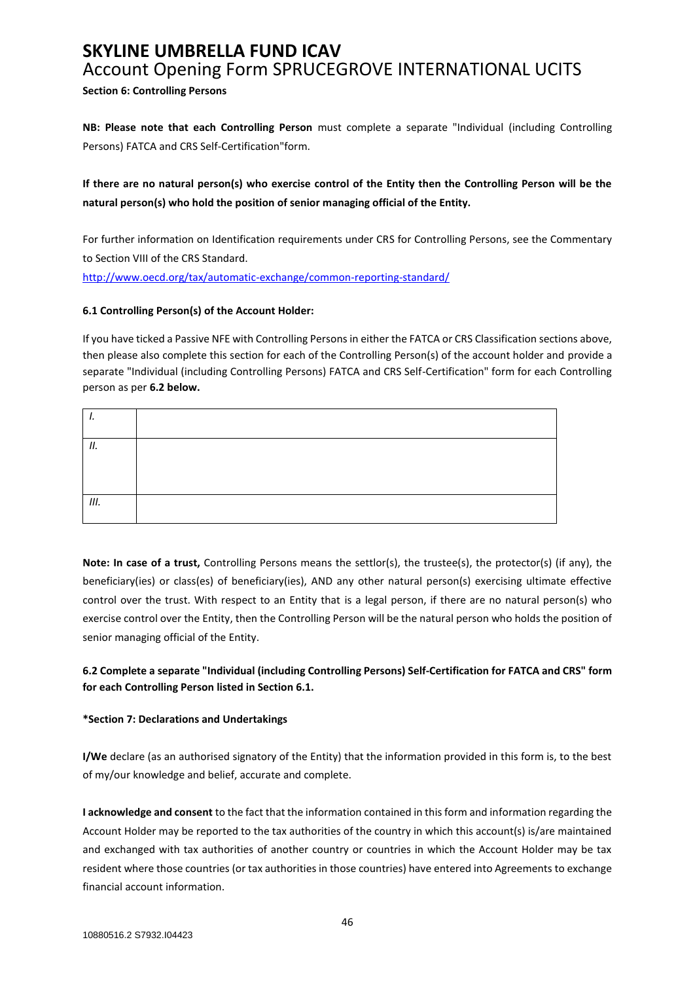**Section 6: Controlling Persons** 

**NB: Please note that each Controlling Person** must complete a separate "Individual (including Controlling Persons) FATCA and CRS Self-Certification"form.

**If there are no natural person(s) who exercise control of the Entity then the Controlling Person will be the natural person(s) who hold the position of senior managing official of the Entity.**

For further information on Identification requirements under CRS for Controlling Persons, see the Commentary to Section VIII of the CRS Standard.

<http://www.oecd.org/tax/automatic-exchange/common-reporting-standard/>

#### **6.1 Controlling Person(s) of the Account Holder:**

If you have ticked a Passive NFE with Controlling Persons in either the FATCA or CRS Classification sections above, then please also complete this section for each of the Controlling Person(s) of the account holder and provide a separate "Individual (including Controlling Persons) FATCA and CRS Self-Certification" form for each Controlling person as per **6.2 below.**

| ,,, |  |
|-----|--|
|     |  |
|     |  |
| Ш.  |  |
|     |  |

**Note: In case of a trust,** Controlling Persons means the settlor(s), the trustee(s), the protector(s) (if any), the beneficiary(ies) or class(es) of beneficiary(ies), AND any other natural person(s) exercising ultimate effective control over the trust. With respect to an Entity that is a legal person, if there are no natural person(s) who exercise control over the Entity, then the Controlling Person will be the natural person who holds the position of senior managing official of the Entity.

### **6.2 Complete a separate "Individual (including Controlling Persons) Self-Certification for FATCA and CRS" form for each Controlling Person listed in Section 6.1.**

#### **\*Section 7: Declarations and Undertakings**

**I/We** declare (as an authorised signatory of the Entity) that the information provided in this form is, to the best of my/our knowledge and belief, accurate and complete.

**I acknowledge and consent** to the fact that the information contained in this form and information regarding the Account Holder may be reported to the tax authorities of the country in which this account(s) is/are maintained and exchanged with tax authorities of another country or countries in which the Account Holder may be tax resident where those countries (or tax authorities in those countries) have entered into Agreements to exchange financial account information.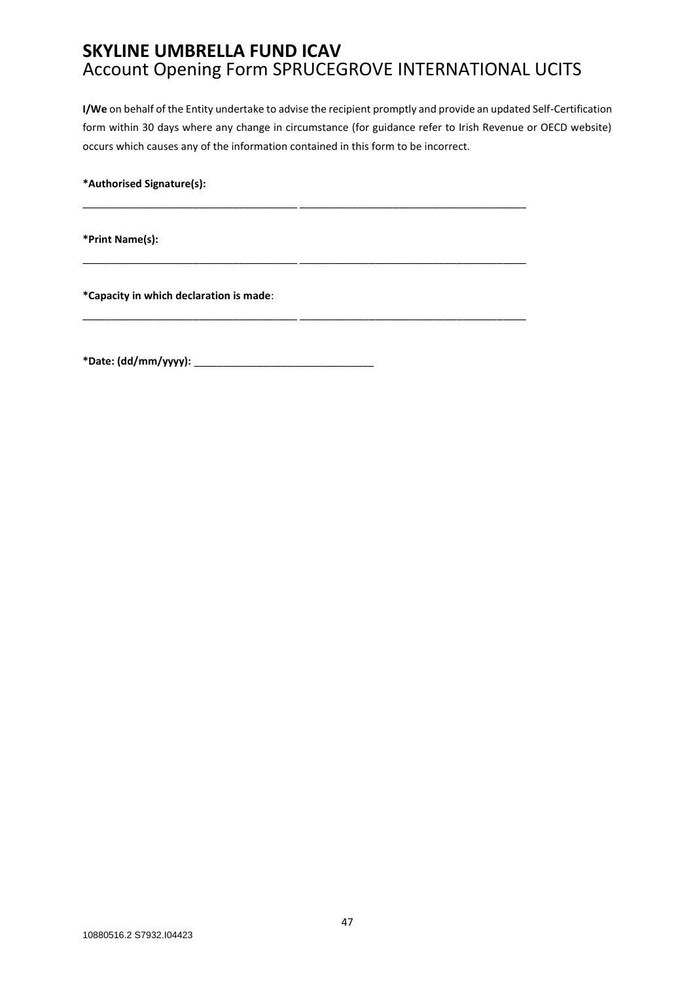\_\_\_\_\_\_\_\_\_\_\_\_\_\_\_\_\_\_\_\_\_\_\_\_\_\_\_\_\_\_\_\_\_\_\_\_\_ \_\_\_\_\_\_\_\_\_\_\_\_\_\_\_\_\_\_\_\_\_\_\_\_\_\_\_\_\_\_\_\_\_\_\_\_\_\_\_

\_\_\_\_\_\_\_\_\_\_\_\_\_\_\_\_\_\_\_\_\_\_\_\_\_\_\_\_\_\_\_\_\_\_\_\_\_ \_\_\_\_\_\_\_\_\_\_\_\_\_\_\_\_\_\_\_\_\_\_\_\_\_\_\_\_\_\_\_\_\_\_\_\_\_\_\_

\_\_\_\_\_\_\_\_\_\_\_\_\_\_\_\_\_\_\_\_\_\_\_\_\_\_\_\_\_\_\_\_\_\_\_\_\_ \_\_\_\_\_\_\_\_\_\_\_\_\_\_\_\_\_\_\_\_\_\_\_\_\_\_\_\_\_\_\_\_\_\_\_\_\_\_\_

**I/We** on behalf of the Entity undertake to advise the recipient promptly and provide an updated Self-Certification form within 30 days where any change in circumstance (for guidance refer to Irish Revenue or OECD website) occurs which causes any of the information contained in this form to be incorrect.

**\*Authorised Signature(s):** 

**\*Print Name(s):** 

**\*Capacity in which declaration is made**:

**\*Date: (dd/mm/yyyy):** \_\_\_\_\_\_\_\_\_\_\_\_\_\_\_\_\_\_\_\_\_\_\_\_\_\_\_\_\_\_\_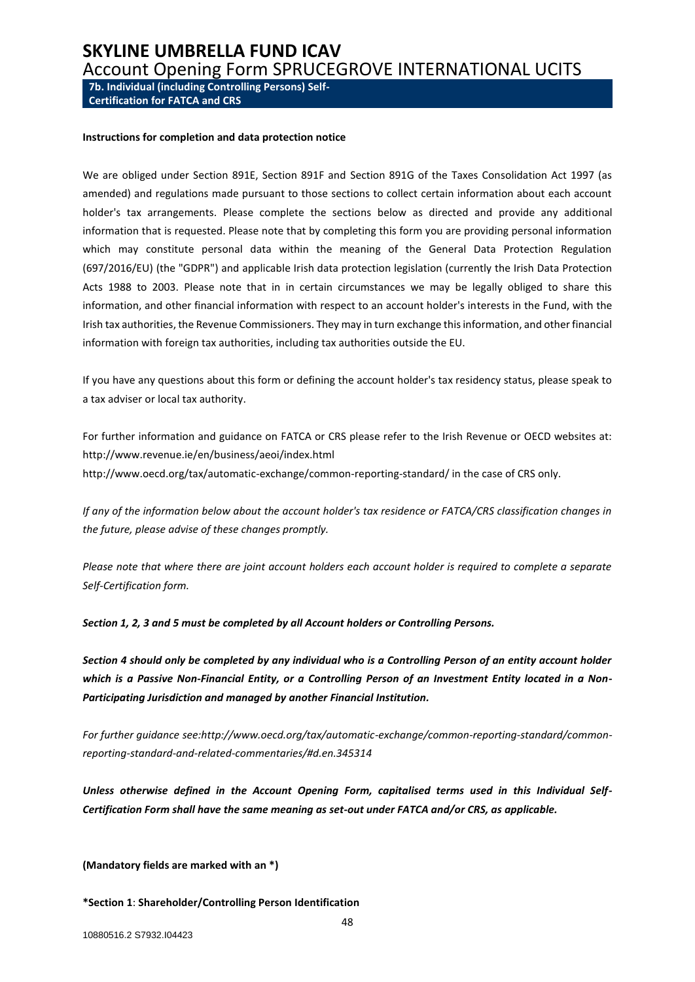<span id="page-47-0"></span>**7b. Individual (including Controlling Persons) Self-Certification for FATCA and CRS**

#### **Instructions for completion and data protection notice**

We are obliged under Section 891E, Section 891F and Section 891G of the Taxes Consolidation Act 1997 (as amended) and regulations made pursuant to those sections to collect certain information about each account holder's tax arrangements. Please complete the sections below as directed and provide any additional information that is requested. Please note that by completing this form you are providing personal information which may constitute personal data within the meaning of the General Data Protection Regulation (697/2016/EU) (the "GDPR") and applicable Irish data protection legislation (currently the Irish Data Protection Acts 1988 to 2003. Please note that in in certain circumstances we may be legally obliged to share this information, and other financial information with respect to an account holder's interests in the Fund, with the Irish tax authorities, the Revenue Commissioners. They may in turn exchange this information, and other financial information with foreign tax authorities, including tax authorities outside the EU.

If you have any questions about this form or defining the account holder's tax residency status, please speak to a tax adviser or local tax authority.

For further information and guidance on FATCA or CRS please refer to the Irish Revenue or OECD websites at: http://www.revenue.ie/en/business/aeoi/index.html http://www.oecd.org/tax/automatic-exchange/common-reporting-standard/ in the case of CRS only.

*If any of the information below about the account holder's tax residence or FATCA/CRS classification changes in the future, please advise of these changes promptly.*

*Please note that where there are joint account holders each account holder is required to complete a separate Self-Certification form.* 

*Section 1, 2, 3 and 5 must be completed by all Account holders or Controlling Persons.*

*Section 4 should only be completed by any individual who is a Controlling Person of an entity account holder which is a Passive Non-Financial Entity, or a Controlling Person of an Investment Entity located in a Non-Participating Jurisdiction and managed by another Financial Institution.* 

*For further guidance see:http://www.oecd.org/tax/automatic-exchange/common-reporting-standard/commonreporting-standard-and-related-commentaries/#d.en.345314* 

*Unless otherwise defined in the Account Opening Form, capitalised terms used in this Individual Self-Certification Form shall have the same meaning as set-out under FATCA and/or CRS, as applicable.*

**(Mandatory fields are marked with an \*)** 

**\*Section 1**: **Shareholder/Controlling Person Identification**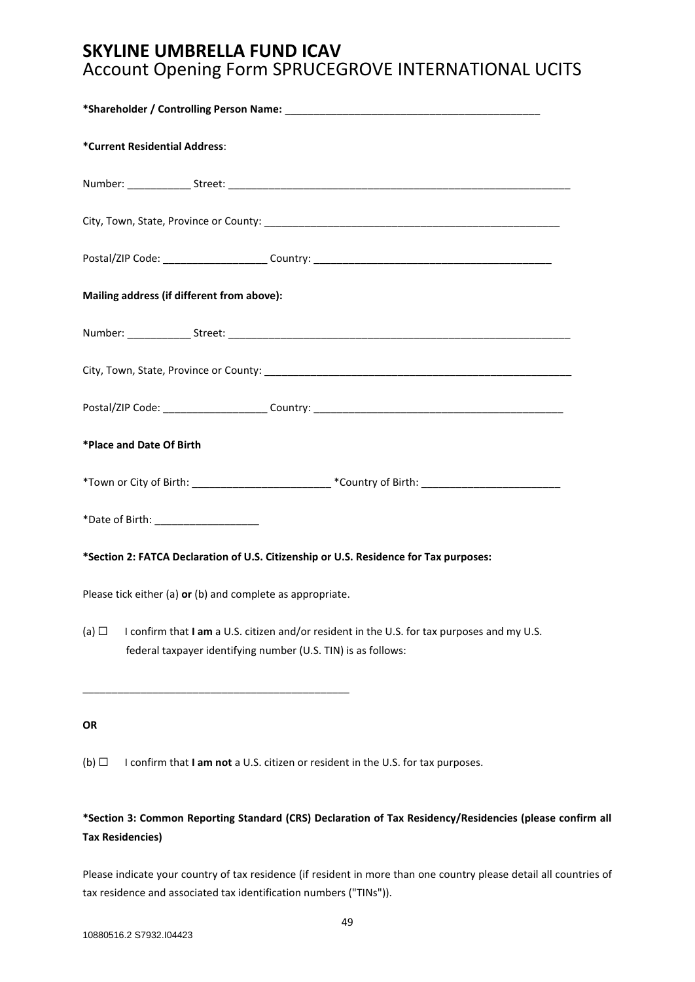| *Current Residential Address:                                                                                                                                              |
|----------------------------------------------------------------------------------------------------------------------------------------------------------------------------|
|                                                                                                                                                                            |
|                                                                                                                                                                            |
|                                                                                                                                                                            |
| Mailing address (if different from above):                                                                                                                                 |
|                                                                                                                                                                            |
|                                                                                                                                                                            |
|                                                                                                                                                                            |
| *Place and Date Of Birth                                                                                                                                                   |
|                                                                                                                                                                            |
| *Date of Birth: ____________________                                                                                                                                       |
| *Section 2: FATCA Declaration of U.S. Citizenship or U.S. Residence for Tax purposes:                                                                                      |
| Please tick either (a) or (b) and complete as appropriate.                                                                                                                 |
| I confirm that I am a U.S. citizen and/or resident in the U.S. for tax purposes and my U.S.<br>(a) $\Box$<br>federal taxpayer identifying number (U.S. TIN) is as follows: |
| OR                                                                                                                                                                         |

(b) ☐ I confirm that **I am not** a U.S. citizen or resident in the U.S. for tax purposes.

## **\*Section 3: Common Reporting Standard (CRS) Declaration of Tax Residency/Residencies (please confirm all Tax Residencies)**

Please indicate your country of tax residence (if resident in more than one country please detail all countries of tax residence and associated tax identification numbers ("TINs")).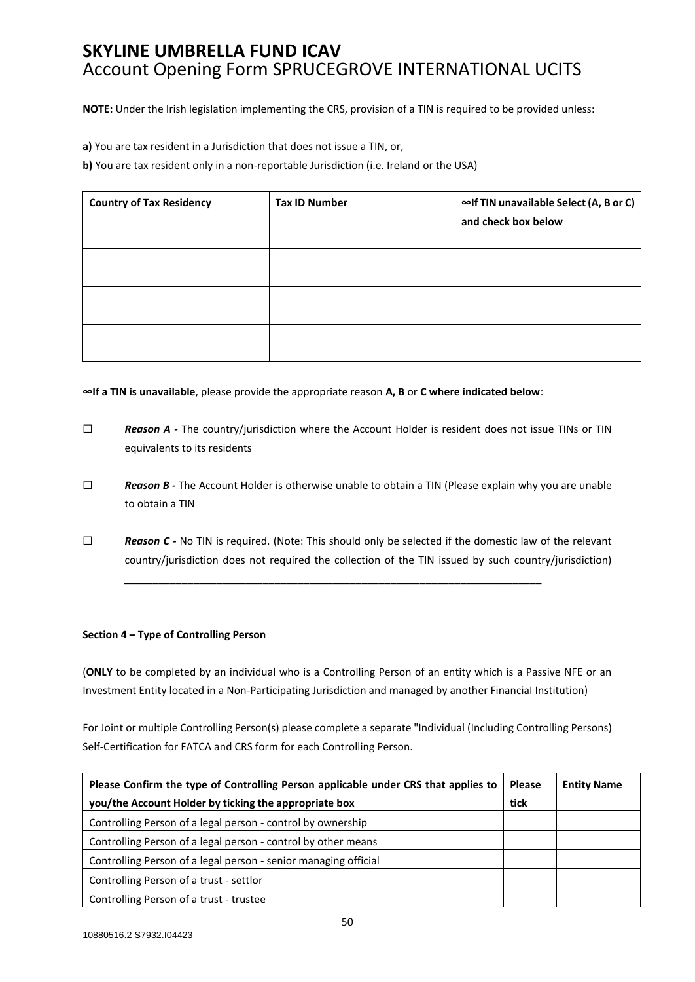**NOTE:** Under the Irish legislation implementing the CRS, provision of a TIN is required to be provided unless:

**a)** You are tax resident in a Jurisdiction that does not issue a TIN, or,

**b)** You are tax resident only in a non-reportable Jurisdiction (i.e. Ireland or the USA)

| <b>Country of Tax Residency</b> | <b>Tax ID Number</b> | ∞If TIN unavailable Select (A, B or C)<br>and check box below |
|---------------------------------|----------------------|---------------------------------------------------------------|
|                                 |                      |                                                               |
|                                 |                      |                                                               |
|                                 |                      |                                                               |

**∞If a TIN is unavailable**, please provide the appropriate reason **A, B** or **C where indicated below**:

- □ **Reason A** The country/jurisdiction where the Account Holder is resident does not issue TINs or TIN equivalents to its residents
- ☐ *Reason B -* The Account Holder is otherwise unable to obtain a TIN (Please explain why you are unable to obtain a TIN
- □ **Reason C** No TIN is required. (Note: This should only be selected if the domestic law of the relevant country/jurisdiction does not required the collection of the TIN issued by such country/jurisdiction)

*\_\_\_\_\_\_\_\_\_\_\_\_\_\_\_\_\_\_\_\_\_\_\_\_\_\_\_\_\_\_\_\_\_\_\_\_\_\_\_\_\_\_\_\_\_\_\_\_\_\_\_\_\_\_\_\_\_\_\_\_\_\_\_\_\_\_\_\_\_\_\_\_*

#### **Section 4 – Type of Controlling Person**

(**ONLY** to be completed by an individual who is a Controlling Person of an entity which is a Passive NFE or an Investment Entity located in a Non-Participating Jurisdiction and managed by another FinanciaI Institution)

For Joint or multiple Controlling Person(s) please complete a separate "Individual (Including Controlling Persons) Self-Certification for FATCA and CRS form for each Controlling Person.

| Please Confirm the type of Controlling Person applicable under CRS that applies to |  | <b>Entity Name</b> |
|------------------------------------------------------------------------------------|--|--------------------|
| you/the Account Holder by ticking the appropriate box                              |  |                    |
| Controlling Person of a legal person - control by ownership                        |  |                    |
| Controlling Person of a legal person - control by other means                      |  |                    |
| Controlling Person of a legal person - senior managing official                    |  |                    |
| Controlling Person of a trust - settlor                                            |  |                    |
| Controlling Person of a trust - trustee                                            |  |                    |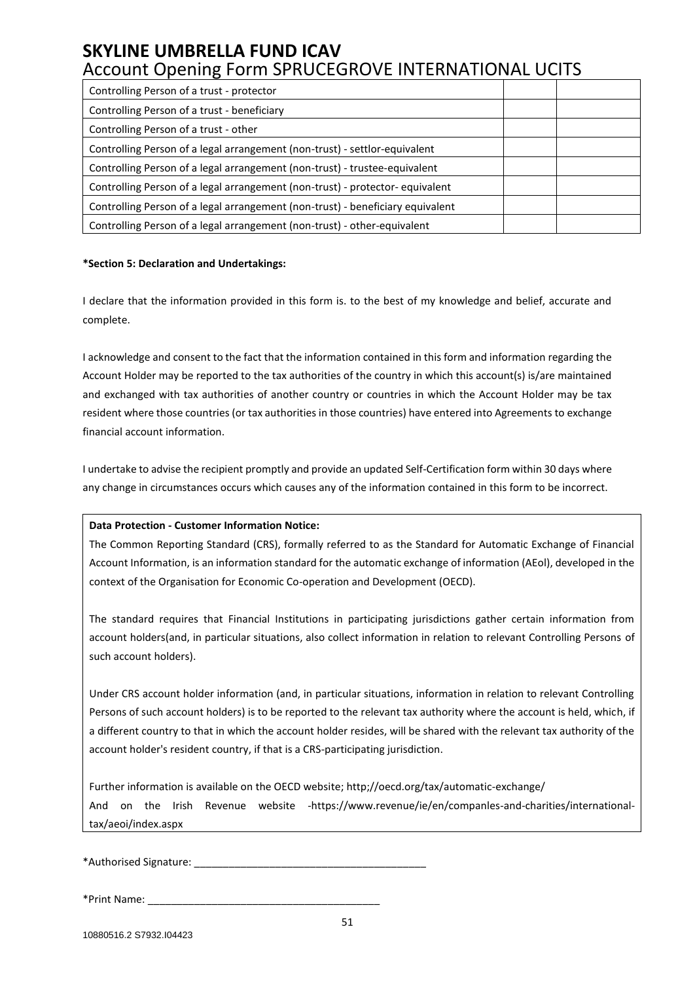| Controlling Person of a trust - protector                                      |  |
|--------------------------------------------------------------------------------|--|
| Controlling Person of a trust - beneficiary                                    |  |
| Controlling Person of a trust - other                                          |  |
| Controlling Person of a legal arrangement (non-trust) - settlor-equivalent     |  |
| Controlling Person of a legal arrangement (non-trust) - trustee-equivalent     |  |
| Controlling Person of a legal arrangement (non-trust) - protector- equivalent  |  |
| Controlling Person of a legal arrangement (non-trust) - beneficiary equivalent |  |
| Controlling Person of a legal arrangement (non-trust) - other-equivalent       |  |

#### **\*Section 5: Declaration and Undertakings:**

I declare that the information provided in this form is. to the best of my knowledge and belief, accurate and complete.

I acknowledge and consent to the fact that the information contained in this form and information regarding the Account Holder may be reported to the tax authorities of the country in which this account(s) is/are maintained and exchanged with tax authorities of another country or countries in which the Account Holder may be tax resident where those countries (or tax authorities in those countries) have entered into Agreements to exchange financial account information.

I undertake to advise the recipient promptly and provide an updated Self-Certification form within 30 days where any change in circumstances occurs which causes any of the information contained in this form to be incorrect.

#### **Data Protection - Customer Information Notice:**

The Common Reporting Standard (CRS), formally referred to as the Standard for Automatic Exchange of Financial Account Information, is an information standard for the automatic exchange of information (AEol), developed in the context of the Organisation for Economic Co-operation and Development (OECD).

The standard requires that Financial Institutions in participating jurisdictions gather certain information from account holders(and, in particular situations, also collect information in relation to relevant Controlling Persons of such account holders).

Under CRS account holder information (and, in particular situations, information in relation to relevant Controlling Persons of such account holders) is to be reported to the relevant tax authority where the account is held, which, if a different country to that in which the account holder resides, will be shared with the relevant tax authority of the account holder's resident country, if that is a CRS-participating jurisdiction.

Further information is available on the OECD website; http;//oecd.org/tax/automatic-exchange/ And on the Irish Revenue website -https://www.revenue/ie/en/companles-and-charities/internationaltax/aeoi/index.aspx

\*Authorised Signature: \_\_\_\_\_\_\_\_\_\_\_\_\_\_\_\_\_\_\_\_\_\_\_\_\_\_\_\_\_\_\_\_\_\_\_\_\_\_\_\_

\*Print Name: \_\_\_\_\_\_\_\_\_\_\_\_\_\_\_\_\_\_\_\_\_\_\_\_\_\_\_\_\_\_\_\_\_\_\_\_\_\_\_\_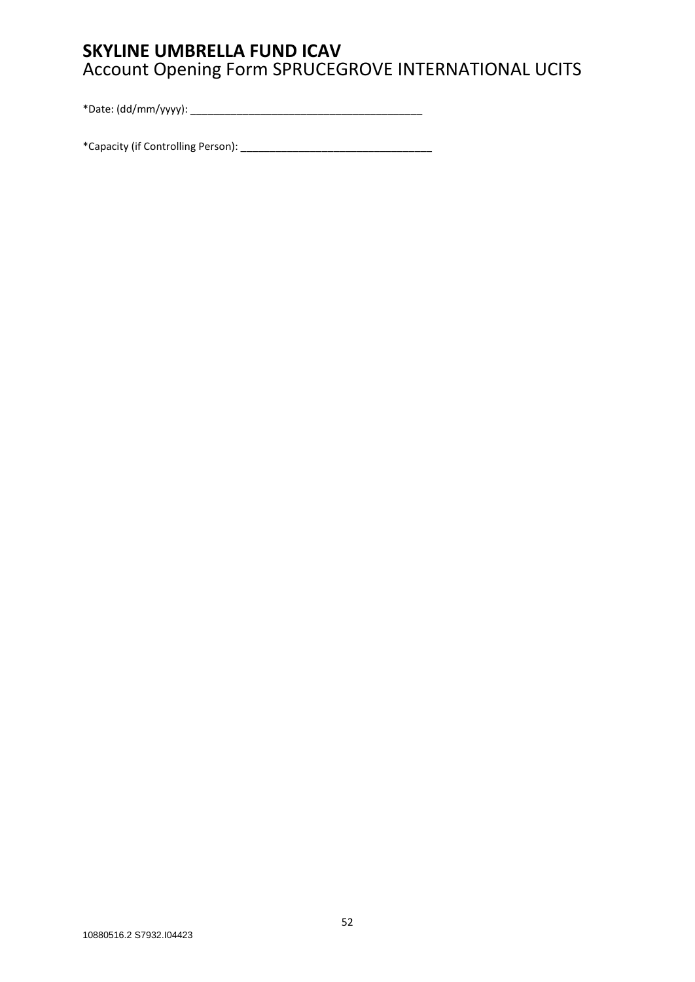\*Date: (dd/mm/yyyy): \_\_\_\_\_\_\_\_\_\_\_\_\_\_\_\_\_\_\_\_\_\_\_\_\_\_\_\_\_\_\_\_\_\_\_\_\_\_\_\_

\*Capacity (if Controlling Person): \_\_\_\_\_\_\_\_\_\_\_\_\_\_\_\_\_\_\_\_\_\_\_\_\_\_\_\_\_\_\_\_\_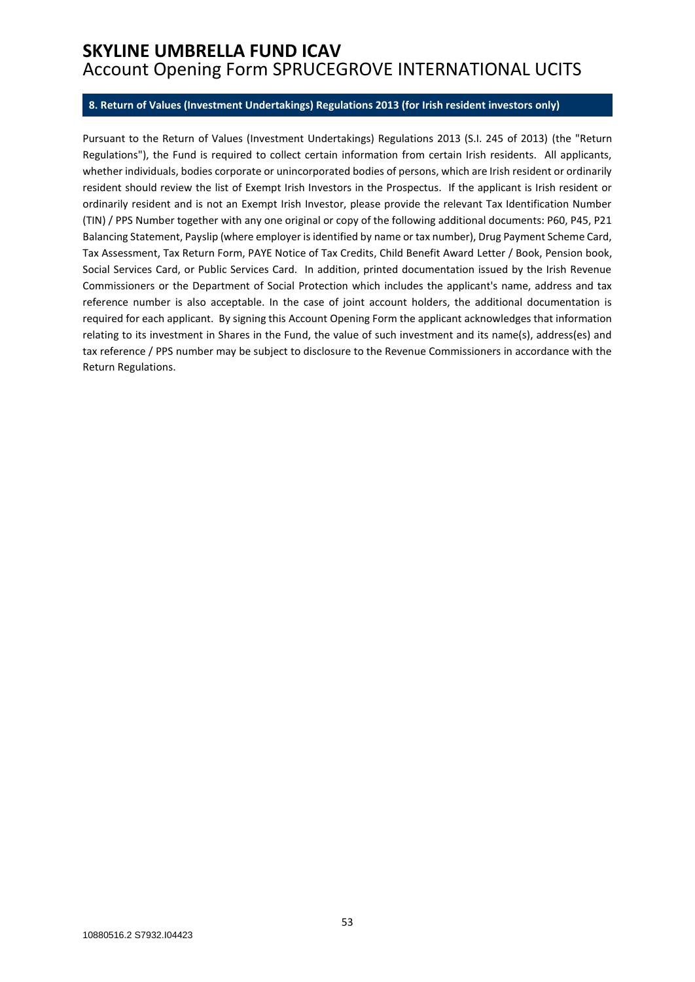#### <span id="page-52-0"></span>**8. Return of Values (Investment Undertakings) Regulations 2013 (for Irish resident investors only)**

Pursuant to the Return of Values (Investment Undertakings) Regulations 2013 (S.I. 245 of 2013) (the "Return Regulations"), the Fund is required to collect certain information from certain Irish residents. All applicants, whether individuals, bodies corporate or unincorporated bodies of persons, which are Irish resident or ordinarily resident should review the list of Exempt Irish Investors in the Prospectus. If the applicant is Irish resident or ordinarily resident and is not an Exempt Irish Investor, please provide the relevant Tax Identification Number (TIN) / PPS Number together with any one original or copy of the following additional documents: P60, P45, P21 Balancing Statement, Payslip (where employer is identified by name or tax number), Drug Payment Scheme Card, Tax Assessment, Tax Return Form, PAYE Notice of Tax Credits, Child Benefit Award Letter / Book, Pension book, Social Services Card, or Public Services Card. In addition, printed documentation issued by the Irish Revenue Commissioners or the Department of Social Protection which includes the applicant's name, address and tax reference number is also acceptable. In the case of joint account holders, the additional documentation is required for each applicant. By signing this Account Opening Form the applicant acknowledges that information relating to its investment in Shares in the Fund, the value of such investment and its name(s), address(es) and tax reference / PPS number may be subject to disclosure to the Revenue Commissioners in accordance with the Return Regulations.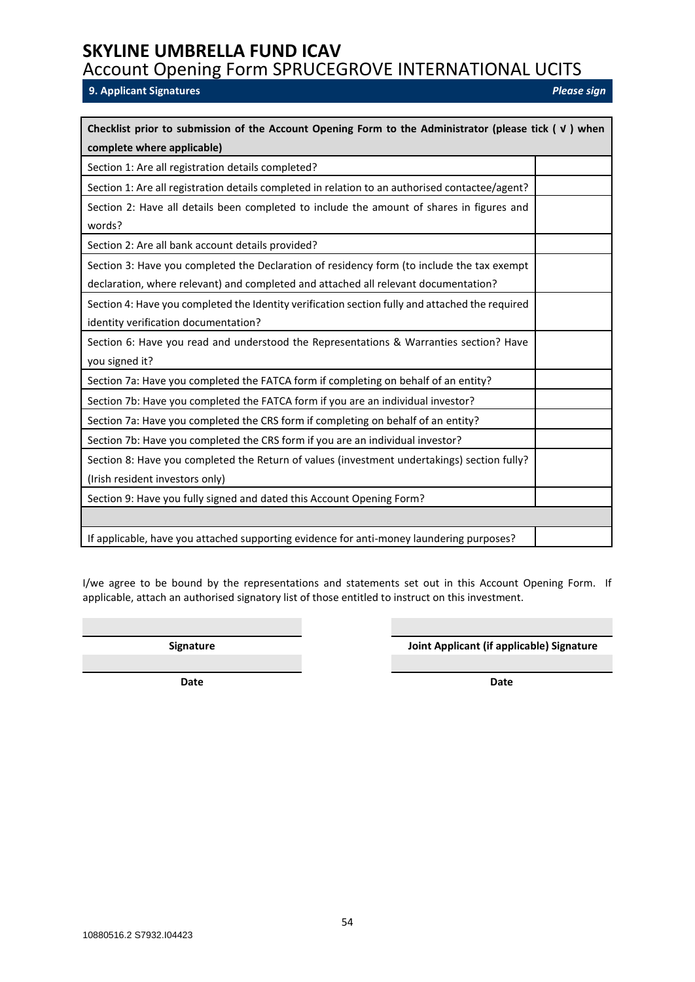<span id="page-53-0"></span>**9. Applicant Signatures** *Please sign* 

| Checklist prior to submission of the Account Opening Form to the Administrator (please tick $(\nu)$ when                                                                          |  |  |
|-----------------------------------------------------------------------------------------------------------------------------------------------------------------------------------|--|--|
| complete where applicable)                                                                                                                                                        |  |  |
| Section 1: Are all registration details completed?                                                                                                                                |  |  |
| Section 1: Are all registration details completed in relation to an authorised contactee/agent?                                                                                   |  |  |
| Section 2: Have all details been completed to include the amount of shares in figures and<br>words?                                                                               |  |  |
| Section 2: Are all bank account details provided?                                                                                                                                 |  |  |
| Section 3: Have you completed the Declaration of residency form (to include the tax exempt<br>declaration, where relevant) and completed and attached all relevant documentation? |  |  |
| Section 4: Have you completed the Identity verification section fully and attached the required<br>identity verification documentation?                                           |  |  |
| Section 6: Have you read and understood the Representations & Warranties section? Have<br>you signed it?                                                                          |  |  |
| Section 7a: Have you completed the FATCA form if completing on behalf of an entity?                                                                                               |  |  |
| Section 7b: Have you completed the FATCA form if you are an individual investor?                                                                                                  |  |  |
| Section 7a: Have you completed the CRS form if completing on behalf of an entity?                                                                                                 |  |  |
| Section 7b: Have you completed the CRS form if you are an individual investor?                                                                                                    |  |  |
| Section 8: Have you completed the Return of values (investment undertakings) section fully?<br>(Irish resident investors only)                                                    |  |  |
| Section 9: Have you fully signed and dated this Account Opening Form?                                                                                                             |  |  |
|                                                                                                                                                                                   |  |  |
| If applicable, have you attached supporting evidence for anti-money laundering purposes?                                                                                          |  |  |

I/we agree to be bound by the representations and statements set out in this Account Opening Form. If applicable, attach an authorised signatory list of those entitled to instruct on this investment.

**Signature Joint Applicant (if applicable) Signature**

**Date Date**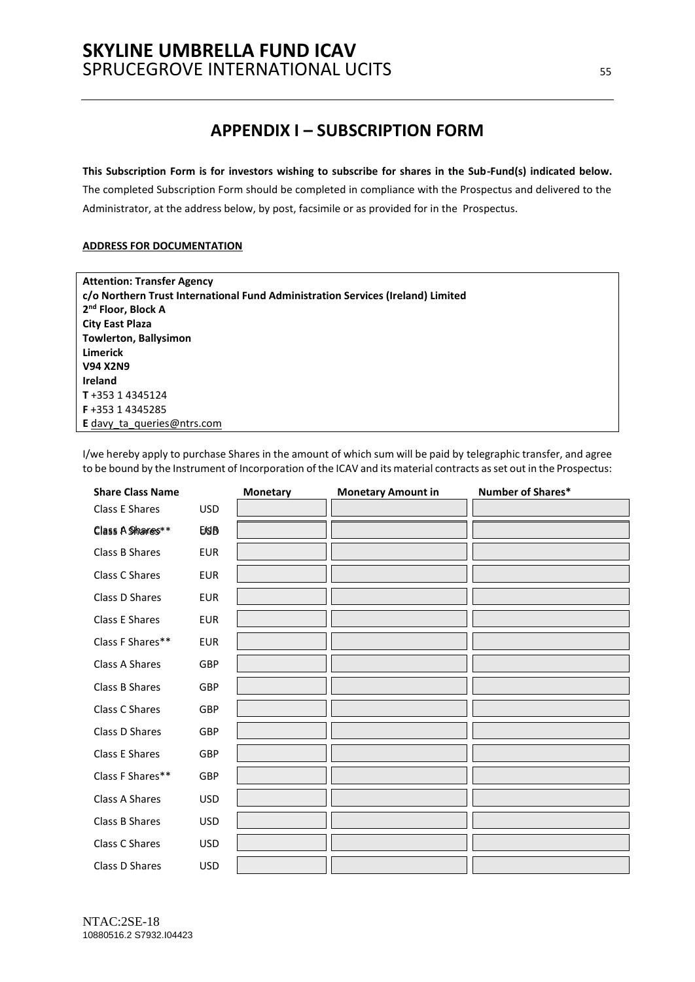## **SKYLINE UMBRELLA FUND ICAV**  SPRUCEGROVE INTERNATIONAL UCITS **SPRUCEGROVE** INTERNATIONAL UCITS

## **APPENDIX I – SUBSCRIPTION FORM**

#### <span id="page-54-0"></span>**This Subscription Form is for investors wishing to subscribe for shares in the Sub-Fund(s) indicated below.**

The completed Subscription Form should be completed in compliance with the Prospectus and delivered to the Administrator, at the address below, by post, facsimile or as provided for in the Prospectus.

#### **ADDRESS FOR DOCUMENTATION**

| <b>Attention: Transfer Agency</b>                                               |
|---------------------------------------------------------------------------------|
| c/o Northern Trust International Fund Administration Services (Ireland) Limited |
| 2 <sup>nd</sup> Floor, Block A                                                  |
| <b>City East Plaza</b>                                                          |
| <b>Towlerton, Ballysimon</b>                                                    |
| Limerick                                                                        |
| <b>V94 X2N9</b>                                                                 |
| Ireland                                                                         |
| T+353 14345124                                                                  |
| F+353 14345285                                                                  |
| <b>E</b> davy ta queries @ ntrs.com                                             |

I/we hereby apply to purchase Shares in the amount of which sum will be paid by telegraphic transfer, and agree to be bound by the Instrument of Incorporation of the ICAV and its material contracts as set out in the Prospectus:

| <b>Share Class Name</b> |             | <b>Monetary</b> | <b>Monetary Amount in</b> | Number of Shares* |
|-------------------------|-------------|-----------------|---------------------------|-------------------|
| Class E Shares          | <b>USD</b>  |                 |                           |                   |
| Class A Shares**        | <b>EISB</b> |                 |                           |                   |
| Class B Shares          | <b>EUR</b>  |                 |                           |                   |
| Class C Shares          | <b>EUR</b>  |                 |                           |                   |
| Class D Shares          | <b>EUR</b>  |                 |                           |                   |
| Class E Shares          | <b>EUR</b>  |                 |                           |                   |
| Class F Shares**        | <b>EUR</b>  |                 |                           |                   |
| Class A Shares          | GBP         |                 |                           |                   |
| Class B Shares          | GBP         |                 |                           |                   |
| Class C Shares          | GBP         |                 |                           |                   |
| Class D Shares          | GBP         |                 |                           |                   |
| Class E Shares          | GBP         |                 |                           |                   |
| Class F Shares**        | GBP         |                 |                           |                   |
| <b>Class A Shares</b>   | <b>USD</b>  |                 |                           |                   |
| Class B Shares          | <b>USD</b>  |                 |                           |                   |
| Class C Shares          | <b>USD</b>  |                 |                           |                   |
| Class D Shares          | <b>USD</b>  |                 |                           |                   |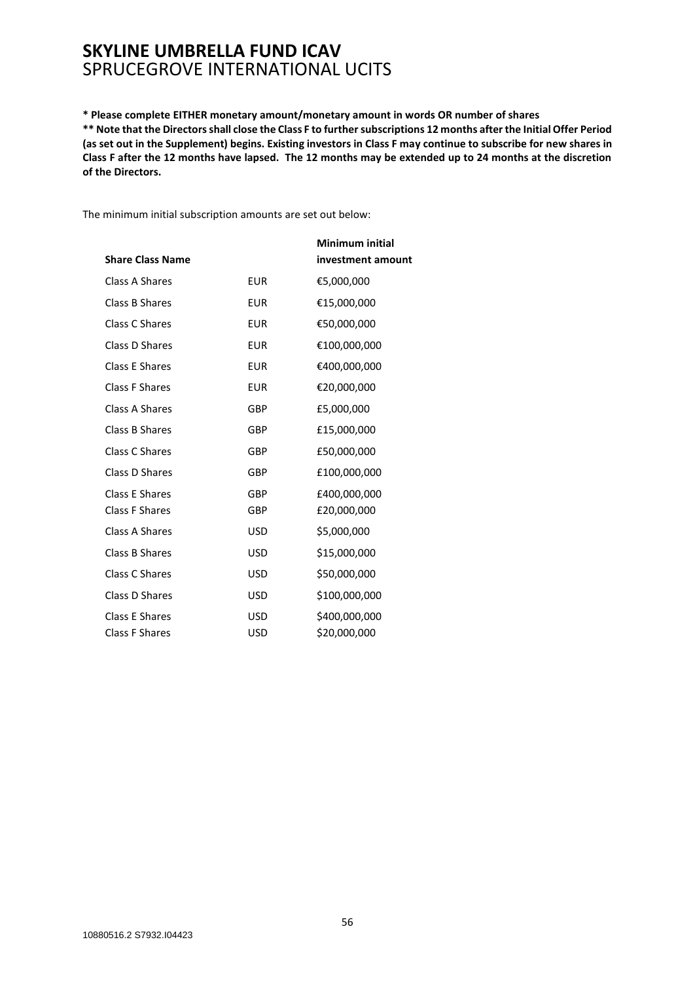**\* Please complete EITHER monetary amount/monetary amount in words OR number of shares \*\* Note that the Directors shall close the Class F to further subscriptions 12 months after the Initial Offer Period (as set out in the Supplement) begins. Existing investors in Class F may continue to subscribe for new shares in Class F after the 12 months have lapsed. The 12 months may be extended up to 24 months at the discretion of the Directors.**

The minimum initial subscription amounts are set out below:

|                         |            | <b>Minimum initial</b> |
|-------------------------|------------|------------------------|
| <b>Share Class Name</b> |            | investment amount      |
| Class A Shares          | <b>EUR</b> | €5,000,000             |
| Class B Shares          | <b>EUR</b> | €15,000,000            |
| Class C Shares          | <b>EUR</b> | €50,000,000            |
| Class D Shares          | <b>EUR</b> | €100,000,000           |
| Class E Shares          | <b>EUR</b> | €400,000,000           |
| Class F Shares          | <b>EUR</b> | €20,000,000            |
| Class A Shares          | <b>GBP</b> | £5,000,000             |
| Class B Shares          | <b>GBP</b> | £15,000,000            |
| Class C Shares          | <b>GBP</b> | £50,000,000            |
| Class D Shares          | <b>GBP</b> | £100,000,000           |
| Class E Shares          | GBP        | £400,000,000           |
| <b>Class F Shares</b>   | GBP        | £20,000,000            |
| Class A Shares          | USD        | \$5,000,000            |
| Class B Shares          | <b>USD</b> | \$15,000,000           |
| Class C Shares          | USD        | \$50,000,000           |
| Class D Shares          | <b>USD</b> | \$100,000,000          |
| <b>Class E Shares</b>   | <b>USD</b> | \$400,000,000          |
| <b>Class F Shares</b>   | USD        | \$20,000,000           |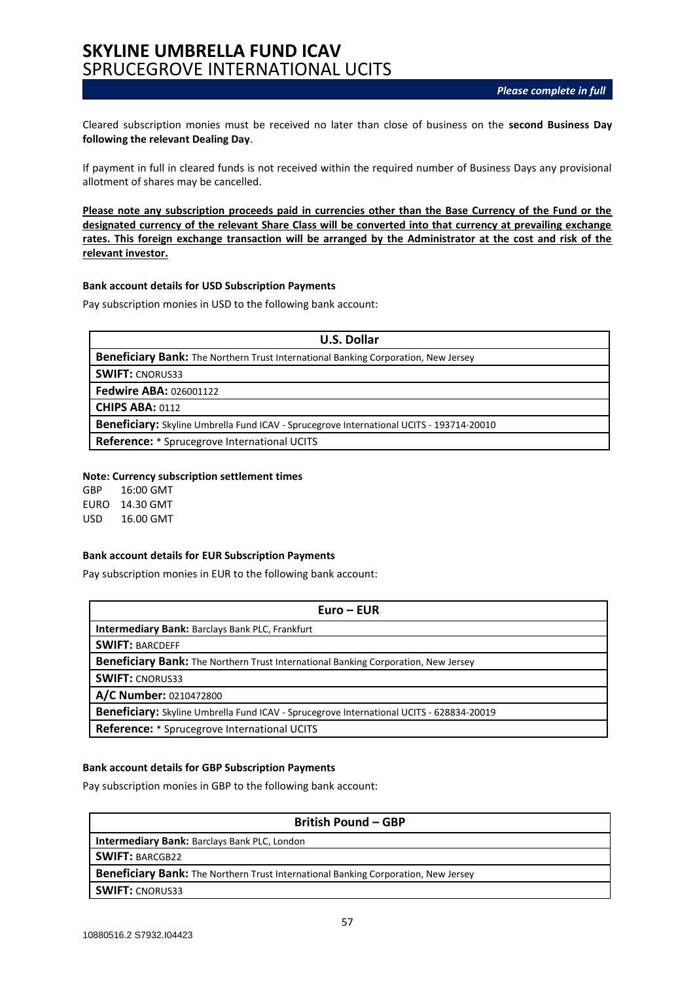Cleared subscription monies must be received no later than close of business on the **second Business Day following the relevant Dealing Day**.

If payment in full in cleared funds is not received within the required number of Business Days any provisional allotment of shares may be cancelled.

**Please note any subscription proceeds paid in currencies other than the Base Currency of the Fund or the designated currency of the relevant Share Class will be converted into that currency at prevailing exchange rates. This foreign exchange transaction will be arranged by the Administrator at the cost and risk of the relevant investor.**

#### **Bank account details for USD Subscription Payments**

Pay subscription monies in USD to the following bank account:

| <b>U.S. Dollar</b>                                                                       |
|------------------------------------------------------------------------------------------|
| Beneficiary Bank: The Northern Trust International Banking Corporation, New Jersey       |
| <b>SWIFT: CNORUS33</b>                                                                   |
| <b>Fedwire ABA: 026001122</b>                                                            |
| <b>CHIPS ABA: 0112</b>                                                                   |
| Beneficiary: Skyline Umbrella Fund ICAV - Sprucegrove International UCITS - 193714-20010 |
| <b>Reference:</b> * Sprucegrove International UCITS                                      |

#### **Note: Currency subscription settlement times**

GBP 16:00 GMT EURO 14.30 GMT USD 16.00 GMT

#### **Bank account details for EUR Subscription Payments**

Pay subscription monies in EUR to the following bank account:

| $Euro - EUR$                                                                             |
|------------------------------------------------------------------------------------------|
| <b>Intermediary Bank: Barclays Bank PLC, Frankfurt</b>                                   |
| <b>SWIFT: BARCDEFF</b>                                                                   |
| Beneficiary Bank: The Northern Trust International Banking Corporation, New Jersey       |
| <b>SWIFT: CNORUS33</b>                                                                   |
| A/C Number: 0210472800                                                                   |
| Beneficiary: Skyline Umbrella Fund ICAV - Sprucegrove International UCITS - 628834-20019 |
| <b>Reference:</b> * Sprucegrove International UCITS                                      |

#### **Bank account details for GBP Subscription Payments**

Pay subscription monies in GBP to the following bank account:

| <b>British Pound - GBP</b>                                                         |  |
|------------------------------------------------------------------------------------|--|
| <b>Intermediary Bank: Barclays Bank PLC, London</b>                                |  |
| <b>SWIFT: BARCGB22</b>                                                             |  |
| Beneficiary Bank: The Northern Trust International Banking Corporation, New Jersey |  |
| <b>SWIFT: CNORUS33</b>                                                             |  |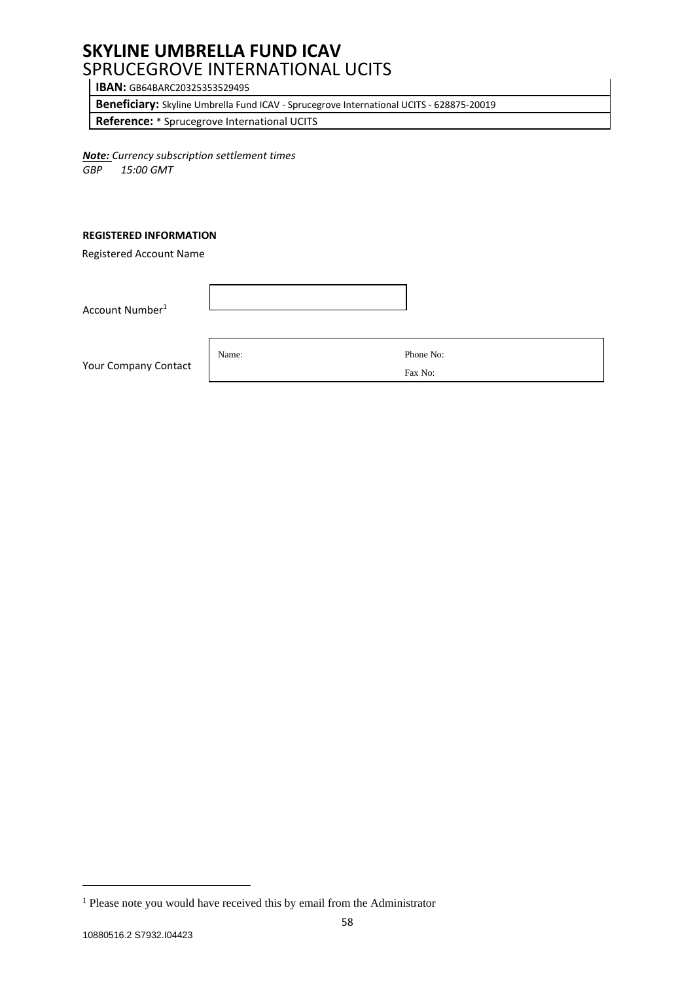**IBAN:** GB64BARC20325353529495

**Beneficiary:** Skyline Umbrella Fund ICAV - Sprucegrove International UCITS - 628875-20019

**Reference:** \* Sprucegrove International UCITS

*Note: Currency subscription settlement times GBP 15:00 GMT*

#### **REGISTERED INFORMATION**

Registered Account Name

Account Number<sup>1</sup>

Your Company Contact

Name: Phone No:

Fax No:

<sup>&</sup>lt;sup>1</sup> Please note you would have received this by email from the Administrator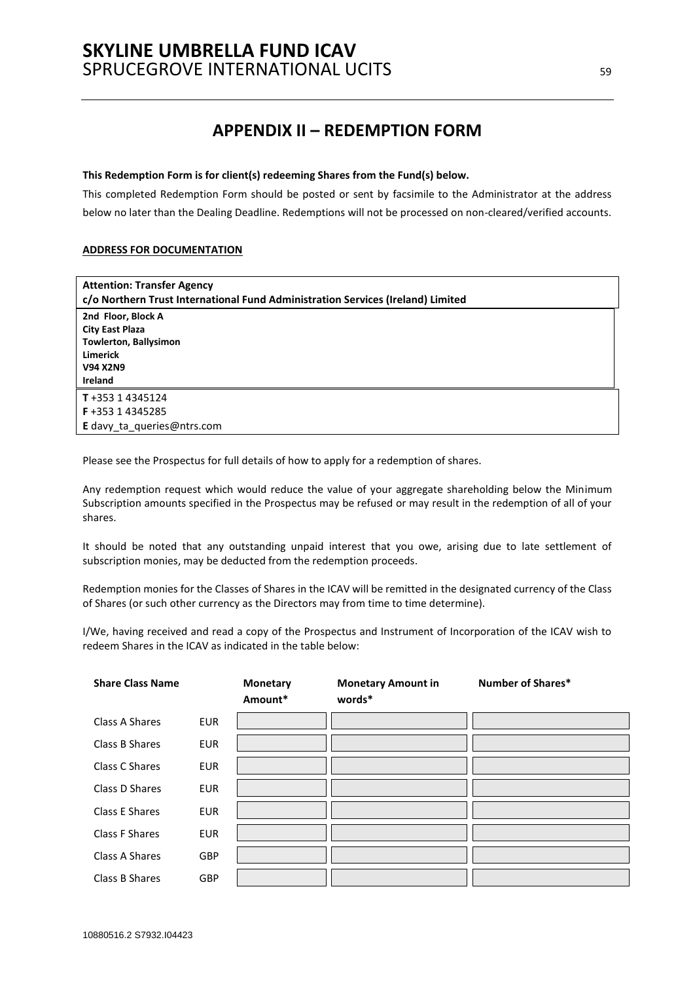## **APPENDIX II – REDEMPTION FORM**

#### <span id="page-58-0"></span>**This Redemption Form is for client(s) redeeming Shares from the Fund(s) below.**

This completed Redemption Form should be posted or sent by facsimile to the Administrator at the address below no later than the Dealing Deadline. Redemptions will not be processed on non-cleared/verified accounts.

#### **ADDRESS FOR DOCUMENTATION**

| <b>Attention: Transfer Agency</b><br>c/o Northern Trust International Fund Administration Services (Ireland) Limited                 |
|--------------------------------------------------------------------------------------------------------------------------------------|
| 2nd Floor, Block A<br><b>City East Plaza</b><br><b>Towlerton, Ballysimon</b><br><b>Limerick</b><br><b>V94 X2N9</b><br><b>Ireland</b> |
| $T + 35314345124$<br>F+353 14345285<br>E davy ta queries@ntrs.com                                                                    |

Please see the Prospectus for full details of how to apply for a redemption of shares.

Any redemption request which would reduce the value of your aggregate shareholding below the Minimum Subscription amounts specified in the Prospectus may be refused or may result in the redemption of all of your shares.

It should be noted that any outstanding unpaid interest that you owe, arising due to late settlement of subscription monies, may be deducted from the redemption proceeds.

Redemption monies for the Classes of Shares in the ICAV will be remitted in the designated currency of the Class of Shares (or such other currency as the Directors may from time to time determine).

I/We, having received and read a copy of the Prospectus and Instrument of Incorporation of the ICAV wish to redeem Shares in the ICAV as indicated in the table below:

| <b>Share Class Name</b> |            | <b>Monetary</b><br>Amount* | <b>Monetary Amount in</b><br>words* | <b>Number of Shares*</b> |
|-------------------------|------------|----------------------------|-------------------------------------|--------------------------|
| Class A Shares          | <b>EUR</b> |                            |                                     |                          |
| Class B Shares          | <b>EUR</b> |                            |                                     |                          |
| Class C Shares          | <b>EUR</b> |                            |                                     |                          |
| Class D Shares          | <b>EUR</b> |                            |                                     |                          |
| Class E Shares          | <b>EUR</b> |                            |                                     |                          |
| Class F Shares          | <b>EUR</b> |                            |                                     |                          |
| Class A Shares          | <b>GBP</b> |                            |                                     |                          |
| Class B Shares          | <b>GBP</b> |                            |                                     |                          |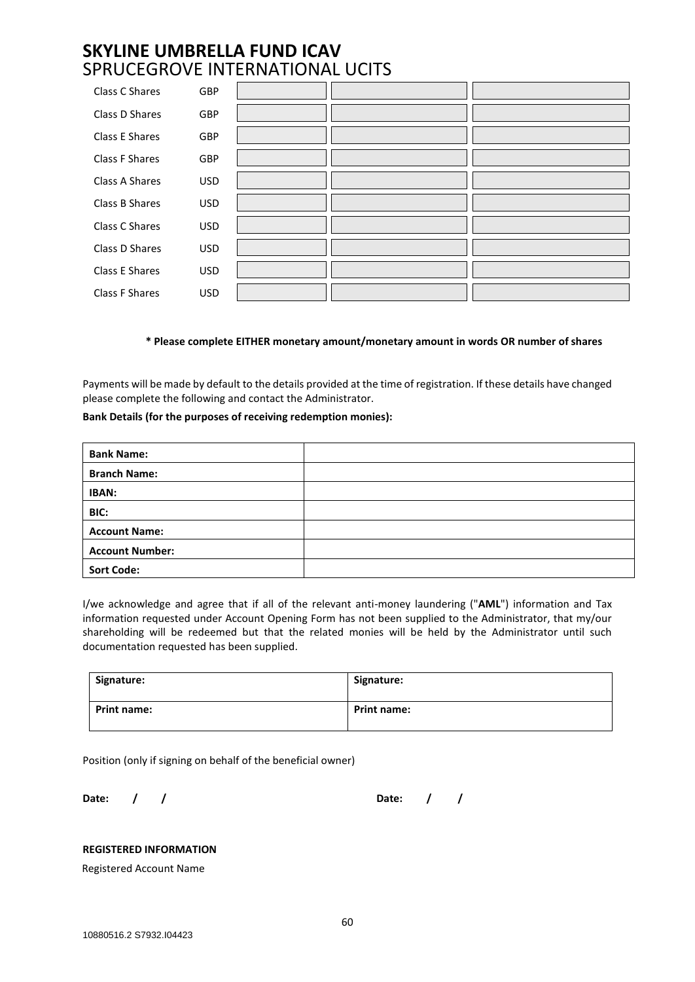| Class C Shares        | GBP        |  |  |
|-----------------------|------------|--|--|
| Class D Shares        | <b>GBP</b> |  |  |
| Class E Shares        | GBP        |  |  |
| <b>Class F Shares</b> | <b>GBP</b> |  |  |
| Class A Shares        | <b>USD</b> |  |  |
| Class B Shares        | <b>USD</b> |  |  |
| Class C Shares        | <b>USD</b> |  |  |
| Class D Shares        | <b>USD</b> |  |  |
| Class E Shares        | <b>USD</b> |  |  |
| Class F Shares        | <b>USD</b> |  |  |

#### **\* Please complete EITHER monetary amount/monetary amount in words OR number of shares**

Payments will be made by default to the details provided at the time of registration. If these details have changed please complete the following and contact the Administrator.

#### **Bank Details (for the purposes of receiving redemption monies):**

| <b>Bank Name:</b>      |  |
|------------------------|--|
| <b>Branch Name:</b>    |  |
| <b>IBAN:</b>           |  |
| BIC:                   |  |
| <b>Account Name:</b>   |  |
| <b>Account Number:</b> |  |
| <b>Sort Code:</b>      |  |

I/we acknowledge and agree that if all of the relevant anti-money laundering ("**AML**") information and Tax information requested under Account Opening Form has not been supplied to the Administrator, that my/our shareholding will be redeemed but that the related monies will be held by the Administrator until such documentation requested has been supplied.

| Signature:         | Signature:         |
|--------------------|--------------------|
| <b>Print name:</b> | <b>Print name:</b> |

Position (only if signing on behalf of the beneficial owner)

**Date: / / Date: / /**

### **REGISTERED INFORMATION**

Registered Account Name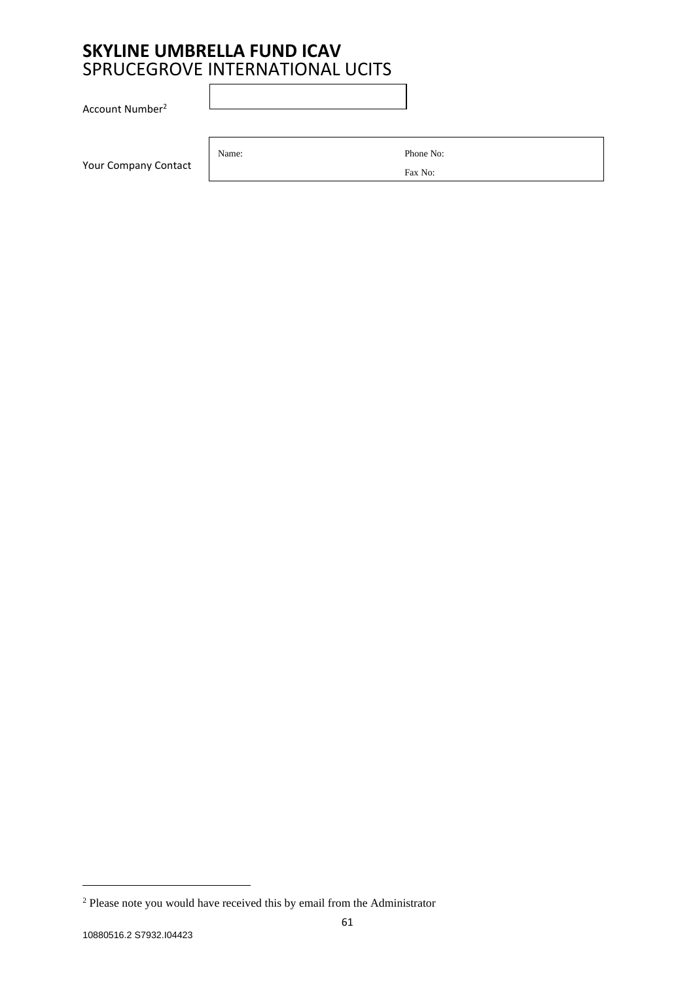Account Number<sup>2</sup>

Your Company Contact

Name: Phone No:

Fax No:

<sup>2</sup> Please note you would have received this by email from the Administrator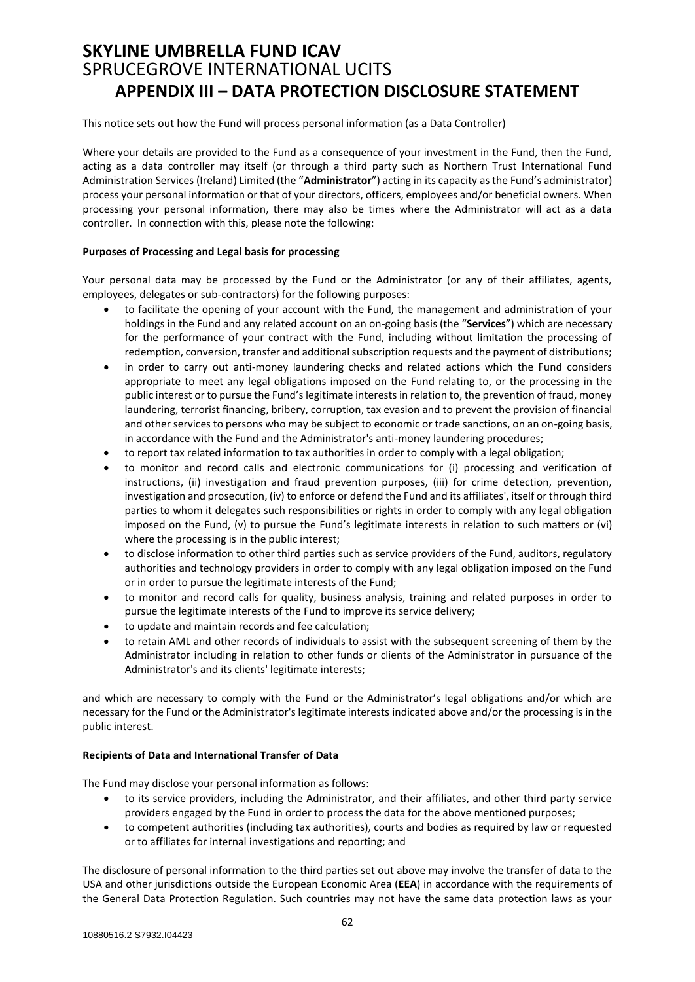# <span id="page-61-0"></span>**SKYLINE UMBRELLA FUND ICAV**  SPRUCEGROVE INTERNATIONAL UCITS **APPENDIX III – DATA PROTECTION DISCLOSURE STATEMENT**

This notice sets out how the Fund will process personal information (as a Data Controller)

Where your details are provided to the Fund as a consequence of your investment in the Fund, then the Fund, acting as a data controller may itself (or through a third party such as Northern Trust International Fund Administration Services (Ireland) Limited (the "**Administrator**") acting in its capacity as the Fund's administrator) process your personal information or that of your directors, officers, employees and/or beneficial owners. When processing your personal information, there may also be times where the Administrator will act as a data controller. In connection with this, please note the following:

#### **Purposes of Processing and Legal basis for processing**

Your personal data may be processed by the Fund or the Administrator (or any of their affiliates, agents, employees, delegates or sub-contractors) for the following purposes:

- to facilitate the opening of your account with the Fund, the management and administration of your holdings in the Fund and any related account on an on-going basis (the "**Services**") which are necessary for the performance of your contract with the Fund, including without limitation the processing of redemption, conversion, transfer and additional subscription requests and the payment of distributions;
- in order to carry out anti-money laundering checks and related actions which the Fund considers appropriate to meet any legal obligations imposed on the Fund relating to, or the processing in the public interest or to pursue the Fund's legitimate interests in relation to, the prevention of fraud, money laundering, terrorist financing, bribery, corruption, tax evasion and to prevent the provision of financial and other services to persons who may be subject to economic or trade sanctions, on an on-going basis, in accordance with the Fund and the Administrator's anti-money laundering procedures;
- to report tax related information to tax authorities in order to comply with a legal obligation;
- to monitor and record calls and electronic communications for (i) processing and verification of instructions, (ii) investigation and fraud prevention purposes, (iii) for crime detection, prevention, investigation and prosecution, (iv) to enforce or defend the Fund and its affiliates', itself or through third parties to whom it delegates such responsibilities or rights in order to comply with any legal obligation imposed on the Fund, (v) to pursue the Fund's legitimate interests in relation to such matters or (vi) where the processing is in the public interest;
- to disclose information to other third parties such as service providers of the Fund, auditors, regulatory authorities and technology providers in order to comply with any legal obligation imposed on the Fund or in order to pursue the legitimate interests of the Fund;
- to monitor and record calls for quality, business analysis, training and related purposes in order to pursue the legitimate interests of the Fund to improve its service delivery;
- to update and maintain records and fee calculation;
- to retain AML and other records of individuals to assist with the subsequent screening of them by the Administrator including in relation to other funds or clients of the Administrator in pursuance of the Administrator's and its clients' legitimate interests;

and which are necessary to comply with the Fund or the Administrator's legal obligations and/or which are necessary for the Fund or the Administrator's legitimate interests indicated above and/or the processing is in the public interest.

#### **Recipients of Data and International Transfer of Data**

The Fund may disclose your personal information as follows:

- to its service providers, including the Administrator, and their affiliates, and other third party service providers engaged by the Fund in order to process the data for the above mentioned purposes;
- to competent authorities (including tax authorities), courts and bodies as required by law or requested or to affiliates for internal investigations and reporting; and

The disclosure of personal information to the third parties set out above may involve the transfer of data to the USA and other jurisdictions outside the European Economic Area (**EEA**) in accordance with the requirements of the General Data Protection Regulation. Such countries may not have the same data protection laws as your